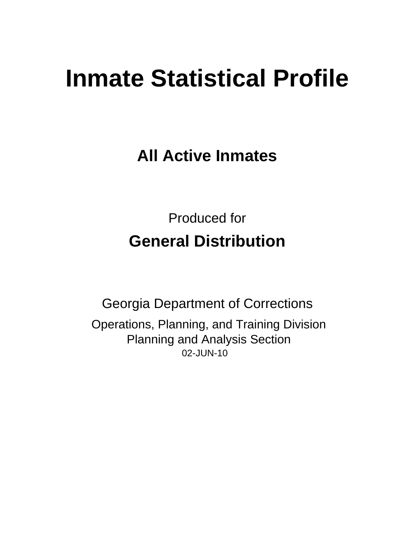# **Inmate Statistical Profile**

**All Active Inmates** 

**Produced for General Distribution** 

**Georgia Department of Corrections** Operations, Planning, and Training Division **Planning and Analysis Section** 02-JUN-10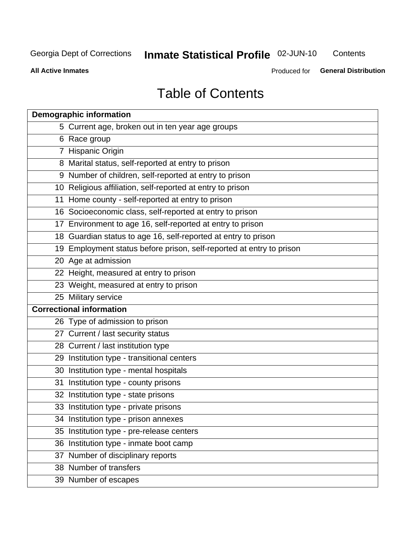**Inmate Statistical Profile 02-JUN-10** 

Contents

**All Active Inmates** 

Produced for General Distribution

## **Table of Contents**

| <b>Demographic information</b>                                       |
|----------------------------------------------------------------------|
| 5 Current age, broken out in ten year age groups                     |
| 6 Race group                                                         |
| 7 Hispanic Origin                                                    |
| 8 Marital status, self-reported at entry to prison                   |
| 9 Number of children, self-reported at entry to prison               |
| 10 Religious affiliation, self-reported at entry to prison           |
| 11 Home county - self-reported at entry to prison                    |
| 16 Socioeconomic class, self-reported at entry to prison             |
| 17 Environment to age 16, self-reported at entry to prison           |
| 18 Guardian status to age 16, self-reported at entry to prison       |
| 19 Employment status before prison, self-reported at entry to prison |
| 20 Age at admission                                                  |
| 22 Height, measured at entry to prison                               |
| 23 Weight, measured at entry to prison                               |
| 25 Military service                                                  |
| <b>Correctional information</b>                                      |
| 26 Type of admission to prison                                       |
| 27 Current / last security status                                    |
| 28 Current / last institution type                                   |
| 29 Institution type - transitional centers                           |
| 30 Institution type - mental hospitals                               |
| 31 Institution type - county prisons                                 |
| 32 Institution type - state prisons                                  |
| 33 Institution type - private prisons                                |
| 34 Institution type - prison annexes                                 |
| 35 Institution type - pre-release centers                            |
| 36 Institution type - inmate boot camp                               |
| 37 Number of disciplinary reports                                    |
| 38 Number of transfers                                               |
| 39 Number of escapes                                                 |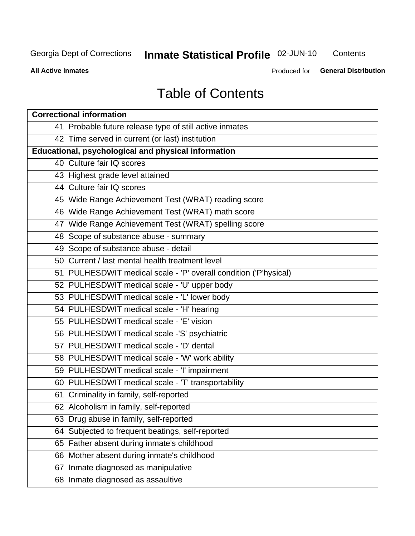## **Inmate Statistical Profile 02-JUN-10**

Contents

**All Active Inmates** 

Produced for General Distribution

## **Table of Contents**

| <b>Correctional information</b>                                  |  |  |  |  |  |  |
|------------------------------------------------------------------|--|--|--|--|--|--|
| 41 Probable future release type of still active inmates          |  |  |  |  |  |  |
| 42 Time served in current (or last) institution                  |  |  |  |  |  |  |
| Educational, psychological and physical information              |  |  |  |  |  |  |
| 40 Culture fair IQ scores                                        |  |  |  |  |  |  |
| 43 Highest grade level attained                                  |  |  |  |  |  |  |
| 44 Culture fair IQ scores                                        |  |  |  |  |  |  |
| 45 Wide Range Achievement Test (WRAT) reading score              |  |  |  |  |  |  |
| 46 Wide Range Achievement Test (WRAT) math score                 |  |  |  |  |  |  |
| 47 Wide Range Achievement Test (WRAT) spelling score             |  |  |  |  |  |  |
| 48 Scope of substance abuse - summary                            |  |  |  |  |  |  |
| 49 Scope of substance abuse - detail                             |  |  |  |  |  |  |
| 50 Current / last mental health treatment level                  |  |  |  |  |  |  |
| 51 PULHESDWIT medical scale - 'P' overall condition ('P'hysical) |  |  |  |  |  |  |
| 52 PULHESDWIT medical scale - 'U' upper body                     |  |  |  |  |  |  |
| 53 PULHESDWIT medical scale - 'L' lower body                     |  |  |  |  |  |  |
| 54 PULHESDWIT medical scale - 'H' hearing                        |  |  |  |  |  |  |
| 55 PULHESDWIT medical scale - 'E' vision                         |  |  |  |  |  |  |
| 56 PULHESDWIT medical scale -'S' psychiatric                     |  |  |  |  |  |  |
| 57 PULHESDWIT medical scale - 'D' dental                         |  |  |  |  |  |  |
| 58 PULHESDWIT medical scale - 'W' work ability                   |  |  |  |  |  |  |
| 59 PULHESDWIT medical scale - 'I' impairment                     |  |  |  |  |  |  |
| 60 PULHESDWIT medical scale - 'T' transportability               |  |  |  |  |  |  |
| 61 Criminality in family, self-reported                          |  |  |  |  |  |  |
| 62 Alcoholism in family, self-reported                           |  |  |  |  |  |  |
| 63 Drug abuse in family, self-reported                           |  |  |  |  |  |  |
| 64 Subjected to frequent beatings, self-reported                 |  |  |  |  |  |  |
| 65 Father absent during inmate's childhood                       |  |  |  |  |  |  |
| 66 Mother absent during inmate's childhood                       |  |  |  |  |  |  |
| 67 Inmate diagnosed as manipulative                              |  |  |  |  |  |  |
| 68 Inmate diagnosed as assaultive                                |  |  |  |  |  |  |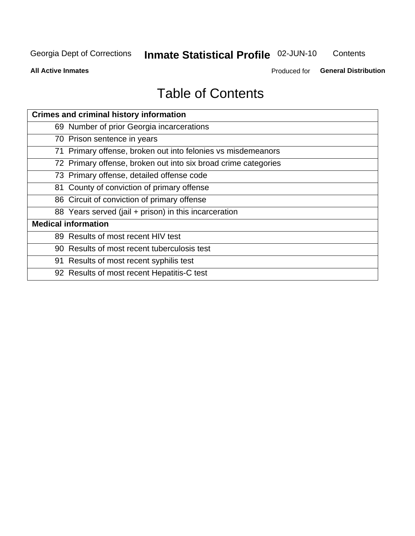## **Inmate Statistical Profile 02-JUN-10**

Contents

**All Active Inmates** 

Produced for General Distribution

## **Table of Contents**

| <b>Crimes and criminal history information</b>                 |
|----------------------------------------------------------------|
| 69 Number of prior Georgia incarcerations                      |
| 70 Prison sentence in years                                    |
| 71 Primary offense, broken out into felonies vs misdemeanors   |
| 72 Primary offense, broken out into six broad crime categories |
| 73 Primary offense, detailed offense code                      |
| 81 County of conviction of primary offense                     |
| 86 Circuit of conviction of primary offense                    |
| 88 Years served (jail + prison) in this incarceration          |
| <b>Medical information</b>                                     |
| 89 Results of most recent HIV test                             |
| 90 Results of most recent tuberculosis test                    |
| 91 Results of most recent syphilis test                        |
| 92 Results of most recent Hepatitis-C test                     |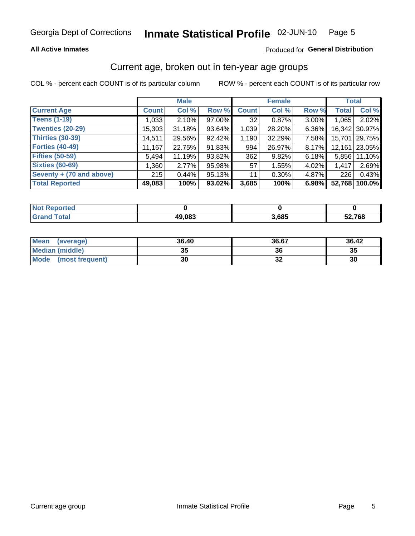#### **All Active Inmates**

#### Produced for General Distribution

### Current age, broken out in ten-year age groups

COL % - percent each COUNT is of its particular column

|                          |              | <b>Male</b> |        |                 | <b>Female</b> |          | <b>Total</b> |        |
|--------------------------|--------------|-------------|--------|-----------------|---------------|----------|--------------|--------|
| <b>Current Age</b>       | <b>Count</b> | Col %       | Row %  | <b>Count</b>    | Col %         | Row %    | <b>Total</b> | Col %  |
| <b>Teens (1-19)</b>      | 1,033        | 2.10%       | 97.00% | 32 <sub>1</sub> | 0.87%         | $3.00\%$ | 1,065        | 2.02%  |
| <b>Twenties (20-29)</b>  | 15,303       | 31.18%      | 93.64% | 1,039           | 28.20%        | 6.36%    | 16,342       | 30.97% |
| <b>Thirties (30-39)</b>  | 14,511       | 29.56%      | 92.42% | 1,190           | 32.29%        | 7.58%    | 15,701       | 29.75% |
| <b>Forties (40-49)</b>   | 11,167       | 22.75%      | 91.83% | 994             | 26.97%        | 8.17%    | 12,161       | 23.05% |
| <b>Fifties (50-59)</b>   | 5,494        | 11.19%      | 93.82% | 362             | 9.82%         | 6.18%    | 5.856        | 11.10% |
| <b>Sixties (60-69)</b>   | 1,360        | 2.77%       | 95.98% | 57              | 1.55%         | 4.02%    | 1,417        | 2.69%  |
| Seventy + (70 and above) | 215          | 0.44%       | 95.13% | 11              | $0.30\%$      | 4.87%    | 226          | 0.43%  |
| <b>Total Reported</b>    | 49,083       | 100%        | 93.02% | 3,685           | 100%          | 6.98%    | 52,768       | 100.0% |

| <b>Not Repo</b><br><b>Experied</b> |              |       |        |
|------------------------------------|--------------|-------|--------|
| Total                              | 49,083<br>ΔЧ | 3,685 | 52,768 |

| <b>Mean</b><br>(average) | 36.40    | 36.67 | 36.42 |
|--------------------------|----------|-------|-------|
| Median (middle)          | つん<br>vu | 36    | 35    |
| Mode<br>(most frequent)  | 30       | ◡▵    | 30    |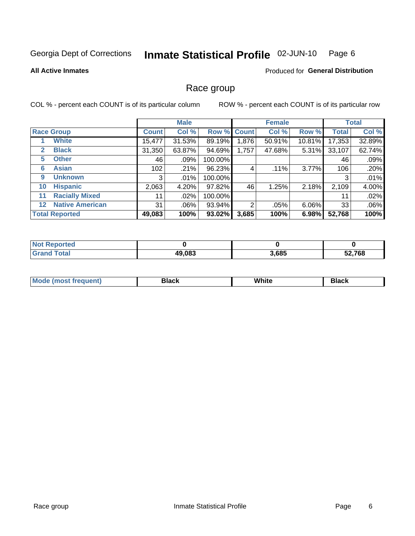#### Inmate Statistical Profile 02-JUN-10 Page 6

#### **All Active Inmates**

#### Produced for General Distribution

#### Race group

COL % - percent each COUNT is of its particular column

|         |                        | <b>Male</b>  |         |         | <b>Female</b>  |        |        | <b>Total</b> |        |
|---------|------------------------|--------------|---------|---------|----------------|--------|--------|--------------|--------|
|         | <b>Race Group</b>      | <b>Count</b> | Col %   |         | Row % Count    | Col %  | Row %  | <b>Total</b> | Col %  |
|         | <b>White</b>           | 15,477       | 31.53%  | 89.19%  | 1,876          | 50.91% | 10.81% | 17,353       | 32.89% |
| 2       | <b>Black</b>           | 31,350       | 63.87%  | 94.69%  | 1,757          | 47.68% | 5.31%  | 33,107       | 62.74% |
| 5       | <b>Other</b>           | 46           | .09%    | 100.00% |                |        |        | 46           | .09%   |
| 6       | <b>Asian</b>           | 102          | .21%    | 96.23%  | 4              | .11%   | 3.77%  | 106          | .20%   |
| 9       | <b>Unknown</b>         | 3            | $.01\%$ | 100.00% |                |        |        | 3            | .01%   |
| 10      | <b>Hispanic</b>        | 2,063        | 4.20%   | 97.82%  | 46             | 1.25%  | 2.18%  | 2,109        | 4.00%  |
| 11      | <b>Racially Mixed</b>  | 11           | $.02\%$ | 100.00% |                |        |        | 11           | .02%   |
| $12 \,$ | <b>Native American</b> | 31           | $.06\%$ | 93.94%  | $\mathfrak{p}$ | .05%   | 6.06%  | 33           | .06%   |
|         | <b>Total Reported</b>  | 49,083       | 100%    | 93.02%  | 3,685          | 100%   | 6.98%  | 52,768       | 100%   |

| <b>orted</b><br>NO. |        |       |        |
|---------------------|--------|-------|--------|
| <b>otal</b>         | 49,083 | 3,685 | 52,768 |

| Mode (<br>most freduent) | ⊃lack | White | ا تا 1 |
|--------------------------|-------|-------|--------|
|                          |       |       |        |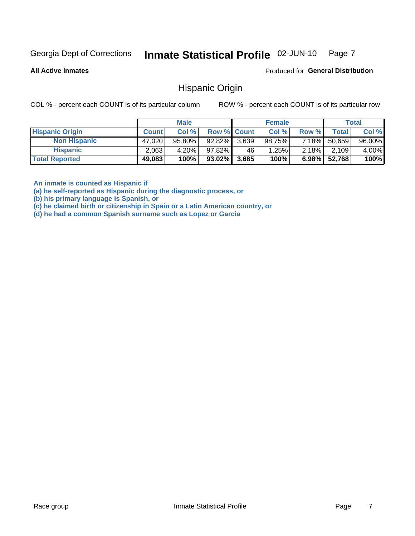#### Inmate Statistical Profile 02-JUN-10 Page 7

**All Active Inmates** 

Produced for General Distribution

#### **Hispanic Origin**

COL % - percent each COUNT is of its particular column

ROW % - percent each COUNT is of its particular row

|                        |              | <b>Male</b> |                    |       | <b>Female</b> |          |        | <b>Total</b> |
|------------------------|--------------|-------------|--------------------|-------|---------------|----------|--------|--------------|
| <b>Hispanic Origin</b> | <b>Count</b> | Col %       | <b>Row % Count</b> |       | Col %         | Row %    | Totall | Col %        |
| <b>Non Hispanic</b>    | 47,020       | $95.80\%$   | 92.82% 3,639       |       | 98.75%        | $7.18\%$ | 50,659 | 96.00%       |
| <b>Hispanic</b>        | 2,063        | 4.20%       | 97.82%             | 46    | 1.25%         | $2.18\%$ | 2,109  | 4.00%        |
| <b>Total Reported</b>  | 49,083       | 100%        | $93.02\%$          | 3,685 | 100%          | 6.98%    | 52,768 | 100%         |

An inmate is counted as Hispanic if

(a) he self-reported as Hispanic during the diagnostic process, or

(b) his primary language is Spanish, or

(c) he claimed birth or citizenship in Spain or a Latin American country, or

(d) he had a common Spanish surname such as Lopez or Garcia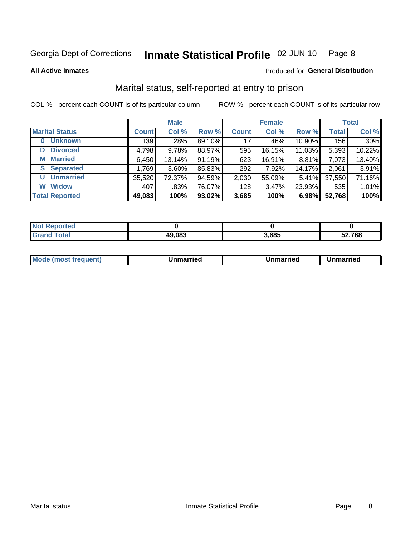#### Inmate Statistical Profile 02-JUN-10 Page 8

**All Active Inmates** 

#### Produced for General Distribution

## Marital status, self-reported at entry to prison

COL % - percent each COUNT is of its particular column

|                            | <b>Male</b>  |          |        | <b>Female</b> |        |        | <b>Total</b> |        |
|----------------------------|--------------|----------|--------|---------------|--------|--------|--------------|--------|
| <b>Marital Status</b>      | <b>Count</b> | Col %    | Row %  | <b>Count</b>  | Col %  | Row %  | <b>Total</b> | Col %  |
| <b>Unknown</b><br>$\bf{0}$ | 139          | .28%     | 89.10% | 17            | .46%   | 10.90% | 156          | .30%   |
| <b>Divorced</b><br>D       | 4,798        | 9.78%    | 88.97% | 595           | 16.15% | 11.03% | 5,393        | 10.22% |
| <b>Married</b><br>М        | 6,450        | 13.14%   | 91.19% | 623           | 16.91% | 8.81%  | 7,073        | 13.40% |
| <b>Separated</b><br>S.     | 1,769        | $3.60\%$ | 85.83% | 292           | 7.92%  | 14.17% | 2,061        | 3.91%  |
| <b>Unmarried</b><br>U      | 35,520       | 72.37%   | 94.59% | 2,030         | 55.09% | 5.41%  | 37,550       | 71.16% |
| <b>Widow</b><br>W          | 407          | .83%     | 76.07% | 128           | 3.47%  | 23.93% | 535          | 1.01%  |
| <b>Total Reported</b>      | 49,083       | 100%     | 93.02% | 3,685         | 100%   | 6.98%  | 52,768       | 100%   |

| N <sub>of</sub><br>morted in |        |      |      |
|------------------------------|--------|------|------|
| <b>Total</b>                 | 49,083 | .685 | .768 |

|--|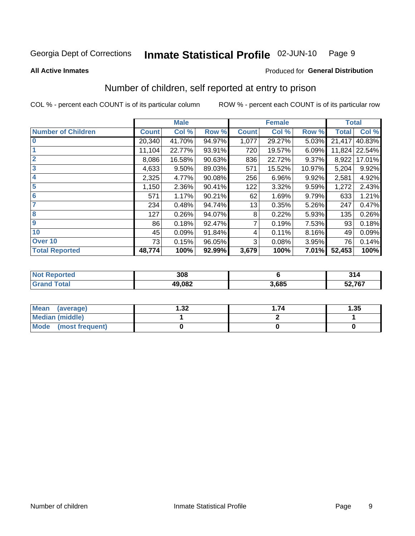#### Inmate Statistical Profile 02-JUN-10 Page 9

**All Active Inmates** 

#### Produced for General Distribution

## Number of children, self reported at entry to prison

COL % - percent each COUNT is of its particular column

|                           | <b>Male</b>  |        |        | <b>Female</b> |        |        | <b>Total</b> |               |  |
|---------------------------|--------------|--------|--------|---------------|--------|--------|--------------|---------------|--|
| <b>Number of Children</b> | <b>Count</b> | Col %  | Row %  | <b>Count</b>  | Col %  | Row %  | <b>Total</b> | Col %         |  |
| $\bf{0}$                  | 20,340       | 41.70% | 94.97% | 1,077         | 29.27% | 5.03%  | 21,417       | 40.83%        |  |
|                           | 11,104       | 22.77% | 93.91% | 720           | 19.57% | 6.09%  |              | 11,824 22.54% |  |
| $\overline{2}$            | 8,086        | 16.58% | 90.63% | 836           | 22.72% | 9.37%  | 8,922        | 17.01%        |  |
| 3                         | 4,633        | 9.50%  | 89.03% | 571           | 15.52% | 10.97% | 5,204        | 9.92%         |  |
| 4                         | 2,325        | 4.77%  | 90.08% | 256           | 6.96%  | 9.92%  | 2,581        | 4.92%         |  |
| 5                         | 1,150        | 2.36%  | 90.41% | 122           | 3.32%  | 9.59%  | 1,272        | 2.43%         |  |
| 6                         | 571          | 1.17%  | 90.21% | 62            | 1.69%  | 9.79%  | 633          | 1.21%         |  |
| 7                         | 234          | 0.48%  | 94.74% | 13            | 0.35%  | 5.26%  | 247          | 0.47%         |  |
| 8                         | 127          | 0.26%  | 94.07% | 8             | 0.22%  | 5.93%  | 135          | 0.26%         |  |
| $\boldsymbol{9}$          | 86           | 0.18%  | 92.47% | 7             | 0.19%  | 7.53%  | 93           | 0.18%         |  |
| 10                        | 45           | 0.09%  | 91.84% | 4             | 0.11%  | 8.16%  | 49           | 0.09%         |  |
| Over 10                   | 73           | 0.15%  | 96.05% | 3             | 0.08%  | 3.95%  | 76           | 0.14%         |  |
| <b>Total Reported</b>     | 48,774       | 100%   | 92.99% | 3,679         | 100%   | 7.01%  | 52,453       | 100%          |  |

| 308    |       | 24/<br>) I 4 |
|--------|-------|--------------|
| 49 N.R | 3.685 | 52,767       |

| Mean (average)          | .32 | .74 | l.35 |
|-------------------------|-----|-----|------|
| <b>Median (middle)</b>  |     |     |      |
| Mode<br>(most frequent) |     |     |      |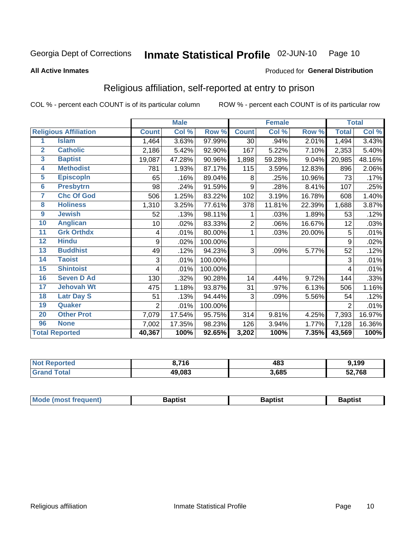#### Inmate Statistical Profile 02-JUN-10 Page 10

**All Active Inmates** 

#### Produced for General Distribution

## Religious affiliation, self-reported at entry to prison

COL % - percent each COUNT is of its particular column

|                  |                              |                | <b>Male</b> |         |                | <b>Female</b> |        |                | <b>Total</b> |
|------------------|------------------------------|----------------|-------------|---------|----------------|---------------|--------|----------------|--------------|
|                  | <b>Religious Affiliation</b> | <b>Count</b>   | Col %       | Row %   | <b>Count</b>   | Col%          | Row %  | <b>Total</b>   | Col %        |
| 1                | <b>Islam</b>                 | 1,464          | 3.63%       | 97.99%  | 30             | .94%          | 2.01%  | 1,494          | 3.43%        |
| $\overline{2}$   | <b>Catholic</b>              | 2,186          | 5.42%       | 92.90%  | 167            | 5.22%         | 7.10%  | 2,353          | 5.40%        |
| 3                | <b>Baptist</b>               | 19,087         | 47.28%      | 90.96%  | 1,898          | 59.28%        | 9.04%  | 20,985         | 48.16%       |
| 4                | <b>Methodist</b>             | 781            | 1.93%       | 87.17%  | 115            | 3.59%         | 12.83% | 896            | 2.06%        |
| $\overline{5}$   | <b>EpiscopIn</b>             | 65             | .16%        | 89.04%  | 8              | .25%          | 10.96% | 73             | .17%         |
| $6\overline{6}$  | <b>Presbytrn</b>             | 98             | .24%        | 91.59%  | 9              | .28%          | 8.41%  | 107            | .25%         |
| 7                | <b>Chc Of God</b>            | 506            | 1.25%       | 83.22%  | 102            | 3.19%         | 16.78% | 608            | 1.40%        |
| 8                | <b>Holiness</b>              | 1,310          | 3.25%       | 77.61%  | 378            | 11.81%        | 22.39% | 1,688          | 3.87%        |
| $\boldsymbol{9}$ | <b>Jewish</b>                | 52             | .13%        | 98.11%  |                | .03%          | 1.89%  | 53             | .12%         |
| 10               | <b>Anglican</b>              | 10             | .02%        | 83.33%  | $\overline{c}$ | .06%          | 16.67% | 12             | .03%         |
| 11               | <b>Grk Orthdx</b>            | 4              | .01%        | 80.00%  |                | .03%          | 20.00% | 5              | .01%         |
| 12               | <b>Hindu</b>                 | 9              | .02%        | 100.00% |                |               |        | 9              | .02%         |
| 13               | <b>Buddhist</b>              | 49             | .12%        | 94.23%  | 3              | .09%          | 5.77%  | 52             | .12%         |
| 14               | <b>Taoist</b>                | 3              | .01%        | 100.00% |                |               |        | 3              | .01%         |
| 15               | <b>Shintoist</b>             | 4              | .01%        | 100.00% |                |               |        | 4              | .01%         |
| 16               | <b>Seven D Ad</b>            | 130            | .32%        | 90.28%  | 14             | .44%          | 9.72%  | 144            | .33%         |
| 17               | <b>Jehovah Wt</b>            | 475            | 1.18%       | 93.87%  | 31             | .97%          | 6.13%  | 506            | 1.16%        |
| 18               | <b>Latr Day S</b>            | 51             | .13%        | 94.44%  | 3              | .09%          | 5.56%  | 54             | .12%         |
| 19               | Quaker                       | $\overline{2}$ | .01%        | 100.00% |                |               |        | $\overline{2}$ | .01%         |
| 20               | <b>Other Prot</b>            | 7,079          | 17.54%      | 95.75%  | 314            | 9.81%         | 4.25%  | 7,393          | 16.97%       |
| 96               | <b>None</b>                  | 7,002          | 17.35%      | 98.23%  | 126            | 3.94%         | 1.77%  | 7,128          | 16.36%       |
|                  | <b>Total Reported</b>        | 40,367         | 100%        | 92.65%  | 3,202          | 100%          | 7.35%  | 43,569         | 100%         |

| Reported<br>NO: | 74C<br>16 | 483   | ,199   |
|-----------------|-----------|-------|--------|
| <b>otal</b>     | 49,083    | 3,685 | 52,768 |

| Baptist<br>Baptist<br><b>Baptist</b> |  | <b>Mode (most frequent)</b> |  |  |  |
|--------------------------------------|--|-----------------------------|--|--|--|
|--------------------------------------|--|-----------------------------|--|--|--|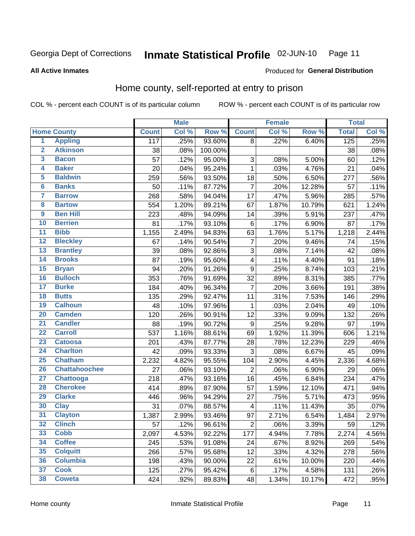#### **Inmate Statistical Profile 02-JUN-10** Page 11

#### **All Active Inmates**

#### Produced for General Distribution

## Home county, self-reported at entry to prison

COL % - percent each COUNT is of its particular column

|                         |                      |              | <b>Male</b> |         |                           | <b>Female</b> |        | <b>Total</b> |       |
|-------------------------|----------------------|--------------|-------------|---------|---------------------------|---------------|--------|--------------|-------|
|                         | <b>Home County</b>   | <b>Count</b> | Col %       | Row %   | <b>Count</b>              | Col %         | Row %  | <b>Total</b> | Col % |
| $\overline{\mathbf{1}}$ | <b>Appling</b>       | 117          | .25%        | 93.60%  | 8                         | .22%          | 6.40%  | 125          | .25%  |
| $\overline{2}$          | <b>Atkinson</b>      | 38           | .08%        | 100.00% |                           |               |        | 38           | .08%  |
| 3                       | <b>Bacon</b>         | 57           | .12%        | 95.00%  | $\ensuremath{\mathsf{3}}$ | .08%          | 5.00%  | 60           | .12%  |
| 4                       | <b>Baker</b>         | 20           | .04%        | 95.24%  | $\mathbf 1$               | .03%          | 4.76%  | 21           | .04%  |
| 5                       | <b>Baldwin</b>       | 259          | .56%        | 93.50%  | 18                        | .50%          | 6.50%  | 277          | .56%  |
| $6\phantom{1}6$         | <b>Banks</b>         | 50           | .11%        | 87.72%  | $\overline{7}$            | .20%          | 12.28% | 57           | .11%  |
| $\overline{7}$          | <b>Barrow</b>        | 268          | .58%        | 94.04%  | 17                        | .47%          | 5.96%  | 285          | .57%  |
| 8                       | <b>Bartow</b>        | 554          | 1.20%       | 89.21%  | 67                        | 1.87%         | 10.79% | 621          | 1.24% |
| $\overline{9}$          | <b>Ben Hill</b>      | 223          | .48%        | 94.09%  | 14                        | .39%          | 5.91%  | 237          | .47%  |
| 10                      | <b>Berrien</b>       | 81           | .17%        | 93.10%  | $\,6$                     | .17%          | 6.90%  | 87           | .17%  |
| $\overline{11}$         | <b>Bibb</b>          | 1,155        | 2.49%       | 94.83%  | 63                        | 1.76%         | 5.17%  | 1,218        | 2.44% |
| $\overline{12}$         | <b>Bleckley</b>      | 67           | .14%        | 90.54%  | $\overline{7}$            | .20%          | 9.46%  | 74           | .15%  |
| 13                      | <b>Brantley</b>      | 39           | .08%        | 92.86%  | $\overline{3}$            | .08%          | 7.14%  | 42           | .08%  |
| $\overline{14}$         | <b>Brooks</b>        | 87           | .19%        | 95.60%  | $\overline{4}$            | .11%          | 4.40%  | 91           | .18%  |
| 15                      | <b>Bryan</b>         | 94           | .20%        | 91.26%  | $\boldsymbol{9}$          | .25%          | 8.74%  | 103          | .21%  |
| 16                      | <b>Bulloch</b>       | 353          | .76%        | 91.69%  | 32                        | .89%          | 8.31%  | 385          | .77%  |
| $\overline{17}$         | <b>Burke</b>         | 184          | .40%        | 96.34%  | $\overline{7}$            | .20%          | 3.66%  | 191          | .38%  |
| 18                      | <b>Butts</b>         | 135          | .29%        | 92.47%  | 11                        | .31%          | 7.53%  | 146          | .29%  |
| 19                      | <b>Calhoun</b>       | 48           | .10%        | 97.96%  | $\mathbf 1$               | .03%          | 2.04%  | 49           | .10%  |
| $\overline{20}$         | <b>Camden</b>        | 120          | .26%        | 90.91%  | 12                        | .33%          | 9.09%  | 132          | .26%  |
| $\overline{21}$         | <b>Candler</b>       | 88           | .19%        | 90.72%  | $\boldsymbol{9}$          | .25%          | 9.28%  | 97           | .19%  |
| $\overline{22}$         | <b>Carroll</b>       | 537          | 1.16%       | 88.61%  | 69                        | 1.92%         | 11.39% | 606          | 1.21% |
| 23                      | <b>Catoosa</b>       | 201          | .43%        | 87.77%  | 28                        | .78%          | 12.23% | 229          | .46%  |
| $\overline{24}$         | <b>Charlton</b>      | 42           | .09%        | 93.33%  | 3                         | .08%          | 6.67%  | 45           | .09%  |
| $\overline{25}$         | <b>Chatham</b>       | 2,232        | 4.82%       | 95.55%  | 104                       | 2.90%         | 4.45%  | 2,336        | 4.68% |
| 26                      | <b>Chattahoochee</b> | 27           | .06%        | 93.10%  | $\overline{2}$            | .06%          | 6.90%  | 29           | .06%  |
| $\overline{27}$         | Chattooga            | 218          | .47%        | 93.16%  | 16                        | .45%          | 6.84%  | 234          | .47%  |
| 28                      | <b>Cherokee</b>      | 414          | .89%        | 87.90%  | 57                        | 1.59%         | 12.10% | 471          | .94%  |
| 29                      | <b>Clarke</b>        | 446          | .96%        | 94.29%  | 27                        | .75%          | 5.71%  | 473          | .95%  |
| 30                      | <b>Clay</b>          | 31           | .07%        | 88.57%  | $\overline{\mathbf{4}}$   | .11%          | 11.43% | 35           | .07%  |
| 31                      | <b>Clayton</b>       | 1,387        | 2.99%       | 93.46%  | 97                        | 2.71%         | 6.54%  | 1,484        | 2.97% |
| 32                      | <b>Clinch</b>        | 57           | .12%        | 96.61%  | $\boldsymbol{2}$          | .06%          | 3.39%  | 59           | .12%  |
| 33                      | <b>Cobb</b>          | 2,097        | 4.53%       | 92.22%  | 177                       | 4.94%         | 7.78%  | 2,274        | 4.56% |
| 34                      | <b>Coffee</b>        | 245          | .53%        | 91.08%  | 24                        | .67%          | 8.92%  | 269          | .54%  |
| 35                      | <b>Colquitt</b>      | 266          | .57%        | 95.68%  | 12                        | .33%          | 4.32%  | 278          | .56%  |
| 36                      | <b>Columbia</b>      | 198          | .43%        | 90.00%  | 22                        | .61%          | 10.00% | 220          | .44%  |
| 37                      | <b>Cook</b>          | 125          | .27%        | 95.42%  | $\,6$                     | .17%          | 4.58%  | 131          | .26%  |
| 38                      | <b>Coweta</b>        | 424          | .92%        | 89.83%  | 48                        | 1.34%         | 10.17% | 472          | .95%  |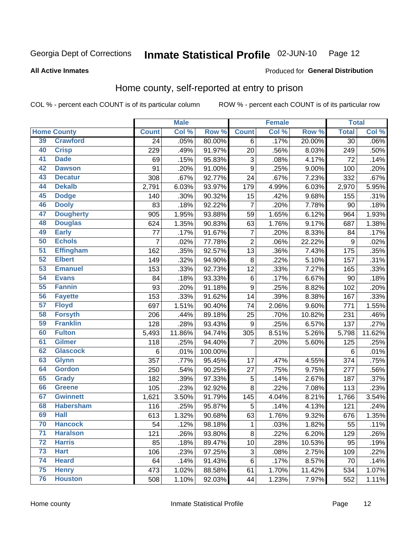#### Inmate Statistical Profile 02-JUN-10 Page 12

**All Active Inmates** 

#### Produced for General Distribution

## Home county, self-reported at entry to prison

COL % - percent each COUNT is of its particular column

|                 |                    |                | <b>Male</b> |         |                           | <b>Female</b> |                  | <b>Total</b>    |         |
|-----------------|--------------------|----------------|-------------|---------|---------------------------|---------------|------------------|-----------------|---------|
|                 | <b>Home County</b> | <b>Count</b>   | Col %       | Row %   | <b>Count</b>              | Col %         | Row <sup>%</sup> | <b>Total</b>    | Col%    |
| 39              | <b>Crawford</b>    | 24             | .05%        | 80.00%  | 6                         | .17%          | 20.00%           | 30              | $.06\%$ |
| 40              | <b>Crisp</b>       | 229            | .49%        | 91.97%  | 20                        | .56%          | 8.03%            | 249             | .50%    |
| 41              | <b>Dade</b>        | 69             | .15%        | 95.83%  | $\ensuremath{\mathsf{3}}$ | .08%          | 4.17%            | 72              | .14%    |
| 42              | <b>Dawson</b>      | 91             | .20%        | 91.00%  | $\mathsf g$               | .25%          | 9.00%            | 100             | .20%    |
| 43              | <b>Decatur</b>     | 308            | .67%        | 92.77%  | 24                        | .67%          | 7.23%            | 332             | .67%    |
| 44              | <b>Dekalb</b>      | 2,791          | 6.03%       | 93.97%  | 179                       | 4.99%         | 6.03%            | 2,970           | 5.95%   |
| 45              | <b>Dodge</b>       | 140            | .30%        | 90.32%  | 15                        | .42%          | 9.68%            | 155             | .31%    |
| 46              | <b>Dooly</b>       | 83             | .18%        | 92.22%  | $\overline{7}$            | .20%          | 7.78%            | 90              | .18%    |
| 47              | <b>Dougherty</b>   | 905            | 1.95%       | 93.88%  | 59                        | 1.65%         | 6.12%            | 964             | 1.93%   |
| 48              | <b>Douglas</b>     | 624            | 1.35%       | 90.83%  | 63                        | 1.76%         | 9.17%            | 687             | 1.38%   |
| 49              | <b>Early</b>       | 77             | .17%        | 91.67%  | $\overline{7}$            | .20%          | 8.33%            | 84              | .17%    |
| 50              | <b>Echols</b>      | $\overline{7}$ | .02%        | 77.78%  | $\overline{2}$            | .06%          | 22.22%           | 9               | .02%    |
| $\overline{51}$ | <b>Effingham</b>   | 162            | .35%        | 92.57%  | 13                        | .36%          | 7.43%            | 175             | .35%    |
| 52              | <b>Elbert</b>      | 149            | .32%        | 94.90%  | $\bf 8$                   | .22%          | 5.10%            | 157             | .31%    |
| 53              | <b>Emanuel</b>     | 153            | .33%        | 92.73%  | 12                        | .33%          | 7.27%            | 165             | .33%    |
| 54              | <b>Evans</b>       | 84             | .18%        | 93.33%  | 6                         | .17%          | 6.67%            | 90              | .18%    |
| 55              | <b>Fannin</b>      | 93             | .20%        | 91.18%  | $\boldsymbol{9}$          | .25%          | 8.82%            | 102             | .20%    |
| 56              | <b>Fayette</b>     | 153            | .33%        | 91.62%  | 14                        | .39%          | 8.38%            | 167             | .33%    |
| 57              | <b>Floyd</b>       | 697            | 1.51%       | 90.40%  | 74                        | 2.06%         | 9.60%            | 771             | 1.55%   |
| 58              | <b>Forsyth</b>     | 206            | .44%        | 89.18%  | 25                        | .70%          | 10.82%           | 231             | .46%    |
| 59              | <b>Franklin</b>    | 128            | .28%        | 93.43%  | $\boldsymbol{9}$          | .25%          | 6.57%            | 137             | .27%    |
| 60              | <b>Fulton</b>      | 5,493          | 11.86%      | 94.74%  | 305                       | 8.51%         | 5.26%            | 5,798           | 11.62%  |
| 61              | <b>Gilmer</b>      | 118            | .25%        | 94.40%  | $\overline{7}$            | .20%          | 5.60%            | 125             | .25%    |
| 62              | <b>Glascock</b>    | $\,6$          | .01%        | 100.00% |                           |               |                  | $6\phantom{1}6$ | .01%    |
| 63              | <b>Glynn</b>       | 357            | .77%        | 95.45%  | 17                        | .47%          | 4.55%            | 374             | .75%    |
| 64              | <b>Gordon</b>      | 250            | .54%        | 90.25%  | 27                        | .75%          | 9.75%            | 277             | .56%    |
| 65              | <b>Grady</b>       | 182            | .39%        | 97.33%  | $\mathbf 5$               | .14%          | 2.67%            | 187             | .37%    |
| 66              | <b>Greene</b>      | 105            | .23%        | 92.92%  | 8                         | .22%          | 7.08%            | 113             | .23%    |
| 67              | <b>Gwinnett</b>    | 1,621          | 3.50%       | 91.79%  | 145                       | 4.04%         | 8.21%            | 1,766           | 3.54%   |
| 68              | <b>Habersham</b>   | 116            | .25%        | 95.87%  | $\mathbf 5$               | .14%          | 4.13%            | 121             | .24%    |
| 69              | <b>Hall</b>        | 613            | 1.32%       | 90.68%  | 63                        | 1.76%         | 9.32%            | 676             | 1.35%   |
| 70              | <b>Hancock</b>     | 54             | .12%        | 98.18%  | $\mathbf{1}$              | .03%          | 1.82%            | 55              | .11%    |
| $\overline{71}$ | <b>Haralson</b>    | 121            | .26%        | 93.80%  | 8                         | .22%          | 6.20%            | 129             | .26%    |
| 72              | <b>Harris</b>      | 85             | .18%        | 89.47%  | 10                        | .28%          | 10.53%           | 95              | .19%    |
| 73              | <b>Hart</b>        | 106            | .23%        | 97.25%  | $\ensuremath{\mathsf{3}}$ | .08%          | 2.75%            | 109             | .22%    |
| 74              | <b>Heard</b>       | 64             | .14%        | 91.43%  | 6                         | .17%          | 8.57%            | 70              | .14%    |
| 75              | <b>Henry</b>       | 473            | 1.02%       | 88.58%  | 61                        | 1.70%         | 11.42%           | 534             | 1.07%   |
| 76              | <b>Houston</b>     | 508            | 1.10%       | 92.03%  | 44                        | 1.23%         | 7.97%            | 552             | 1.11%   |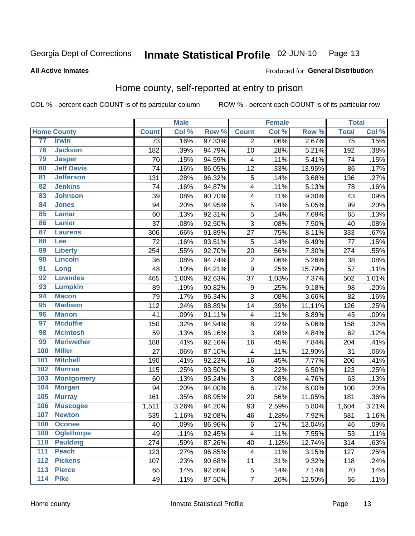#### **Inmate Statistical Profile 02-JUN-10** Page 13

**All Active Inmates** 

#### **Produced for General Distribution**

## Home county, self-reported at entry to prison

COL % - percent each COUNT is of its particular column

|                 |                    |                 | <b>Male</b> |        |                         | <b>Female</b> |        | <b>Total</b>    |         |
|-----------------|--------------------|-----------------|-------------|--------|-------------------------|---------------|--------|-----------------|---------|
|                 | <b>Home County</b> | <b>Count</b>    | Col %       | Row %  | <b>Count</b>            | Col %         | Row %  | <b>Total</b>    | Col %   |
| 77              | <b>Irwin</b>       | $\overline{73}$ | .16%        | 97.33% | $\overline{2}$          | .06%          | 2.67%  | $\overline{75}$ | .15%    |
| 78              | <b>Jackson</b>     | 182             | .39%        | 94.79% | 10                      | .28%          | 5.21%  | 192             | .38%    |
| 79              | <b>Jasper</b>      | 70              | .15%        | 94.59% | $\overline{\mathbf{4}}$ | .11%          | 5.41%  | 74              | .15%    |
| 80              | <b>Jeff Davis</b>  | 74              | .16%        | 86.05% | 12                      | .33%          | 13.95% | 86              | .17%    |
| $\overline{81}$ | <b>Jefferson</b>   | 131             | .28%        | 96.32% | 5                       | .14%          | 3.68%  | 136             | .27%    |
| 82              | <b>Jenkins</b>     | 74              | .16%        | 94.87% | $\overline{\mathbf{4}}$ | .11%          | 5.13%  | 78              | .16%    |
| 83              | <b>Johnson</b>     | 39              | .08%        | 90.70% | $\overline{\mathbf{4}}$ | .11%          | 9.30%  | 43              | .09%    |
| 84              | <b>Jones</b>       | 94              | .20%        | 94.95% | 5                       | .14%          | 5.05%  | 99              | .20%    |
| 85              | <b>Lamar</b>       | 60              | .13%        | 92.31% | 5                       | .14%          | 7.69%  | 65              | .13%    |
| 86              | <b>Lanier</b>      | 37              | .08%        | 92.50% | 3                       | .08%          | 7.50%  | 40              | .08%    |
| 87              | <b>Laurens</b>     | 306             | .66%        | 91.89% | 27                      | .75%          | 8.11%  | 333             | .67%    |
| 88              | Lee                | 72              | .16%        | 93.51% | 5                       | .14%          | 6.49%  | 77              | .15%    |
| 89              | <b>Liberty</b>     | 254             | .55%        | 92.70% | 20                      | .56%          | 7.30%  | 274             | .55%    |
| 90              | <b>Lincoln</b>     | 36              | .08%        | 94.74% | $\overline{2}$          | .06%          | 5.26%  | 38              | .08%    |
| 91              | Long               | 48              | .10%        | 84.21% | $\boldsymbol{9}$        | .25%          | 15.79% | 57              | .11%    |
| 92              | <b>Lowndes</b>     | 465             | 1.00%       | 92.63% | 37                      | 1.03%         | 7.37%  | 502             | 1.01%   |
| 93              | <b>Lumpkin</b>     | 89              | .19%        | 90.82% | $\boldsymbol{9}$        | .25%          | 9.18%  | 98              | .20%    |
| 94              | <b>Macon</b>       | 79              | .17%        | 96.34% | 3                       | .08%          | 3.66%  | 82              | .16%    |
| 95              | <b>Madison</b>     | 112             | .24%        | 88.89% | 14                      | .39%          | 11.11% | 126             | .25%    |
| 96              | <b>Marion</b>      | 41              | .09%        | 91.11% | $\overline{\mathbf{4}}$ | .11%          | 8.89%  | 45              | .09%    |
| 97              | <b>Mcduffie</b>    | 150             | .32%        | 94.94% | $\bf8$                  | .22%          | 5.06%  | 158             | .32%    |
| 98              | <b>Mcintosh</b>    | 59              | .13%        | 95.16% | 3                       | .08%          | 4.84%  | 62              | .12%    |
| 99              | <b>Meriwether</b>  | 188             | .41%        | 92.16% | 16                      | .45%          | 7.84%  | 204             | .41%    |
| 100             | <b>Miller</b>      | 27              | .06%        | 87.10% | $\overline{\mathbf{4}}$ | .11%          | 12.90% | 31              | .06%    |
| 101             | <b>Mitchell</b>    | 190             | .41%        | 92.23% | 16                      | .45%          | 7.77%  | 206             | .41%    |
| 102             | <b>Monroe</b>      | 115             | .25%        | 93.50% | $\bf8$                  | .22%          | 6.50%  | 123             | .25%    |
| 103             | <b>Montgomery</b>  | 60              | .13%        | 95.24% | $\overline{3}$          | .08%          | 4.76%  | 63              | .13%    |
| 104             | <b>Morgan</b>      | 94              | .20%        | 94.00% | $\,6$                   | .17%          | 6.00%  | 100             | .20%    |
| 105             | <b>Murray</b>      | 161             | .35%        | 88.95% | 20                      | .56%          | 11.05% | 181             | $.36\%$ |
| 106             | <b>Muscogee</b>    | 1,511           | 3.26%       | 94.20% | 93                      | 2.59%         | 5.80%  | 1,604           | 3.21%   |
| 107             | <b>Newton</b>      | 535             | 1.16%       | 92.08% | 46                      | 1.28%         | 7.92%  | 581             | 1.16%   |
| 108             | <b>Oconee</b>      | 40              | .09%        | 86.96% | 6                       | .17%          | 13.04% | 46              | .09%    |
| 109             | <b>Oglethorpe</b>  | 49              | .11%        | 92.45% | $\overline{4}$          | .11%          | 7.55%  | 53              | .11%    |
| 110             | <b>Paulding</b>    | 274             | .59%        | 87.26% | 40                      | 1.12%         | 12.74% | 314             | .63%    |
| 111             | <b>Peach</b>       | 123             | .27%        | 96.85% | 4                       | .11%          | 3.15%  | 127             | .25%    |
| 112             | <b>Pickens</b>     | 107             | .23%        | 90.68% | 11                      | .31%          | 9.32%  | 118             | .24%    |
| 113             | <b>Pierce</b>      | 65              | .14%        | 92.86% | 5                       | .14%          | 7.14%  | 70              | .14%    |
| 114             | <b>Pike</b>        | 49              | .11%        | 87.50% | $\overline{\mathbf{7}}$ | .20%          | 12.50% | 56              | .11%    |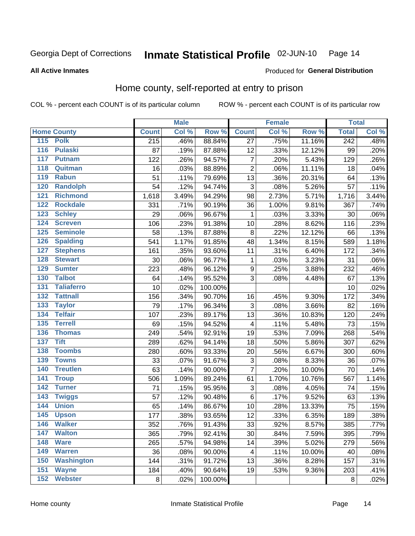#### **Inmate Statistical Profile 02-JUN-10** Page 14

#### **All Active Inmates**

#### Produced for General Distribution

## Home county, self-reported at entry to prison

COL % - percent each COUNT is of its particular column

|                  |                    |              | <b>Male</b> |         |                           | <b>Female</b> |        | <b>Total</b> |       |
|------------------|--------------------|--------------|-------------|---------|---------------------------|---------------|--------|--------------|-------|
|                  | <b>Home County</b> | <b>Count</b> | Col %       | Row %   | <b>Count</b>              | Col %         | Row %  | <b>Total</b> | Col % |
|                  | 115 Polk           | 215          | .46%        | 88.84%  | 27                        | .75%          | 11.16% | 242          | .48%  |
| $\overline{116}$ | <b>Pulaski</b>     | 87           | .19%        | 87.88%  | 12                        | .33%          | 12.12% | 99           | .20%  |
| 117              | <b>Putnam</b>      | 122          | .26%        | 94.57%  | $\overline{7}$            | .20%          | 5.43%  | 129          | .26%  |
| 118              | Quitman            | 16           | .03%        | 88.89%  | $\overline{2}$            | .06%          | 11.11% | 18           | .04%  |
| 119              | <b>Rabun</b>       | 51           | .11%        | 79.69%  | 13                        | .36%          | 20.31% | 64           | .13%  |
| 120              | <b>Randolph</b>    | 54           | .12%        | 94.74%  | 3                         | .08%          | 5.26%  | 57           | .11%  |
| 121              | <b>Richmond</b>    | 1,618        | 3.49%       | 94.29%  | 98                        | 2.73%         | 5.71%  | 1,716        | 3.44% |
| 122              | <b>Rockdale</b>    | 331          | .71%        | 90.19%  | 36                        | 1.00%         | 9.81%  | 367          | .74%  |
| 123              | <b>Schley</b>      | 29           | .06%        | 96.67%  | 1                         | .03%          | 3.33%  | 30           | .06%  |
| 124              | <b>Screven</b>     | 106          | .23%        | 91.38%  | 10                        | .28%          | 8.62%  | 116          | .23%  |
| 125              | <b>Seminole</b>    | 58           | .13%        | 87.88%  | $\, 8$                    | .22%          | 12.12% | 66           | .13%  |
| 126              | <b>Spalding</b>    | 541          | 1.17%       | 91.85%  | 48                        | 1.34%         | 8.15%  | 589          | 1.18% |
| 127              | <b>Stephens</b>    | 161          | .35%        | 93.60%  | 11                        | .31%          | 6.40%  | 172          | .34%  |
| 128              | <b>Stewart</b>     | 30           | .06%        | 96.77%  | $\mathbf{1}$              | .03%          | 3.23%  | 31           | .06%  |
| 129              | <b>Sumter</b>      | 223          | .48%        | 96.12%  | $\boldsymbol{9}$          | .25%          | 3.88%  | 232          | .46%  |
| 130              | <b>Talbot</b>      | 64           | .14%        | 95.52%  | 3                         | .08%          | 4.48%  | 67           | .13%  |
| 131              | <b>Taliaferro</b>  | 10           | .02%        | 100.00% |                           |               |        | 10           | .02%  |
| 132              | <b>Tattnall</b>    | 156          | .34%        | 90.70%  | 16                        | .45%          | 9.30%  | 172          | .34%  |
| 133              | <b>Taylor</b>      | 79           | .17%        | 96.34%  | $\ensuremath{\mathsf{3}}$ | .08%          | 3.66%  | 82           | .16%  |
| 134              | <b>Telfair</b>     | 107          | .23%        | 89.17%  | 13                        | .36%          | 10.83% | 120          | .24%  |
| 135              | <b>Terrell</b>     | 69           | .15%        | 94.52%  | 4                         | .11%          | 5.48%  | 73           | .15%  |
| 136              | <b>Thomas</b>      | 249          | .54%        | 92.91%  | 19                        | .53%          | 7.09%  | 268          | .54%  |
| 137              | <b>Tift</b>        | 289          | .62%        | 94.14%  | 18                        | .50%          | 5.86%  | 307          | .62%  |
| 138              | <b>Toombs</b>      | 280          | .60%        | 93.33%  | 20                        | .56%          | 6.67%  | 300          | .60%  |
| 139              | <b>Towns</b>       | 33           | .07%        | 91.67%  | 3                         | .08%          | 8.33%  | 36           | .07%  |
| 140              | <b>Treutlen</b>    | 63           | .14%        | 90.00%  | $\overline{7}$            | .20%          | 10.00% | 70           | .14%  |
| 141              | <b>Troup</b>       | 506          | 1.09%       | 89.24%  | 61                        | 1.70%         | 10.76% | 567          | 1.14% |
| 142              | <b>Turner</b>      | 71           | .15%        | 95.95%  | 3                         | .08%          | 4.05%  | 74           | .15%  |
| $\overline{143}$ | <b>Twiggs</b>      | 57           | .12%        | 90.48%  | $\,6$                     | .17%          | 9.52%  | 63           | .13%  |
| 144              | <b>Union</b>       | 65           | .14%        | 86.67%  | 10                        | .28%          | 13.33% | 75           | .15%  |
| 145              | <b>Upson</b>       | 177          | .38%        | 93.65%  | 12                        | .33%          | 6.35%  | 189          | .38%  |
| 146              | <b>Walker</b>      | 352          | .76%        | 91.43%  | 33                        | .92%          | 8.57%  | 385          | .77%  |
| 147              | <b>Walton</b>      | 365          | .79%        | 92.41%  | 30                        | .84%          | 7.59%  | 395          | .79%  |
| 148              | <b>Ware</b>        | 265          | .57%        | 94.98%  | 14                        | .39%          | 5.02%  | 279          | .56%  |
| 149              | <b>Warren</b>      | 36           | .08%        | 90.00%  | 4                         | .11%          | 10.00% | 40           | .08%  |
| 150              | <b>Washington</b>  | 144          | .31%        | 91.72%  | 13                        | .36%          | 8.28%  | 157          | .31%  |
| 151              | <b>Wayne</b>       | 184          | .40%        | 90.64%  | 19                        | .53%          | 9.36%  | 203          | .41%  |
| 152              | <b>Webster</b>     | 8            | .02%        | 100.00% |                           |               |        | $\bf 8$      | .02%  |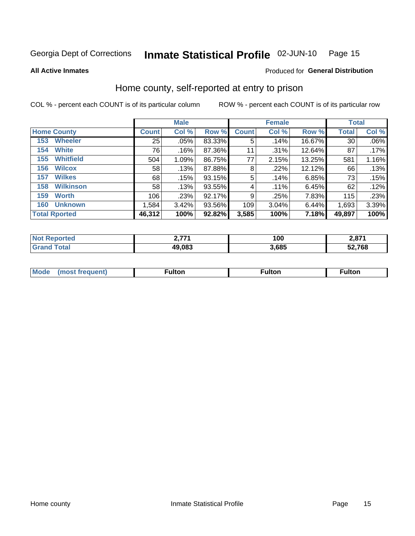#### Inmate Statistical Profile 02-JUN-10 Page 15

#### **All Active Inmates**

## **Produced for General Distribution**

### Home county, self-reported at entry to prison

COL % - percent each COUNT is of its particular column

|                         |              | <b>Male</b> |        |              | <b>Female</b> |        | <b>Total</b> |       |
|-------------------------|--------------|-------------|--------|--------------|---------------|--------|--------------|-------|
| <b>Home County</b>      | <b>Count</b> | Col %       | Row %  | <b>Count</b> | Col %         | Row %  | <b>Total</b> | Col % |
| <b>Wheeler</b><br>153   | 25           | $.05\%$     | 83.33% | 5            | .14%          | 16.67% | 30           | .06%  |
| <b>White</b><br>154     | 76           | .16%        | 87.36% | 11           | .31%          | 12.64% | 87           | .17%  |
| <b>Whitfield</b><br>155 | 504          | 1.09%       | 86.75% | 77           | 2.15%         | 13.25% | 581          | 1.16% |
| <b>Wilcox</b><br>156    | 58           | .13%        | 87.88% | 8            | .22%          | 12.12% | 66           | .13%  |
| <b>Wilkes</b><br>157    | 68           | .15%        | 93.15% | 5            | .14%          | 6.85%  | 73           | .15%  |
| <b>Wilkinson</b><br>158 | 58           | .13%        | 93.55% | 4            | $.11\%$       | 6.45%  | 62           | .12%  |
| 159<br><b>Worth</b>     | 106          | .23%        | 92.17% | 9            | .25%          | 7.83%  | 115          | .23%  |
| <b>Unknown</b><br>160   | 1,584        | 3.42%       | 93.56% | 109          | 3.04%         | 6.44%  | 1,693        | 3.39% |
| <b>Total Rported</b>    | 46,312       | 100%        | 92.82% | 3,585        | 100%          | 7.18%  | 49,897       | 100%  |

| rted<br>NO. | 77     | 100   | <b>2074</b><br>Z,O7 I |
|-------------|--------|-------|-----------------------|
| <b>otal</b> | 49,083 | 3,685 | 52,768                |

| Mode<br>IOST.<br>· treallent. | -----<br>ιπon | ulton | ulton |
|-------------------------------|---------------|-------|-------|
|                               |               |       |       |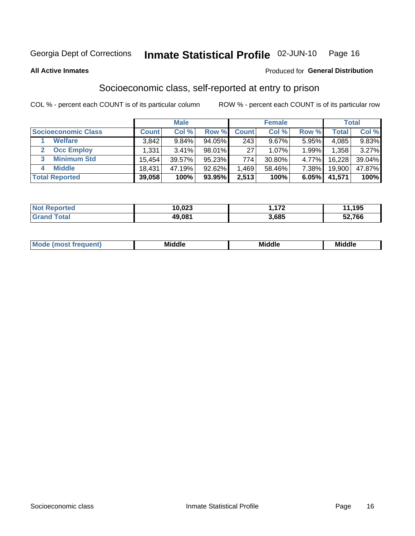#### Inmate Statistical Profile 02-JUN-10 Page 16

**All Active Inmates** 

#### **Produced for General Distribution**

## Socioeconomic class, self-reported at entry to prison

COL % - percent each COUNT is of its particular column

|                         | <b>Male</b> |        |        | <b>Female</b>   |          |       | <b>Total</b> |          |
|-------------------------|-------------|--------|--------|-----------------|----------|-------|--------------|----------|
| Socioeconomic Class     | Count l     | Col %  | Row %  | <b>Count</b>    | Col %    | Row % | Total,       | Col %    |
| <b>Welfare</b>          | 3,842       | 9.84%  | 94.05% | 243             | $9.67\%$ | 5.95% | 4,085        | $9.83\%$ |
| <b>Occ Employ</b>       | .331        | 3.41%  | 98.01% | 27 <sub>1</sub> | $1.07\%$ | 1.99% | 1,358        | $3.27\%$ |
| <b>Minimum Std</b><br>3 | 15,454      | 39.57% | 95.23% | 774             | 30.80%   | 4.77% | 16,228       | 39.04%   |
| <b>Middle</b><br>4      | 18,431      | 47.19% | 92.62% | .469            | 58.46%   | 7.38% | 19,900       | 47.87%   |
| <b>Total Reported</b>   | 39,058      | 100%   | 93.95% | 2,513           | 100%     | 6.05% | 41,571       | 100%     |

| <b>Not Reported</b>   | 10,023 | ィラヘ<br>. | .195   |
|-----------------------|--------|----------|--------|
| <b>Total</b><br>Grand | 49,081 | 3,685    | 52,766 |

| ____<br>____ |
|--------------|
|--------------|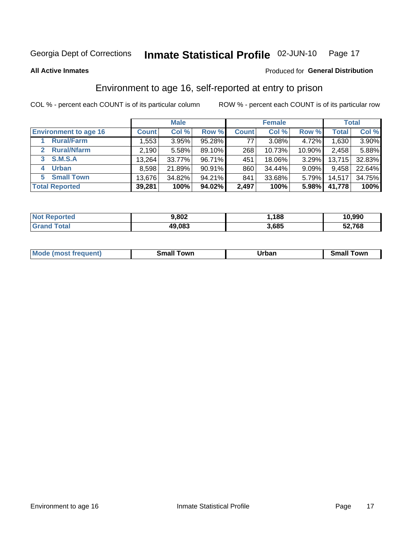## Inmate Statistical Profile 02-JUN-10 Page 17

**All Active Inmates** 

#### Produced for General Distribution

## Environment to age 16, self-reported at entry to prison

COL % - percent each COUNT is of its particular column

|                                    | <b>Male</b>  |        |        | <b>Female</b> |        |          | <b>Total</b> |        |
|------------------------------------|--------------|--------|--------|---------------|--------|----------|--------------|--------|
| <b>Environment to age 16</b>       | <b>Count</b> | Col %  | Row %  | <b>Count</b>  | Col %  | Row %    | <b>Total</b> | Col %  |
| <b>Rural/Farm</b>                  | 1,553        | 3.95%  | 95.28% | 77            | 3.08%  | 4.72%    | 1,630        | 3.90%  |
| <b>Rural/Nfarm</b><br>$\mathbf{2}$ | 2,190        | 5.58%  | 89.10% | 268           | 10.73% | 10.90%   | 2,458        | 5.88%  |
| 3 S.M.S.A                          | 13,264       | 33.77% | 96.71% | 451           | 18.06% | $3.29\%$ | 13,715       | 32.83% |
| <b>Urban</b><br>4                  | 8,598        | 21.89% | 90.91% | 860           | 34.44% | 9.09%    | 9,458        | 22.64% |
| 5 Small Town                       | 13,676       | 34.82% | 94.21% | 841           | 33.68% | $5.79\%$ | 14,517       | 34.75% |
| <b>Total Reported</b>              | 39,281       | 100%   | 94.02% | 2,497         | 100%   | 5.98%    | 41,778       | 100%   |

| <b>Not Reported</b> | 9,802  | .188  | 10,990 |
|---------------------|--------|-------|--------|
| <b>Grand Total</b>  | 49,083 | 3,685 | 52,768 |

| <b>Mode</b><br>auent)<br>ns. | owr<br>Small | Jrban<br>____ | <b>LOWE</b><br>51 |
|------------------------------|--------------|---------------|-------------------|
|                              |              |               |                   |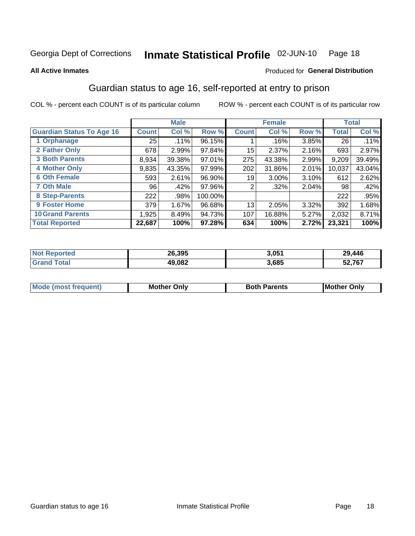#### Inmate Statistical Profile 02-JUN-10 Page 18

#### **All Active Inmates**

#### Produced for General Distribution

## Guardian status to age 16, self-reported at entry to prison

COL % - percent each COUNT is of its particular column

|                                  | <b>Male</b>   |        |         | <b>Female</b> | <b>Total</b> |       |        |        |
|----------------------------------|---------------|--------|---------|---------------|--------------|-------|--------|--------|
| <b>Guardian Status To Age 16</b> | <b>Count!</b> | Col %  | Row %   | <b>Count</b>  | Col %        | Row % | Total  | Col %  |
| 1 Orphanage                      | 25            | .11%   | 96.15%  |               | .16%         | 3.85% | 26     | .11%   |
| 2 Father Only                    | 678           | 2.99%  | 97.84%  | 15            | 2.37%        | 2.16% | 693    | 2.97%  |
| <b>3 Both Parents</b>            | 8,934         | 39.38% | 97.01%  | 275           | 43.38%       | 2.99% | 9,209  | 39.49% |
| <b>4 Mother Only</b>             | 9,835         | 43.35% | 97.99%  | 202           | 31.86%       | 2.01% | 10,037 | 43.04% |
| <b>6 Oth Female</b>              | 593           | 2.61%  | 96.90%  | 19            | 3.00%        | 3.10% | 612    | 2.62%  |
| <b>7 Oth Male</b>                | 96            | .42%   | 97.96%  | 2             | .32%         | 2.04% | 98     | .42%   |
| 8 Step-Parents                   | 222           | .98%   | 100.00% |               |              |       | 222    | .95%   |
| 9 Foster Home                    | 379           | 1.67%  | 96.68%  | 13            | 2.05%        | 3.32% | 392    | 1.68%  |
| <b>10 Grand Parents</b>          | 1,925         | 8.49%  | 94.73%  | 107           | 16.88%       | 5.27% | 2,032  | 8.71%  |
| <b>Total Reported</b>            | 22,687        | 100%   | 97.28%  | 634           | 100%         | 2.72% | 23,321 | 100%   |

| <b>Not</b><br>ported | 26.395 | 3,051 | 29,446 |
|----------------------|--------|-------|--------|
| <b>ota</b>           | 49.082 | 3,685 | 52,767 |

| Mode | วทIv<br>Mot | <b>Both Parents</b><br>Parents | lM.<br>Only<br>. |
|------|-------------|--------------------------------|------------------|
|      |             |                                |                  |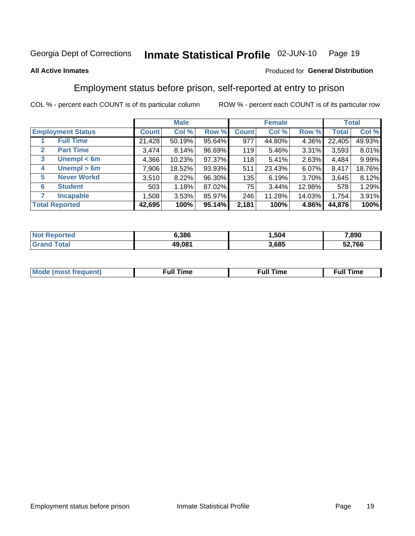#### Inmate Statistical Profile 02-JUN-10 Page 19

#### **All Active Inmates**

#### Produced for General Distribution

## Employment status before prison, self-reported at entry to prison

COL % - percent each COUNT is of its particular column

|                                  | <b>Male</b>  |        |        | <b>Female</b> |        |        | <b>Total</b> |        |
|----------------------------------|--------------|--------|--------|---------------|--------|--------|--------------|--------|
| <b>Employment Status</b>         | <b>Count</b> | Col %  | Row %  | <b>Count</b>  | Col %  | Row %  | Total        | Col %  |
| <b>Full Time</b>                 | 21,428       | 50.19% | 95.64% | 977           | 44.80% | 4.36%  | 22,405       | 49.93% |
| <b>Part Time</b><br>$\mathbf{2}$ | 3,474        | 8.14%  | 96.69% | 119           | 5.46%  | 3.31%  | 3,593        | 8.01%  |
| Unempl $<$ 6m<br>3               | 4,366        | 10.23% | 97.37% | 118           | 5.41%  | 2.63%  | 4,484        | 9.99%  |
| Unempl > 6m<br>4                 | 7,906        | 18.52% | 93.93% | 511           | 23.43% | 6.07%  | 8,417        | 18.76% |
| <b>Never Workd</b><br>5          | 3,510        | 8.22%  | 96.30% | 135           | 6.19%  | 3.70%  | 3,645        | 8.12%  |
| <b>Student</b><br>6              | 503          | 1.18%  | 87.02% | 75            | 3.44%  | 12.98% | 578          | 1.29%  |
| <b>Incapable</b>                 | 1,508        | 3.53%  | 85.97% | 246           | 11.28% | 14.03% | 1,754        | 3.91%  |
| <b>Total Reported</b>            | 42,695       | 100%   | 95.14% | 2,181         | 100%   | 4.86%  | 44,876       | 100%   |

| orteo<br>NO. | ა.386  | .504  | 7,890  |
|--------------|--------|-------|--------|
| int          | 49,081 | 3.685 | 52.766 |

| Mc | ∙u∥<br>----<br>ıme | ίuΙ<br>Πmε |
|----|--------------------|------------|
|    |                    |            |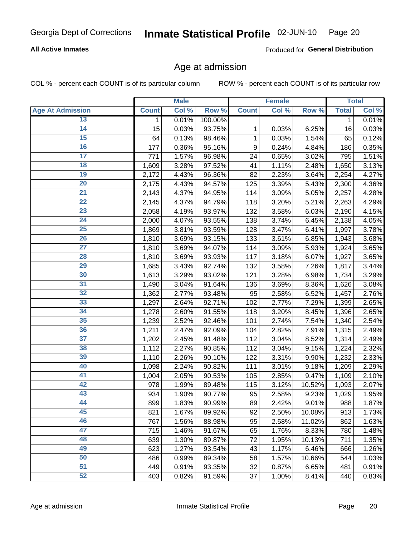#### **All Active Inmates**

Produced for General Distribution

#### Age at admission

COL % - percent each COUNT is of its particular column

|                         |                    | <b>Male</b> |         |              | <b>Female</b> |        |              | <b>Total</b> |
|-------------------------|--------------------|-------------|---------|--------------|---------------|--------|--------------|--------------|
| <b>Age At Admission</b> | <b>Count</b>       | Col %       | Row %   | <b>Count</b> | Col %         | Row %  | <b>Total</b> | Col %        |
| 13                      | $\mathbf 1$        | 0.01%       | 100.00% |              |               |        | 1            | 0.01%        |
| $\overline{14}$         | 15                 | 0.03%       | 93.75%  | 1            | 0.03%         | 6.25%  | 16           | 0.03%        |
| 15                      | 64                 | 0.13%       | 98.46%  | 1            | 0.03%         | 1.54%  | 65           | 0.12%        |
| 16                      | 177                | 0.36%       | 95.16%  | 9            | 0.24%         | 4.84%  | 186          | 0.35%        |
| $\overline{17}$         | 771                | 1.57%       | 96.98%  | 24           | 0.65%         | 3.02%  | 795          | 1.51%        |
| 18                      | 1,609              | 3.28%       | 97.52%  | 41           | 1.11%         | 2.48%  | 1,650        | 3.13%        |
| 19                      | 2,172              | 4.43%       | 96.36%  | 82           | 2.23%         | 3.64%  | 2,254        | 4.27%        |
| $\overline{20}$         | 2,175              | 4.43%       | 94.57%  | 125          | 3.39%         | 5.43%  | 2,300        | 4.36%        |
| $\overline{21}$         | 2,143              | 4.37%       | 94.95%  | 114          | 3.09%         | 5.05%  | 2,257        | 4.28%        |
| $\overline{22}$         | 2,145              | 4.37%       | 94.79%  | 118          | 3.20%         | 5.21%  | 2,263        | 4.29%        |
| 23                      | 2,058              | 4.19%       | 93.97%  | 132          | 3.58%         | 6.03%  | 2,190        | 4.15%        |
| $\overline{24}$         | 2,000              | 4.07%       | 93.55%  | 138          | 3.74%         | 6.45%  | 2,138        | 4.05%        |
| $\overline{25}$         | 1,869              | 3.81%       | 93.59%  | 128          | 3.47%         | 6.41%  | 1,997        | 3.78%        |
| $\overline{26}$         | 1,810              | 3.69%       | 93.15%  | 133          | 3.61%         | 6.85%  | 1,943        | 3.68%        |
| $\overline{27}$         | 1,810              | 3.69%       | 94.07%  | 114          | 3.09%         | 5.93%  | 1,924        | 3.65%        |
| 28                      | $\overline{1,810}$ | 3.69%       | 93.93%  | 117          | 3.18%         | 6.07%  | 1,927        | 3.65%        |
| 29                      | 1,685              | 3.43%       | 92.74%  | 132          | 3.58%         | 7.26%  | 1,817        | 3.44%        |
| 30                      | 1,613              | 3.29%       | 93.02%  | 121          | 3.28%         | 6.98%  | 1,734        | 3.29%        |
| 31                      | 1,490              | 3.04%       | 91.64%  | 136          | 3.69%         | 8.36%  | 1,626        | 3.08%        |
| $\overline{32}$         | 1,362              | 2.77%       | 93.48%  | 95           | 2.58%         | 6.52%  | 1,457        | 2.76%        |
| 33                      | 1,297              | 2.64%       | 92.71%  | 102          | 2.77%         | 7.29%  | 1,399        | 2.65%        |
| 34                      | 1,278              | 2.60%       | 91.55%  | 118          | 3.20%         | 8.45%  | 1,396        | 2.65%        |
| 35                      | 1,239              | 2.52%       | 92.46%  | 101          | 2.74%         | 7.54%  | 1,340        | 2.54%        |
| 36                      | 1,211              | 2.47%       | 92.09%  | 104          | 2.82%         | 7.91%  | 1,315        | 2.49%        |
| $\overline{37}$         | 1,202              | 2.45%       | 91.48%  | 112          | 3.04%         | 8.52%  | 1,314        | 2.49%        |
| 38                      | 1,112              | 2.27%       | 90.85%  | 112          | 3.04%         | 9.15%  | 1,224        | 2.32%        |
| 39                      | 1,110              | 2.26%       | 90.10%  | 122          | 3.31%         | 9.90%  | 1,232        | 2.33%        |
| 40                      | 1,098              | 2.24%       | 90.82%  | 111          | 3.01%         | 9.18%  | 1,209        | 2.29%        |
| 41                      | 1,004              | 2.05%       | 90.53%  | 105          | 2.85%         | 9.47%  | 1,109        | 2.10%        |
| 42                      | 978                | 1.99%       | 89.48%  | 115          | 3.12%         | 10.52% | 1,093        | 2.07%        |
| 43                      | 934                | 1.90%       | 90.77%  | 95           | 2.58%         | 9.23%  | 1,029        | 1.95%        |
| 44                      | 899                | 1.83%       | 90.99%  | 89           | 2.42%         | 9.01%  | 988          | 1.87%        |
| 45                      | 821                | 1.67%       | 89.92%  | 92           | 2.50%         | 10.08% | 913          | 1.73%        |
| 46                      | 767                | 1.56%       | 88.98%  | 95           | 2.58%         | 11.02% | 862          | 1.63%        |
| 47                      | 715                | 1.46%       | 91.67%  | 65           | 1.76%         | 8.33%  | 780          | 1.48%        |
| 48                      | 639                | 1.30%       | 89.87%  | 72           | 1.95%         | 10.13% | 711          | 1.35%        |
| 49                      | 623                | 1.27%       | 93.54%  | 43           | 1.17%         | 6.46%  | 666          | 1.26%        |
| 50                      | 486                | 0.99%       | 89.34%  | 58           | 1.57%         | 10.66% | 544          | 1.03%        |
| 51                      | 449                | 0.91%       | 93.35%  | 32           | 0.87%         | 6.65%  | 481          | 0.91%        |
| 52                      | 403                | 0.82%       | 91.59%  | 37           | 1.00%         | 8.41%  | 440          | 0.83%        |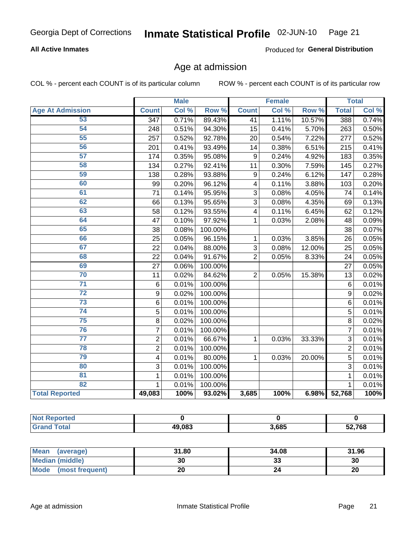#### **All Active Inmates**

Produced for General Distribution

## Age at admission

COL % - percent each COUNT is of its particular column

|                         |                  | <b>Male</b> |         |                | <b>Female</b> |        |                | <b>Total</b> |
|-------------------------|------------------|-------------|---------|----------------|---------------|--------|----------------|--------------|
| <b>Age At Admission</b> | <b>Count</b>     | Col %       | Row %   | <b>Count</b>   | Col %         | Row %  | <b>Total</b>   | Col %        |
| 53                      | $\overline{347}$ | 0.71%       | 89.43%  | 41             | 1.11%         | 10.57% | 388            | 0.74%        |
| 54                      | 248              | 0.51%       | 94.30%  | 15             | 0.41%         | 5.70%  | 263            | 0.50%        |
| 55                      | 257              | 0.52%       | 92.78%  | 20             | 0.54%         | 7.22%  | 277            | 0.52%        |
| 56                      | 201              | 0.41%       | 93.49%  | 14             | 0.38%         | 6.51%  | 215            | 0.41%        |
| 57                      | 174              | 0.35%       | 95.08%  | 9              | 0.24%         | 4.92%  | 183            | 0.35%        |
| 58                      | 134              | 0.27%       | 92.41%  | 11             | 0.30%         | 7.59%  | 145            | 0.27%        |
| 59                      | 138              | 0.28%       | 93.88%  | 9              | 0.24%         | 6.12%  | 147            | 0.28%        |
| 60                      | 99               | 0.20%       | 96.12%  | 4              | 0.11%         | 3.88%  | 103            | 0.20%        |
| 61                      | 71               | 0.14%       | 95.95%  | 3              | 0.08%         | 4.05%  | 74             | 0.14%        |
| 62                      | 66               | 0.13%       | 95.65%  | $\overline{3}$ | 0.08%         | 4.35%  | 69             | 0.13%        |
| 63                      | 58               | 0.12%       | 93.55%  | 4              | 0.11%         | 6.45%  | 62             | 0.12%        |
| 64                      | 47               | 0.10%       | 97.92%  | $\mathbf{1}$   | 0.03%         | 2.08%  | 48             | 0.09%        |
| 65                      | 38               | 0.08%       | 100.00% |                |               |        | 38             | 0.07%        |
| 66                      | 25               | 0.05%       | 96.15%  | 1              | 0.03%         | 3.85%  | 26             | 0.05%        |
| 67                      | 22               | 0.04%       | 88.00%  | 3              | 0.08%         | 12.00% | 25             | 0.05%        |
| 68                      | 22               | 0.04%       | 91.67%  | $\overline{2}$ | 0.05%         | 8.33%  | 24             | 0.05%        |
| 69                      | 27               | 0.06%       | 100.00% |                |               |        | 27             | 0.05%        |
| 70                      | 11               | 0.02%       | 84.62%  | $\overline{2}$ | 0.05%         | 15.38% | 13             | 0.02%        |
| 71                      | $\,6$            | 0.01%       | 100.00% |                |               |        | 6              | 0.01%        |
| $\overline{72}$         | 9                | 0.02%       | 100.00% |                |               |        | 9              | 0.02%        |
| $\overline{73}$         | 6                | 0.01%       | 100.00% |                |               |        | $6\phantom{1}$ | 0.01%        |
| 74                      | 5                | 0.01%       | 100.00% |                |               |        | 5              | 0.01%        |
| 75                      | 8                | 0.02%       | 100.00% |                |               |        | 8              | 0.02%        |
| 76                      | $\overline{7}$   | 0.01%       | 100.00% |                |               |        | $\overline{7}$ | 0.01%        |
| $\overline{77}$         | $\overline{c}$   | 0.01%       | 66.67%  | $\mathbf{1}$   | 0.03%         | 33.33% | $\overline{3}$ | 0.01%        |
| 78                      | $\overline{2}$   | 0.01%       | 100.00% |                |               |        | $\overline{2}$ | 0.01%        |
| 79                      | 4                | 0.01%       | 80.00%  | $\mathbf{1}$   | 0.03%         | 20.00% | 5              | 0.01%        |
| 80                      | 3                | 0.01%       | 100.00% |                |               |        | 3              | 0.01%        |
| 81                      | $\mathbf{1}$     | 0.01%       | 100.00% |                |               |        | 1              | 0.01%        |
| 82                      | 1                | 0.01%       | 100.00% |                |               |        | 1              | 0.01%        |
| <b>Total Reported</b>   | 49,083           | 100%        | 93.02%  | 3,685          | 100%          | 6.98%  | 52,768         | 100%         |

| <b>Not Reported</b> |        |       |        |
|---------------------|--------|-------|--------|
| ' Total<br>'Grand   | 49,083 | 3,685 | 52,768 |

| Mean<br>(average)       | 31.80 | 34.08 | 31.96 |
|-------------------------|-------|-------|-------|
| <b>Median (middle)</b>  | 30    | აა    | 30    |
| Mode<br>(most frequent) | zu    |       | 20    |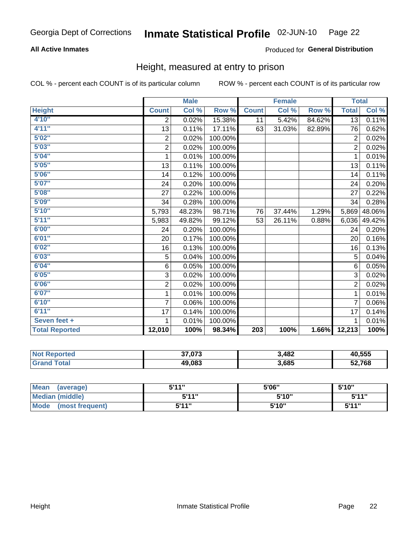#### **All Active Inmates**

#### Produced for General Distribution

#### Height, measured at entry to prison

COL % - percent each COUNT is of its particular column

|                       |                           | <b>Male</b> |         |                  | <b>Female</b> |        | <b>Total</b>   |        |
|-----------------------|---------------------------|-------------|---------|------------------|---------------|--------|----------------|--------|
| <b>Height</b>         | <b>Count</b>              | Col %       | Row %   | <b>Count</b>     | Col %         | Row %  | <b>Total</b>   | Col %  |
| 4'10"                 | 2                         | 0.02%       | 15.38%  | 11               | 5.42%         | 84.62% | 13             | 0.11%  |
| 4'11''                | 13                        | 0.11%       | 17.11%  | 63               | 31.03%        | 82.89% | 76             | 0.62%  |
| 5'02''                | $\overline{2}$            | 0.02%       | 100.00% |                  |               |        | $\overline{2}$ | 0.02%  |
| 5'03''                | $\overline{\mathbf{c}}$   | 0.02%       | 100.00% |                  |               |        | $\overline{2}$ | 0.02%  |
| 5'04"                 | 1                         | 0.01%       | 100.00% |                  |               |        | $\mathbf{1}$   | 0.01%  |
| 5'05''                | 13                        | 0.11%       | 100.00% |                  |               |        | 13             | 0.11%  |
| 5'06''                | 14                        | 0.12%       | 100.00% |                  |               |        | 14             | 0.11%  |
| 5'07''                | 24                        | 0.20%       | 100.00% |                  |               |        | 24             | 0.20%  |
| 5'08''                | 27                        | 0.22%       | 100.00% |                  |               |        | 27             | 0.22%  |
| 5'09''                | 34                        | 0.28%       | 100.00% |                  |               |        | 34             | 0.28%  |
| 5'10''                | 5,793                     | 48.23%      | 98.71%  | 76               | 37.44%        | 1.29%  | 5,869          | 48.06% |
| 5'11''                | 5,983                     | 49.82%      | 99.12%  | 53               | 26.11%        | 0.88%  | 6,036          | 49.42% |
| 6'00''                | 24                        | 0.20%       | 100.00% |                  |               |        | 24             | 0.20%  |
| 6'01''                | 20                        | 0.17%       | 100.00% |                  |               |        | 20             | 0.16%  |
| 6'02''                | 16                        | 0.13%       | 100.00% |                  |               |        | 16             | 0.13%  |
| 6'03''                | 5                         | 0.04%       | 100.00% |                  |               |        | 5              | 0.04%  |
| 6'04''                | 6                         | 0.05%       | 100.00% |                  |               |        | 6              | 0.05%  |
| 6'05''                | $\ensuremath{\mathsf{3}}$ | 0.02%       | 100.00% |                  |               |        | 3              | 0.02%  |
| 6'06''                | $\overline{c}$            | 0.02%       | 100.00% |                  |               |        | $\overline{2}$ | 0.02%  |
| 6'07''                | 1                         | 0.01%       | 100.00% |                  |               |        | 1              | 0.01%  |
| 6'10''                | $\overline{7}$            | 0.06%       | 100.00% |                  |               |        | $\overline{7}$ | 0.06%  |
| 6'11''                | 17                        | 0.14%       | 100.00% |                  |               |        | 17             | 0.14%  |
| Seven feet +          | 1                         | 0.01%       | 100.00% |                  |               |        | 1              | 0.01%  |
| <b>Total Reported</b> | 12,010                    | 100%        | 98.34%  | $\overline{203}$ | 100%          | 1.66%  | 12,213         | 100%   |

| Reported<br>NOT | 37,073 | ,482  | 40,555 |
|-----------------|--------|-------|--------|
| ™otar           | 49,083 | 3,685 | 52,768 |

| <b>Mean</b><br>(average)       | <b>5'44"</b> | 5'06" | 5'10"  |
|--------------------------------|--------------|-------|--------|
| <b>Median (middle)</b>         | 544"         | 5'10" | 5'11'' |
| <b>Mode</b><br>(most frequent) | 544"         | 5'10" | 544"   |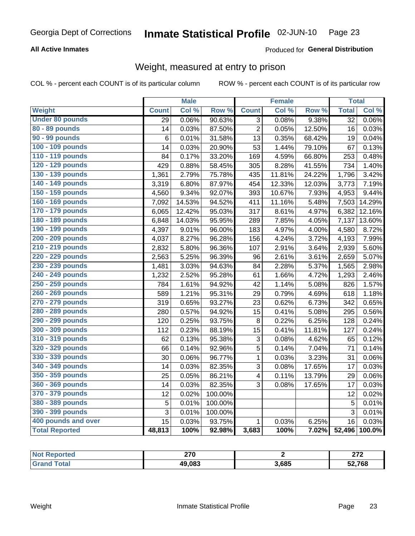#### **All Active Inmates**

#### Produced for General Distribution

## Weight, measured at entry to prison

COL % - percent each COUNT is of its particular column

|                        |              | <b>Male</b> |                  |                         | <b>Female</b> |        | <b>Total</b>    |        |
|------------------------|--------------|-------------|------------------|-------------------------|---------------|--------|-----------------|--------|
| <b>Weight</b>          | <b>Count</b> | Col %       | Row <sup>%</sup> | <b>Count</b>            | Col %         | Row %  | <b>Total</b>    | Col %  |
| <b>Under 80 pounds</b> | 29           | 0.06%       | 90.63%           | $\overline{3}$          | 0.08%         | 9.38%  | $\overline{32}$ | 0.06%  |
| 80 - 89 pounds         | 14           | 0.03%       | 87.50%           | $\overline{2}$          | 0.05%         | 12.50% | 16              | 0.03%  |
| 90 - 99 pounds         | 6            | 0.01%       | 31.58%           | 13                      | 0.35%         | 68.42% | 19              | 0.04%  |
| 100 - 109 pounds       | 14           | 0.03%       | 20.90%           | 53                      | 1.44%         | 79.10% | 67              | 0.13%  |
| 110 - 119 pounds       | 84           | 0.17%       | 33.20%           | 169                     | 4.59%         | 66.80% | 253             | 0.48%  |
| 120 - 129 pounds       | 429          | 0.88%       | 58.45%           | 305                     | 8.28%         | 41.55% | 734             | 1.40%  |
| 130 - 139 pounds       | 1,361        | 2.79%       | 75.78%           | 435                     | 11.81%        | 24.22% | 1,796           | 3.42%  |
| 140 - 149 pounds       | 3,319        | 6.80%       | 87.97%           | 454                     | 12.33%        | 12.03% | 3,773           | 7.19%  |
| 150 - 159 pounds       | 4,560        | 9.34%       | 92.07%           | 393                     | 10.67%        | 7.93%  | 4,953           | 9.44%  |
| 160 - 169 pounds       | 7,092        | 14.53%      | 94.52%           | 411                     | 11.16%        | 5.48%  | 7,503           | 14.29% |
| 170 - 179 pounds       | 6,065        | 12.42%      | 95.03%           | 317                     | 8.61%         | 4.97%  | 6,382           | 12.16% |
| 180 - 189 pounds       | 6,848        | 14.03%      | 95.95%           | 289                     | 7.85%         | 4.05%  | 7,137           | 13.60% |
| 190 - 199 pounds       | 4,397        | 9.01%       | 96.00%           | 183                     | 4.97%         | 4.00%  | 4,580           | 8.72%  |
| 200 - 209 pounds       | 4,037        | 8.27%       | 96.28%           | 156                     | 4.24%         | 3.72%  | 4,193           | 7.99%  |
| 210 - 219 pounds       | 2,832        | 5.80%       | 96.36%           | 107                     | 2.91%         | 3.64%  | 2,939           | 5.60%  |
| 220 - 229 pounds       | 2,563        | 5.25%       | 96.39%           | 96                      | 2.61%         | 3.61%  | 2,659           | 5.07%  |
| 230 - 239 pounds       | 1,481        | 3.03%       | 94.63%           | 84                      | 2.28%         | 5.37%  | 1,565           | 2.98%  |
| 240 - 249 pounds       | 1,232        | 2.52%       | 95.28%           | 61                      | 1.66%         | 4.72%  | 1,293           | 2.46%  |
| 250 - 259 pounds       | 784          | 1.61%       | 94.92%           | 42                      | 1.14%         | 5.08%  | 826             | 1.57%  |
| 260 - 269 pounds       | 589          | 1.21%       | 95.31%           | 29                      | 0.79%         | 4.69%  | 618             | 1.18%  |
| 270 - 279 pounds       | 319          | 0.65%       | 93.27%           | 23                      | 0.62%         | 6.73%  | 342             | 0.65%  |
| 280 - 289 pounds       | 280          | 0.57%       | 94.92%           | $\overline{15}$         | 0.41%         | 5.08%  | 295             | 0.56%  |
| 290 - 299 pounds       | 120          | 0.25%       | 93.75%           | 8                       | 0.22%         | 6.25%  | 128             | 0.24%  |
| 300 - 309 pounds       | 112          | 0.23%       | 88.19%           | 15                      | 0.41%         | 11.81% | 127             | 0.24%  |
| 310 - 319 pounds       | 62           | 0.13%       | 95.38%           | 3                       | 0.08%         | 4.62%  | 65              | 0.12%  |
| 320 - 329 pounds       | 66           | 0.14%       | 92.96%           | $\overline{5}$          | 0.14%         | 7.04%  | 71              | 0.14%  |
| 330 - 339 pounds       | 30           | 0.06%       | 96.77%           | $\mathbf 1$             | 0.03%         | 3.23%  | 31              | 0.06%  |
| 340 - 349 pounds       | 14           | 0.03%       | 82.35%           | 3                       | 0.08%         | 17.65% | 17              | 0.03%  |
| 350 - 359 pounds       | 25           | 0.05%       | 86.21%           | $\overline{\mathbf{4}}$ | 0.11%         | 13.79% | 29              | 0.06%  |
| 360 - 369 pounds       | 14           | 0.03%       | 82.35%           | 3                       | 0.08%         | 17.65% | 17              | 0.03%  |
| 370 - 379 pounds       | 12           | 0.02%       | 100.00%          |                         |               |        | 12              | 0.02%  |
| 380 - 389 pounds       | 5            | 0.01%       | 100.00%          |                         |               |        | 5               | 0.01%  |
| 390 - 399 pounds       | 3            | 0.01%       | 100.00%          |                         |               |        | $\overline{3}$  | 0.01%  |
| 400 pounds and over    | 15           | 0.03%       | 93.75%           | 1                       | 0.03%         | 6.25%  | 16              | 0.03%  |
| <b>Total Reported</b>  | 48,813       | 100%        | 92.98%           | 3,683                   | 100%          | 7.02%  | 52,496          | 100.0% |

| orted<br>N | 270<br>21 U |       | 0.70<br>--- |
|------------|-------------|-------|-------------|
| 'ota.      | 49,083      | 3,685 | 52,768      |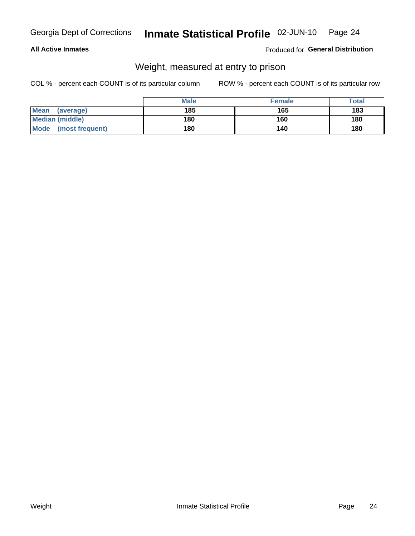#### **All Active Inmates**

#### Produced for General Distribution

## Weight, measured at entry to prison

COL % - percent each COUNT is of its particular column

|                          | <b>Male</b> | <b>Female</b> | Total |
|--------------------------|-------------|---------------|-------|
| <b>Mean</b><br>(average) | 185         | 165           | 183   |
| <b>Median (middle)</b>   | 180         | 160           | 180   |
| Mode<br>(most frequent)  | 180         | 140           | 180   |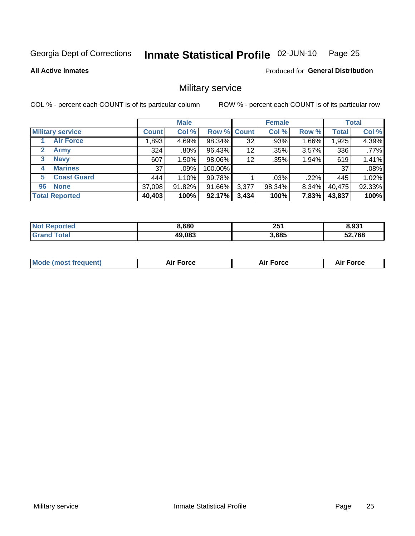#### Inmate Statistical Profile 02-JUN-10 Page 25

#### **All Active Inmates**

**Produced for General Distribution** 

### Military service

COL % - percent each COUNT is of its particular column

|                             |              | <b>Male</b> |             |       | <b>Female</b> |       |              | <b>Total</b> |
|-----------------------------|--------------|-------------|-------------|-------|---------------|-------|--------------|--------------|
| <b>Military service</b>     | <b>Count</b> | Col %       | Row % Count |       | Col %         | Row % | <b>Total</b> | Col %        |
| <b>Air Force</b>            | .893         | 4.69%       | 98.34%      | 32    | .93%          | 1.66% | 1,925        | 4.39%        |
| $\mathbf{2}$<br><b>Army</b> | 324          | $.80\%$     | 96.43%      | 12    | .35%          | 3.57% | 336          | .77%         |
| <b>Navy</b><br>3            | 607          | $1.50\%$    | 98.06%      | 12    | .35%          | 1.94% | 619          | 1.41%        |
| <b>Marines</b><br>4         | 37           | $.09\%$     | 100.00%     |       |               |       | 37           | .08%         |
| <b>Coast Guard</b><br>5.    | 444          | 1.10%       | 99.78%      |       | .03%          | .22%  | 445          | 1.02%        |
| <b>None</b><br>96           | 37,098       | 91.82%      | 91.66%      | 3,377 | 98.34%        | 8.34% | 40,475       | 92.33%       |
| <b>Total Reported</b>       | 40,403       | 100%        | 92.17%      | 3,434 | 100%          | 7.83% | 43,837       | 100%         |

| <b>ported</b><br>Nt    | 8,680  | 251<br>$\sim$ | 8.931  |
|------------------------|--------|---------------|--------|
| <b>cotal</b><br>'Grand | 49,083 | 3,685         | 52,768 |

| <b>Mode (most frequent)</b><br>Force<br><b>Force</b><br>orce<br>Aır |
|---------------------------------------------------------------------|
|---------------------------------------------------------------------|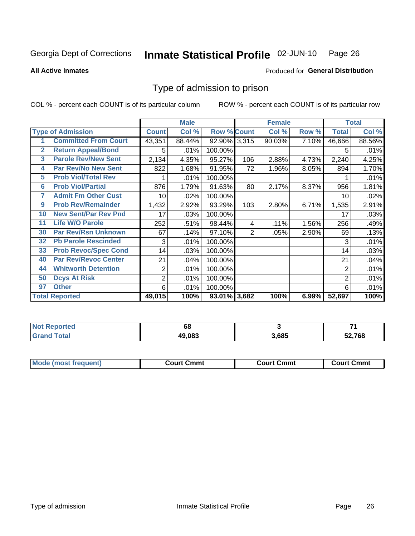#### Inmate Statistical Profile 02-JUN-10 Page 26

**All Active Inmates** 

#### Produced for General Distribution

### Type of admission to prison

COL % - percent each COUNT is of its particular column

|                |                             |                | <b>Male</b> |                    |     | <b>Female</b> |       |                | <b>Total</b> |
|----------------|-----------------------------|----------------|-------------|--------------------|-----|---------------|-------|----------------|--------------|
|                | <b>Type of Admission</b>    | <b>Count</b>   | Col %       | <b>Row % Count</b> |     | Col %         | Row % | <b>Total</b>   | Col %        |
| 1              | <b>Committed From Court</b> | 43,351         | 88.44%      | 92.90% 3,315       |     | 90.03%        | 7.10% | 46,666         | 88.56%       |
| $\overline{2}$ | <b>Return Appeal/Bond</b>   | 5              | .01%        | 100.00%            |     |               |       | 5              | .01%         |
| 3              | <b>Parole Rev/New Sent</b>  | 2,134          | 4.35%       | 95.27%             | 106 | 2.88%         | 4.73% | 2,240          | 4.25%        |
| 4              | Par Rev/No New Sent         | 822            | 1.68%       | 91.95%             | 72  | 1.96%         | 8.05% | 894            | 1.70%        |
| 5              | <b>Prob Viol/Total Rev</b>  |                | .01%        | 100.00%            |     |               |       |                | .01%         |
| 6              | <b>Prob Viol/Partial</b>    | 876            | 1.79%       | 91.63%             | 80  | 2.17%         | 8.37% | 956            | 1.81%        |
| 7              | <b>Admit Fm Other Cust</b>  | 10             | $.02\%$     | 100.00%            |     |               |       | 10             | .02%         |
| 9              | <b>Prob Rev/Remainder</b>   | 1,432          | 2.92%       | 93.29%             | 103 | 2.80%         | 6.71% | 1,535          | 2.91%        |
| 10             | <b>New Sent/Par Rev Pnd</b> | 17             | .03%        | 100.00%            |     |               |       | 17             | .03%         |
| 11             | <b>Life W/O Parole</b>      | 252            | .51%        | 98.44%             | 4   | .11%          | 1.56% | 256            | .49%         |
| 30             | <b>Par Rev/Rsn Unknown</b>  | 67             | .14%        | 97.10%             | 2   | .05%          | 2.90% | 69             | .13%         |
| 32             | <b>Pb Parole Rescinded</b>  | 3              | .01%        | 100.00%            |     |               |       | 3              | .01%         |
| 33             | <b>Prob Revoc/Spec Cond</b> | 14             | .03%        | 100.00%            |     |               |       | 14             | .03%         |
| 40             | <b>Par Rev/Revoc Center</b> | 21             | .04%        | 100.00%            |     |               |       | 21             | .04%         |
| 44             | <b>Whitworth Detention</b>  | $\overline{2}$ | .01%        | 100.00%            |     |               |       | $\overline{2}$ | .01%         |
| 50             | <b>Dcys At Risk</b>         | $\overline{2}$ | .01%        | 100.00%            |     |               |       | 2              | .01%         |
| 97             | <b>Other</b>                | 6              | .01%        | 100.00%            |     |               |       | 6              | .01%         |
|                | <b>Total Reported</b>       | 49,015         | 100%        | 93.01% 3,682       |     | 100%          | 6.99% | 52,697         | 100%         |

| <b>Not</b><br>Reported | 68     |       | $\rightarrow$ |
|------------------------|--------|-------|---------------|
| <b>Total</b><br>'Grand | 49.083 | 3,685 | 52,768        |

| <b>Mode (most frequent)</b> | Court Cmmt | <b>Court Cmmt</b> | Court Cmmt |
|-----------------------------|------------|-------------------|------------|
|                             |            |                   |            |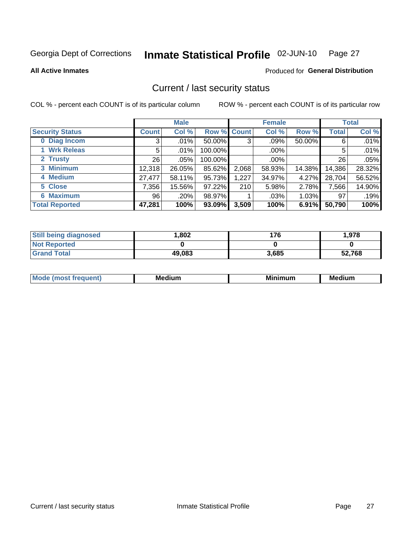#### Inmate Statistical Profile 02-JUN-10 Page 27

Produced for General Distribution

#### **All Active Inmates**

#### Current / last security status

COL % - percent each COUNT is of its particular column

|                        |                 | <b>Male</b> |             |       | <b>Female</b> |        |              | <b>Total</b> |
|------------------------|-----------------|-------------|-------------|-------|---------------|--------|--------------|--------------|
| <b>Security Status</b> | <b>Count</b>    | Col %       | Row % Count |       | Col %         | Row %  | <b>Total</b> | Col %        |
| 0 Diag Incom           | 3               | $.01\%$     | 50.00%      | 3     | $.09\%$       | 50.00% | 6            | .01%         |
| 1 Wrk Releas           | 5               | $.01\%$     | 100.00%     |       | $.00\%$       |        | 5            | .01%         |
| 2 Trusty               | 26 <sub>1</sub> | .05%        | 100.00%     |       | $.00\%$       |        | 26           | .05%         |
| 3 Minimum              | 12,318          | 26.05%      | 85.62%      | 2,068 | 58.93%        | 14.38% | 14,386       | 28.32%       |
| 4 Medium               | 27,477          | 58.11%      | 95.73%      | 1,227 | 34.97%        | 4.27%  | 28,704       | 56.52%       |
| 5 Close                | 7,356           | 15.56%      | 97.22%      | 210   | 5.98%         | 2.78%  | 7,566        | 14.90%       |
| <b>6 Maximum</b>       | 96              | .20%        | 98.97%      |       | .03%          | 1.03%  | 97           | .19%         |
| <b>Total Reported</b>  | 47,281          | 100%        | 93.09%      | 3,509 | 100%          | 6.91%  | 50,790       | 100%         |

| <b>Still being diagnosed</b> | .802   | 176   | 1,978  |
|------------------------------|--------|-------|--------|
| <b>Not Reported</b>          |        |       |        |
| <b>Grand Total</b>           | 49,083 | 3,685 | 52,768 |

| Mc | Medium | <b>BA:</b><br>num | Mer<br>dium |
|----|--------|-------------------|-------------|
|    |        |                   |             |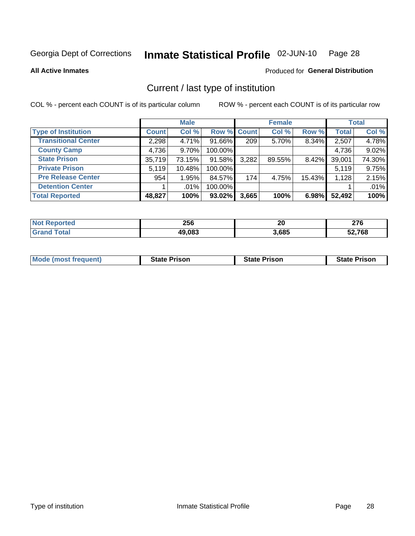#### Inmate Statistical Profile 02-JUN-10 Page 28

**All Active Inmates** 

#### Produced for General Distribution

## Current / last type of institution

COL % - percent each COUNT is of its particular column

|                            |              | <b>Male</b> |             |       | <b>Female</b> |        |              | <b>Total</b> |
|----------------------------|--------------|-------------|-------------|-------|---------------|--------|--------------|--------------|
| <b>Type of Institution</b> | <b>Count</b> | Col %       | Row % Count |       | Col %         | Row %  | <b>Total</b> | Col %        |
| <b>Transitional Center</b> | 2,298        | 4.71%       | 91.66%      | 209   | $5.70\%$      | 8.34%  | 2,507        | 4.78%        |
| <b>County Camp</b>         | 4,736        | $9.70\%$    | 100.00%     |       |               |        | 4,736        | 9.02%        |
| <b>State Prison</b>        | 35,719       | 73.15%      | 91.58%      | 3,282 | 89.55%        | 8.42%  | 39,001       | 74.30%       |
| <b>Private Prison</b>      | 5,119        | 10.48%      | 100.00%     |       |               |        | 5,119        | 9.75%        |
| <b>Pre Release Center</b>  | 954          | 1.95%       | 84.57%      | 174   | 4.75%         | 15.43% | 1,128        | 2.15%        |
| <b>Detention Center</b>    |              | $.01\%$     | 100.00%     |       |               |        |              | .01%         |
| <b>Total Reported</b>      | 48,827       | 100%        | 93.02%      | 3,665 | 100%          | 6.98%  | 52,492       | 100%         |

| w | 256           | 01<br>ZU | ~-~<br><u>.</u> |
|---|---------------|----------|-----------------|
|   | 49.083<br>-11 | 3,685    | .768            |

|  |  | <b>Mode (most frequent)</b> | <b>State Prison</b> | <b>State Prison</b> | <b>State Prison</b> |
|--|--|-----------------------------|---------------------|---------------------|---------------------|
|--|--|-----------------------------|---------------------|---------------------|---------------------|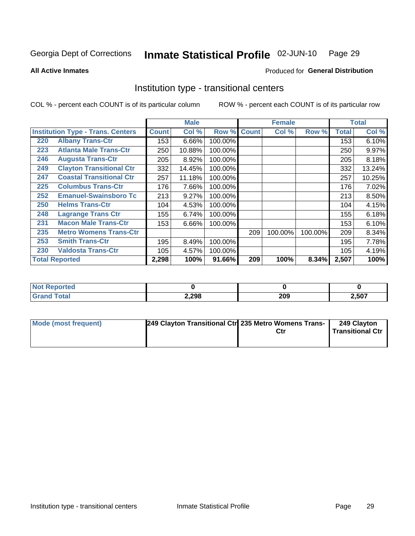#### Inmate Statistical Profile 02-JUN-10 Page 29

**All Active Inmates** 

#### Produced for General Distribution

#### Institution type - transitional centers

COL % - percent each COUNT is of its particular column

|     |                                          |              | <b>Male</b> |         |              | <b>Female</b> |         |              | <b>Total</b> |
|-----|------------------------------------------|--------------|-------------|---------|--------------|---------------|---------|--------------|--------------|
|     | <b>Institution Type - Trans. Centers</b> | <b>Count</b> | Col %       | Row %   | <b>Count</b> | Col %         | Row %   | <b>Total</b> | Col %        |
| 220 | <b>Albany Trans-Ctr</b>                  | 153          | 6.66%       | 100.00% |              |               |         | 153          | 6.10%        |
| 223 | <b>Atlanta Male Trans-Ctr</b>            | 250          | 10.88%      | 100.00% |              |               |         | 250          | 9.97%        |
| 246 | <b>Augusta Trans-Ctr</b>                 | 205          | 8.92%       | 100.00% |              |               |         | 205          | 8.18%        |
| 249 | <b>Clayton Transitional Ctr</b>          | 332          | 14.45%      | 100.00% |              |               |         | 332          | 13.24%       |
| 247 | <b>Coastal Transitional Ctr</b>          | 257          | 11.18%      | 100.00% |              |               |         | 257          | 10.25%       |
| 225 | <b>Columbus Trans-Ctr</b>                | 176          | 7.66%       | 100.00% |              |               |         | 176          | 7.02%        |
| 252 | <b>Emanuel-Swainsboro Tc</b>             | 213          | 9.27%       | 100.00% |              |               |         | 213          | 8.50%        |
| 250 | <b>Helms Trans-Ctr</b>                   | 104          | 4.53%       | 100.00% |              |               |         | 104          | 4.15%        |
| 248 | <b>Lagrange Trans Ctr</b>                | 155          | 6.74%       | 100.00% |              |               |         | 155          | 6.18%        |
| 231 | <b>Macon Male Trans-Ctr</b>              | 153          | 6.66%       | 100.00% |              |               |         | 153          | 6.10%        |
| 235 | <b>Metro Womens Trans-Ctr</b>            |              |             |         | 209          | 100.00%       | 100.00% | 209          | 8.34%        |
| 253 | <b>Smith Trans-Ctr</b>                   | 195          | 8.49%       | 100.00% |              |               |         | 195          | 7.78%        |
| 230 | <b>Valdosta Trans-Ctr</b>                | 105          | 4.57%       | 100.00% |              |               |         | 105          | 4.19%        |
|     | <b>Total Reported</b>                    | 2,298        | 100%        | 91.66%  | 209          | 100%          | 8.34%   | 2,507        | 100%         |

| ™rteα<br>m. |       |     |       |
|-------------|-------|-----|-------|
|             | 2,298 | 209 | 2,507 |

| Mode (most frequent) | 249 Clayton Transitional Ctr 235 Metro Womens Trans- | Ctr | 249 Clayton<br>Transitional Ctr |
|----------------------|------------------------------------------------------|-----|---------------------------------|
|                      |                                                      |     |                                 |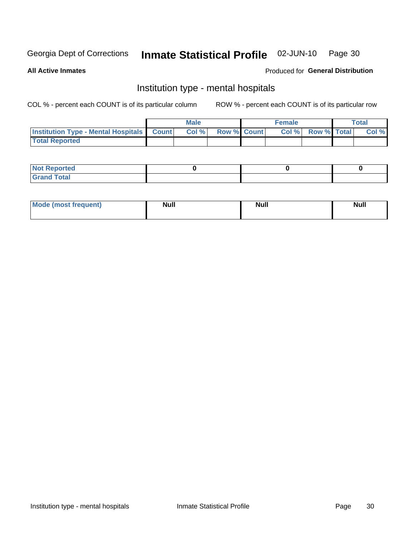#### Inmate Statistical Profile 02-JUN-10 Page 30

#### **All Active Inmates**

#### Produced for General Distribution

## Institution type - mental hospitals

COL % - percent each COUNT is of its particular column

|                                                  | Male |                    | <b>Female</b> |                   | <b>Total</b> |
|--------------------------------------------------|------|--------------------|---------------|-------------------|--------------|
| <b>Institution Type - Mental Hospitals Count</b> | Col% | <b>Row % Count</b> |               | Col % Row % Total | Col %        |
| <b>Total Reported</b>                            |      |                    |               |                   |              |

| <b>Not Reported</b>                     |  |  |
|-----------------------------------------|--|--|
| <b>otal</b><br>C <sub>r</sub><br>______ |  |  |

| Mode.<br>frequent) | <b>Nul</b><br>_____ | <b>Null</b> | <b>Null</b> |
|--------------------|---------------------|-------------|-------------|
|                    |                     |             |             |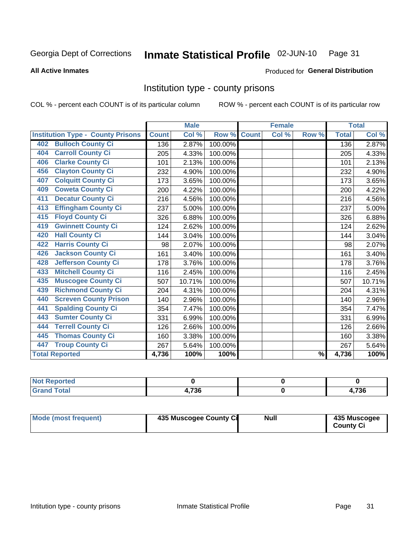#### Inmate Statistical Profile 02-JUN-10 Page 31

#### **All Active Inmates**

## Produced for General Distribution

#### Institution type - county prisons

COL % - percent each COUNT is of its particular column

|                                          |              | <b>Male</b> |         |              | <b>Female</b> |               |              | <b>Total</b> |
|------------------------------------------|--------------|-------------|---------|--------------|---------------|---------------|--------------|--------------|
| <b>Institution Type - County Prisons</b> | <b>Count</b> | Col %       | Row %   | <b>Count</b> | Col %         | Row %         | <b>Total</b> | Col %        |
| <b>Bulloch County Ci</b><br>402          | 136          | 2.87%       | 100.00% |              |               |               | 136          | 2.87%        |
| <b>Carroll County Ci</b><br>404          | 205          | 4.33%       | 100.00% |              |               |               | 205          | 4.33%        |
| <b>Clarke County Ci</b><br>406           | 101          | 2.13%       | 100.00% |              |               |               | 101          | 2.13%        |
| <b>Clayton County Ci</b><br>456          | 232          | 4.90%       | 100.00% |              |               |               | 232          | 4.90%        |
| <b>Colquitt County Ci</b><br>407         | 173          | 3.65%       | 100.00% |              |               |               | 173          | 3.65%        |
| <b>Coweta County Ci</b><br>409           | 200          | 4.22%       | 100.00% |              |               |               | 200          | 4.22%        |
| <b>Decatur County Ci</b><br>411          | 216          | 4.56%       | 100.00% |              |               |               | 216          | 4.56%        |
| <b>Effingham County Ci</b><br>413        | 237          | 5.00%       | 100.00% |              |               |               | 237          | 5.00%        |
| <b>Floyd County Ci</b><br>415            | 326          | 6.88%       | 100.00% |              |               |               | 326          | 6.88%        |
| <b>Gwinnett County Ci</b><br>419         | 124          | 2.62%       | 100.00% |              |               |               | 124          | 2.62%        |
| <b>Hall County Ci</b><br>420             | 144          | 3.04%       | 100.00% |              |               |               | 144          | 3.04%        |
| <b>Harris County Ci</b><br>422           | 98           | 2.07%       | 100.00% |              |               |               | 98           | 2.07%        |
| <b>Jackson County Ci</b><br>426          | 161          | 3.40%       | 100.00% |              |               |               | 161          | 3.40%        |
| <b>Jefferson County Ci</b><br>428        | 178          | 3.76%       | 100.00% |              |               |               | 178          | 3.76%        |
| <b>Mitchell County Ci</b><br>433         | 116          | 2.45%       | 100.00% |              |               |               | 116          | 2.45%        |
| <b>Muscogee County Ci</b><br>435         | 507          | 10.71%      | 100.00% |              |               |               | 507          | 10.71%       |
| <b>Richmond County Ci</b><br>439         | 204          | 4.31%       | 100.00% |              |               |               | 204          | 4.31%        |
| <b>Screven County Prison</b><br>440      | 140          | 2.96%       | 100.00% |              |               |               | 140          | 2.96%        |
| <b>Spalding County Ci</b><br>441         | 354          | 7.47%       | 100.00% |              |               |               | 354          | 7.47%        |
| <b>Sumter County Ci</b><br>443           | 331          | 6.99%       | 100.00% |              |               |               | 331          | 6.99%        |
| <b>Terrell County Ci</b><br>444          | 126          | 2.66%       | 100.00% |              |               |               | 126          | 2.66%        |
| <b>Thomas County Ci</b><br>445           | 160          | 3.38%       | 100.00% |              |               |               | 160          | 3.38%        |
| <b>Troup County Ci</b><br>447            | 267          | 5.64%       | 100.00% |              |               |               | 267          | 5.64%        |
| <b>Total Reported</b>                    | 4,736        | 100%        | 100%    |              |               | $\frac{9}{6}$ | 4,736        | 100%         |

| <b>Not Reported</b>              |                       |       |
|----------------------------------|-----------------------|-------|
| <b>Total</b><br><b>' Grand</b> ∖ | <b>72C</b><br>1.7 J C | 1,736 |

| Mode (most frequent) | 435 Muscogee County Ci | <b>Null</b> | 435 Muscogee<br><b>County Ci</b> |
|----------------------|------------------------|-------------|----------------------------------|
|                      |                        |             |                                  |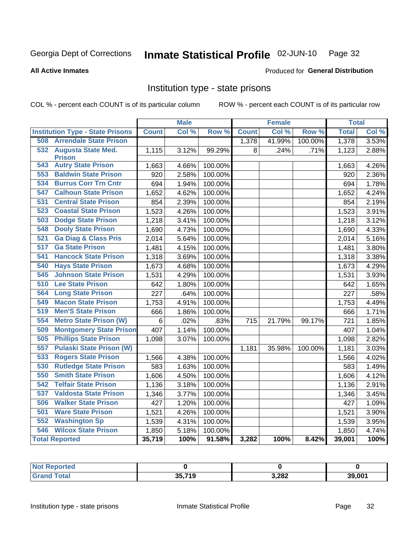#### Inmate Statistical Profile 02-JUN-10 Page 32

#### **All Active Inmates**

#### Produced for General Distribution

### Institution type - state prisons

COL % - percent each COUNT is of its particular column

|                                         |              | <b>Male</b> |                  |              | <b>Female</b> |         | <b>Total</b> |                     |
|-----------------------------------------|--------------|-------------|------------------|--------------|---------------|---------|--------------|---------------------|
| <b>Institution Type - State Prisons</b> | <b>Count</b> | Col %       | Row <sup>%</sup> | <b>Count</b> | Col %         | Row %   | <b>Total</b> | Col %               |
| <b>Arrendale State Prison</b><br>508    |              |             |                  | 1,378        | 41.99%        | 100.00% | 1,378        | 3.53%               |
| 532<br><b>Augusta State Med.</b>        | 1,115        | 3.12%       | 99.29%           | 8            | .24%          | .71%    | 1,123        | 2.88%               |
| <b>Prison</b>                           |              |             |                  |              |               |         |              |                     |
| <b>Autry State Prison</b><br>543        | 1,663        | 4.66%       | 100.00%          |              |               |         | 1,663        | 4.26%               |
| <b>Baldwin State Prison</b><br>553      | 920          | 2.58%       | 100.00%          |              |               |         | 920          | 2.36%               |
| <b>Burrus Corr Trn Cntr</b><br>534      | 694          | 1.94%       | 100.00%          |              |               |         | 694          | 1.78%               |
| <b>Calhoun State Prison</b><br>547      | 1,652        | 4.62%       | 100.00%          |              |               |         | 1,652        | 4.24%               |
| <b>Central State Prison</b><br>531      | 854          | 2.39%       | 100.00%          |              |               |         | 854          | 2.19%               |
| <b>Coastal State Prison</b><br>523      | 1,523        | 4.26%       | 100.00%          |              |               |         | 1,523        | 3.91%               |
| <b>Dodge State Prison</b><br>503        | 1,218        | 3.41%       | 100.00%          |              |               |         | 1,218        | 3.12%               |
| <b>Dooly State Prison</b><br>548        | 1,690        | 4.73%       | 100.00%          |              |               |         | 1,690        | 4.33%               |
| 521<br><b>Ga Diag &amp; Class Pris</b>  | 2,014        | 5.64%       | 100.00%          |              |               |         | 2,014        | $\overline{5.16\%}$ |
| <b>Ga State Prison</b><br>517           | 1,481        | 4.15%       | 100.00%          |              |               |         | 1,481        | 3.80%               |
| <b>Hancock State Prison</b><br>541      | 1,318        | 3.69%       | 100.00%          |              |               |         | 1,318        | 3.38%               |
| <b>Hays State Prison</b><br>540         | 1,673        | 4.68%       | 100.00%          |              |               |         | 1,673        | 4.29%               |
| <b>Johnson State Prison</b><br>545      | 1,531        | 4.29%       | 100.00%          |              |               |         | 1,531        | 3.93%               |
| <b>Lee State Prison</b><br>510          | 642          | 1.80%       | 100.00%          |              |               |         | 642          | 1.65%               |
| 564<br><b>Long State Prison</b>         | 227          | .64%        | 100.00%          |              |               |         | 227          | .58%                |
| 549<br><b>Macon State Prison</b>        | 1,753        | 4.91%       | 100.00%          |              |               |         | 1,753        | 4.49%               |
| 519<br><b>Men'S State Prison</b>        | 666          | 1.86%       | 100.00%          |              |               |         | 666          | 1.71%               |
| 554<br><b>Metro State Prison (W)</b>    | 6            | .02%        | .83%             | 715          | 21.79%        | 99.17%  | 721          | 1.85%               |
| <b>Montgomery State Prison</b><br>509   | 407          | 1.14%       | 100.00%          |              |               |         | 407          | 1.04%               |
| <b>Phillips State Prison</b><br>505     | 1,098        | 3.07%       | 100.00%          |              |               |         | 1,098        | 2.82%               |
| 557<br><b>Pulaski State Prison (W)</b>  |              |             |                  | 1,181        | 35.98%        | 100.00% | 1,181        | 3.03%               |
| <b>Rogers State Prison</b><br>533       | 1,566        | 4.38%       | 100.00%          |              |               |         | 1,566        | 4.02%               |
| <b>Rutledge State Prison</b><br>530     | 583          | 1.63%       | 100.00%          |              |               |         | 583          | 1.49%               |
| <b>Smith State Prison</b><br>550        | 1,606        | 4.50%       | 100.00%          |              |               |         | 1,606        | 4.12%               |
| <b>Telfair State Prison</b><br>542      | 1,136        | 3.18%       | 100.00%          |              |               |         | 1,136        | 2.91%               |
| <b>Valdosta State Prison</b><br>537     | 1,346        | 3.77%       | 100.00%          |              |               |         | 1,346        | 3.45%               |
| <b>Walker State Prison</b><br>506       | 427          | 1.20%       | 100.00%          |              |               |         | 427          | 1.09%               |
| <b>Ware State Prison</b><br>501         | 1,521        | 4.26%       | 100.00%          |              |               |         | 1,521        | 3.90%               |
| 552<br><b>Washington Sp</b>             | 1,539        | 4.31%       | 100.00%          |              |               |         | 1,539        | 3.95%               |
| <b>Wilcox State Prison</b><br>546       | 1,850        | 5.18%       | 100.00%          |              |               |         | 1,850        | 4.74%               |
| <b>Total Reported</b>                   | 35,719       | 100%        | 91.58%           | 3,282        | 100%          | 8.42%   | 39,001       | 100%                |

| Reported     |        |       |        |
|--------------|--------|-------|--------|
| <b>Total</b> | 35,719 | 3,282 | 39,001 |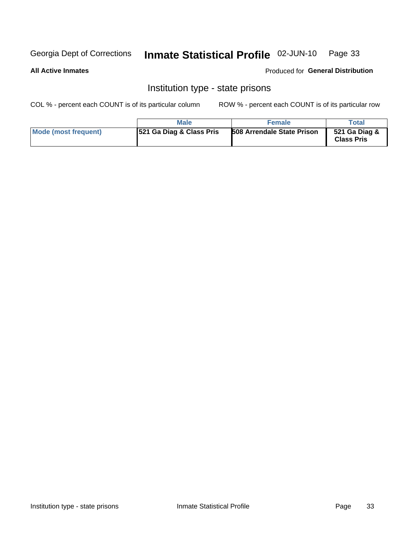#### Inmate Statistical Profile 02-JUN-10 Page 33

#### **All Active Inmates**

#### Produced for General Distribution

### Institution type - state prisons

COL % - percent each COUNT is of its particular column

|                      | <b>Male</b>                          | <b>Female</b>                     | Total                              |
|----------------------|--------------------------------------|-----------------------------------|------------------------------------|
| Mode (most frequent) | <b>1521 Ga Diag &amp; Class Pris</b> | <b>508 Arrendale State Prison</b> | 521 Ga Diag &<br><b>Class Pris</b> |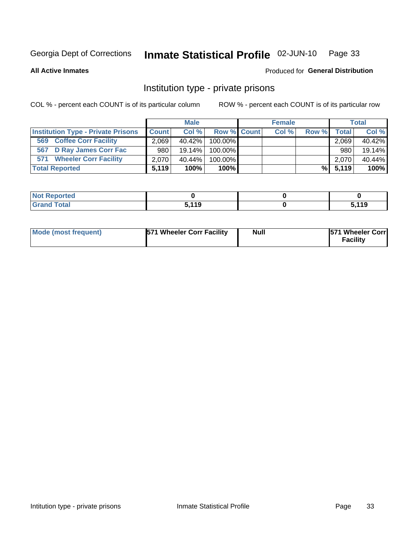## Inmate Statistical Profile 02-JUN-10 Page 33

**All Active Inmates** 

#### Produced for General Distribution

### Institution type - private prisons

COL % - percent each COUNT is of its particular column

|                                           |                  | <b>Male</b> |                    | <b>Female</b> |       |        | <b>Total</b> |
|-------------------------------------------|------------------|-------------|--------------------|---------------|-------|--------|--------------|
| <b>Institution Type - Private Prisons</b> | <b>Count</b>     | Col %       | <b>Row % Count</b> | Col %         | Row % | Totall | Col %        |
| <b>Coffee Corr Facility</b><br>569        | 2,069            | 40.42%      | 100.00%            |               |       | 2,069  | 40.42%       |
| 567 D Ray James Corr Fac                  | 980 <sub>1</sub> | $19.14\%$   | 100.00%            |               |       | 980    | 19.14%       |
| <b>Wheeler Corr Facility</b><br>571       | 2,070            | 40.44%      | 100.00%            |               |       | 2,070  | 40.44%       |
| <b>Total Reported</b>                     | 5.119            | 100%        | $100\%$            |               | $\%$  | 5,119  | 100%         |

| <b>eported</b>          |       |             |
|-------------------------|-------|-------------|
| <b>c</b> otal<br>$\sim$ | 5 110 | .110<br>. . |

| Mode (most frequent) | 571 Wheeler Corr Facility | <b>Null</b> | <b>1571 Wheeler Corrl</b><br>Facility |
|----------------------|---------------------------|-------------|---------------------------------------|
|----------------------|---------------------------|-------------|---------------------------------------|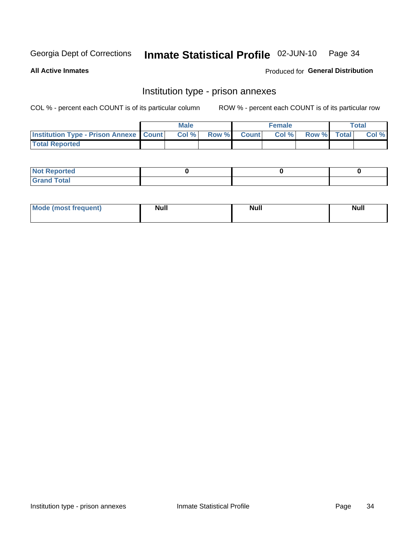## Inmate Statistical Profile 02-JUN-10 Page 34

**All Active Inmates** 

Produced for General Distribution

## Institution type - prison annexes

COL % - percent each COUNT is of its particular column

|                                                   | <b>Male</b> |              |       | <b>Female</b> |                    | <b>Total</b> |
|---------------------------------------------------|-------------|--------------|-------|---------------|--------------------|--------------|
| <b>Institution Type - Prison Annexe   Count  </b> | Col %       | <b>Row %</b> | Count | Col %         | <b>Row %</b> Total | Col %        |
| <b>Total Reported</b>                             |             |              |       |               |                    |              |

| <b>Reported</b><br>I NOT                      |  |  |
|-----------------------------------------------|--|--|
| <b>Total</b><br>Carar<br>$\sim$ . When $\sim$ |  |  |

| $^{\circ}$ Mo<br>frequent)<br>⊥(mos* | <b>Null</b> | Noll<br><b>vull</b> | <b>Null</b> |
|--------------------------------------|-------------|---------------------|-------------|
|                                      |             |                     |             |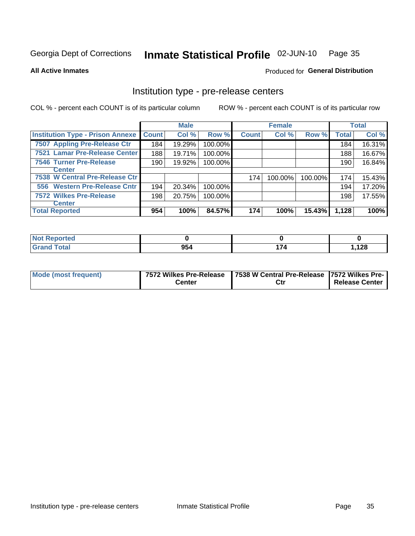## Inmate Statistical Profile 02-JUN-10 Page 35

**All Active Inmates** 

Produced for General Distribution

## Institution type - pre-release centers

COL % - percent each COUNT is of its particular column

|                                         |              | <b>Male</b> |         |              | <b>Female</b> |         |              | <b>Total</b> |
|-----------------------------------------|--------------|-------------|---------|--------------|---------------|---------|--------------|--------------|
| <b>Institution Type - Prison Annexe</b> | <b>Count</b> | Col %       | Row %   | <b>Count</b> | Col %         | Row %   | <b>Total</b> | Col %        |
| 7507 Appling Pre-Release Ctr            | 184          | 19.29%      | 100.00% |              |               |         | 184          | 16.31%       |
| 7521 Lamar Pre-Release Center           | 188          | 19.71%      | 100.00% |              |               |         | 188          | 16.67%       |
| <b>7546 Turner Pre-Release</b>          | 190          | 19.92%      | 100.00% |              |               |         | 190          | 16.84%       |
| <b>Center</b>                           |              |             |         |              |               |         |              |              |
| 7538 W Central Pre-Release Ctr          |              |             |         | 174          | 100.00%       | 100.00% | 174          | 15.43%       |
| 556 Western Pre-Release Cntr            | 194          | 20.34%      | 100.00% |              |               |         | 194          | 17.20%       |
| <b>7572 Wilkes Pre-Release</b>          | 198          | 20.75%      | 100.00% |              |               |         | 198          | 17.55%       |
| <b>Center</b>                           |              |             |         |              |               |         |              |              |
| <b>Total Reported</b>                   | 954          | 100%        | 84.57%  | 174          | 100%          | 15.43%  | 1,128        | 100%         |

| Reported     |     |   |       |
|--------------|-----|---|-------|
| <b>Total</b> | 954 | . | 1,128 |

| Mode (most frequent) |        | 7572 Wilkes Pre-Release   7538 W Central Pre-Release   7572 Wilkes Pre- |                       |  |
|----------------------|--------|-------------------------------------------------------------------------|-----------------------|--|
|                      | こenter | Ctr                                                                     | <b>Release Center</b> |  |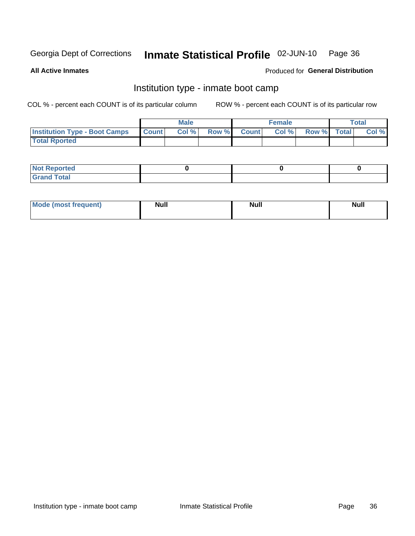#### Inmate Statistical Profile 02-JUN-10 Page 36

**All Active Inmates** 

### Produced for General Distribution

## Institution type - inmate boot camp

COL % - percent each COUNT is of its particular column

|                                      |              | <b>Male</b> |               |              | <b>Female</b> |             | <b>Total</b> |
|--------------------------------------|--------------|-------------|---------------|--------------|---------------|-------------|--------------|
| <b>Institution Type - Boot Camps</b> | <b>Count</b> | Col %       | <b>Row %I</b> | <b>Count</b> | Col %         | Row % Total | Col %        |
| <b>Total Rported</b>                 |              |             |               |              |               |             |              |

| <b>Not Reported</b>                   |  |  |
|---------------------------------------|--|--|
| <b>Total</b><br><b>C HAM</b><br>_____ |  |  |

| Mode (most<br>Treauent) | <b>Null</b> | . .<br><b>Nu</b> |  |
|-------------------------|-------------|------------------|--|
|                         |             |                  |  |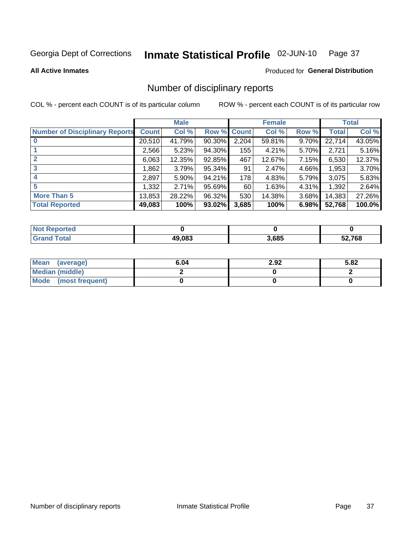#### Inmate Statistical Profile 02-JUN-10 Page 37

### **All Active Inmates**

## Produced for General Distribution

## Number of disciplinary reports

COL % - percent each COUNT is of its particular column

|                                       |              | <b>Male</b> |        |              | <b>Female</b> |          |              | <b>Total</b> |
|---------------------------------------|--------------|-------------|--------|--------------|---------------|----------|--------------|--------------|
| <b>Number of Disciplinary Reports</b> | <b>Count</b> | Col %       | Row %  | <b>Count</b> | Col %         | Row %    | <b>Total</b> | Col %        |
|                                       | 20,510       | 41.79%      | 90.30% | 2,204        | 59.81%        | 9.70%    | 22,714       | 43.05%       |
|                                       | 2,566        | 5.23%       | 94.30% | 155          | 4.21%         | 5.70%    | 2,721        | 5.16%        |
| $\mathbf{2}$                          | 6,063        | 12.35%      | 92.85% | 467          | 12.67%        | $7.15\%$ | 6,530        | 12.37%       |
| 3                                     | 1,862        | 3.79%       | 95.34% | 91           | 2.47%         | 4.66%    | 1,953        | 3.70%        |
| 4                                     | 2,897        | $5.90\%$    | 94.21% | 178          | 4.83%         | 5.79%    | 3,075        | 5.83%        |
| 5                                     | 1,332        | 2.71%       | 95.69% | 60           | 1.63%         | 4.31%    | 1,392        | 2.64%        |
| <b>More Than 5</b>                    | 13,853       | 28.22%      | 96.32% | 530          | 14.38%        | $3.68\%$ | 14,383       | 27.26%       |
| <b>Total Reported</b>                 | 49,083       | 100%        | 93.02% | 3,685        | 100%          | 6.98%    | 52,768       | 100.0%       |

| orted<br>NOT |        |       |        |
|--------------|--------|-------|--------|
| Total        | 49.083 | 3,685 | 52,768 |

| Mean (average)       | 6.04 | 2.92 | 5.82 |
|----------------------|------|------|------|
| Median (middle)      |      |      |      |
| Mode (most frequent) |      |      |      |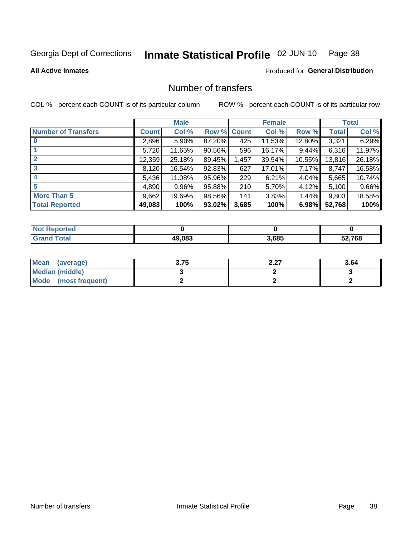#### Inmate Statistical Profile 02-JUN-10 Page 38

**All Active Inmates** 

### Produced for General Distribution

## Number of transfers

COL % - percent each COUNT is of its particular column

|                            |         | <b>Male</b> |             |       | <b>Female</b> |          |              | <b>Total</b> |
|----------------------------|---------|-------------|-------------|-------|---------------|----------|--------------|--------------|
| <b>Number of Transfers</b> | Count l | Col %       | Row % Count |       | Col %         | Row %    | <b>Total</b> | Col %        |
|                            | 2,896   | $5.90\%$    | 87.20%      | 425   | 11.53%        | 12.80%   | 3,321        | 6.29%        |
|                            | 5,720   | 11.65%      | 90.56%      | 596   | 16.17%        | $9.44\%$ | 6,316        | 11.97%       |
| $\mathbf{2}$               | 12,359  | 25.18%      | 89.45%      | 1,457 | 39.54%        | 10.55%   | 13,816       | 26.18%       |
| 3                          | 8,120   | 16.54%      | 92.83%      | 627   | 17.01%        | 7.17%    | 8,747        | 16.58%       |
| 4                          | 5,436   | 11.08%      | 95.96%      | 229   | 6.21%         | $4.04\%$ | 5,665        | 10.74%       |
| 5                          | 4,890   | 9.96%       | 95.88%      | 210   | 5.70%         | 4.12%    | 5,100        | 9.66%        |
| <b>More Than 5</b>         | 9,662   | 19.69%      | 98.56%      | 141   | 3.83%         | 1.44%    | 9,803        | 18.58%       |
| <b>Total Reported</b>      | 49,083  | 100%        | 93.02%      | 3,685 | 100%          | 6.98%    | 52,768       | 100%         |

| <b>Not Reported</b> |        |       |        |
|---------------------|--------|-------|--------|
| Total               | 49.083 | 3,685 | 52,768 |

| Mean (average)       | 3.75 | דר ר<br>L.LI | 3.64 |
|----------------------|------|--------------|------|
| Median (middle)      |      |              |      |
| Mode (most frequent) |      |              |      |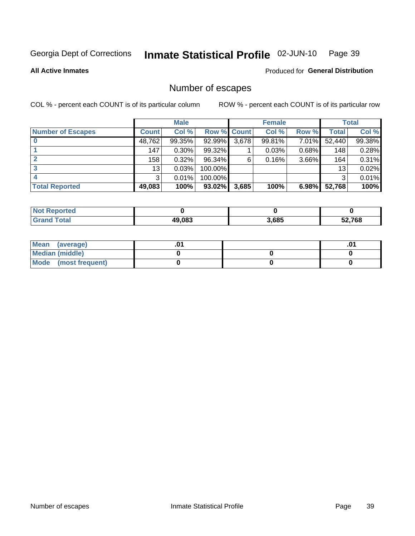#### Inmate Statistical Profile 02-JUN-10 Page 39

**All Active Inmates** 

Produced for General Distribution

# Number of escapes

COL % - percent each COUNT is of its particular column

|                          |              | <b>Male</b> |             |       | <b>Female</b> |          |                 | <b>Total</b> |
|--------------------------|--------------|-------------|-------------|-------|---------------|----------|-----------------|--------------|
| <b>Number of Escapes</b> | <b>Count</b> | Col %       | Row % Count |       | Col %         | Row %    | Total           | Col %        |
|                          | 48,762       | 99.35%      | 92.99%      | 3,678 | 99.81%        | 7.01%    | 52,440          | 99.38%       |
|                          | 147          | $0.30\%$    | 99.32%      |       | 0.03%         | $0.68\%$ | 148             | 0.28%        |
|                          | 158          | 0.32%       | 96.34%      | 6     | 0.16%         | 3.66%    | 164             | 0.31%        |
|                          | 13           | 0.03%       | 100.00%     |       |               |          | 13 <sub>1</sub> | 0.02%        |
|                          | 3            | 0.01%       | 100.00%     |       |               |          | 3               | 0.01%        |
| <b>Total Reported</b>    | 49,083       | 100%        | $93.02\%$   | 3,685 | 100%          | 6.98%    | 52,768          | 100%         |

| тео |        |       |        |
|-----|--------|-------|--------|
|     | 49.083 | 3,685 | 52,768 |

| Mean (average)       |  | ו ש. |
|----------------------|--|------|
| Median (middle)      |  |      |
| Mode (most frequent) |  |      |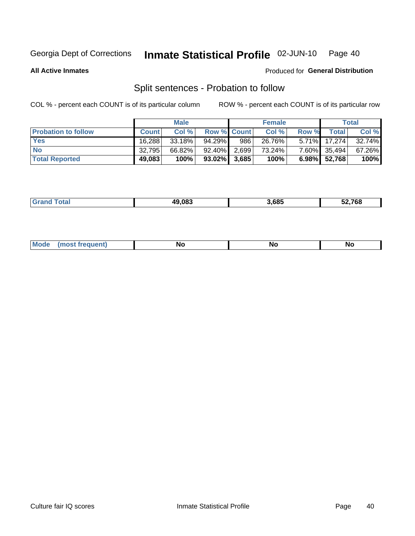#### Inmate Statistical Profile 02-JUN-10 Page 40

**All Active Inmates** 

### Produced for General Distribution

# Split sentences - Probation to follow

COL % - percent each COUNT is of its particular column

|                            |              | <b>Male</b> |                    |     | <b>Female</b> |       |              | <b>Total</b> |
|----------------------------|--------------|-------------|--------------------|-----|---------------|-------|--------------|--------------|
| <b>Probation to follow</b> | <b>Count</b> | Col%        | <b>Row % Count</b> |     | Col %         | Row % | <b>Total</b> | Col %        |
| <b>Yes</b>                 | 16.288       | $33.18\%$   | 94.29%             | 986 | 26.76%        |       | 5.71% 17,274 | 32.74%       |
| <b>No</b>                  | 32,795       | 66.82%      | 92.40% 2.699       |     | 73.24%        |       | 7.60% 35,494 | 67.26%       |
| <b>Total Reported</b>      | 49,083       | 100%        | $93.02\%$ 3,685    |     | 100%          |       | 6.98% 52,768 | 100%         |

| _______ | <u> 19 NR3</u> | 3.685 | -^ -^^ |
|---------|----------------|-------|--------|
|         |                |       |        |

| M<br><b>No</b><br>זחםווח<br><b>NC</b><br>--<br>$\sim$ |
|-------------------------------------------------------|
|-------------------------------------------------------|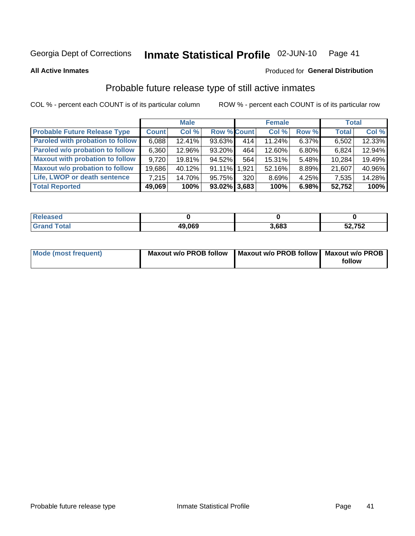#### Inmate Statistical Profile 02-JUN-10 Page 41

Produced for General Distribution

### **All Active Inmates**

# Probable future release type of still active inmates

COL % - percent each COUNT is of its particular column

|                                         |              | <b>Male</b> |                    |                  | <b>Female</b> |          | <b>Total</b> |        |
|-----------------------------------------|--------------|-------------|--------------------|------------------|---------------|----------|--------------|--------|
| <b>Probable Future Release Type</b>     | <b>Count</b> | Col %       | <b>Row % Count</b> |                  | Col %         | Row %    | <b>Total</b> | Col %  |
| <b>Paroled with probation to follow</b> | 6,088        | 12.41%      | 93.63%             | 414              | 11.24%        | 6.37%    | 6,502        | 12.33% |
| Paroled w/o probation to follow         | 6,360        | 12.96%      | 93.20%             | 464              | 12.60%        | 6.80%    | 6,824        | 12.94% |
| <b>Maxout with probation to follow</b>  | 9.720        | 19.81%      | 94.52%             | 564              | 15.31%        | 5.48%    | 10,284       | 19.49% |
| <b>Maxout w/o probation to follow</b>   | 19,686       | 40.12%      | 91.11% 1.921       |                  | 52.16%        | 8.89%    | 21,607       | 40.96% |
| Life, LWOP or death sentence            | 7.215        | 14.70%      | 95.75%             | 320 <sup>1</sup> | 8.69%         | $4.25\%$ | 7,535        | 14.28% |
| <b>Total Reported</b>                   | 49,069       | 100%        | $93.02\%$ 3,683    |                  | 100%          | 6.98%    | 52,752       | 100%   |

| eleased     |                |       |        |
|-------------|----------------|-------|--------|
| <b>otal</b> | 49,069<br>11 V | 3.683 | 52,752 |

| <b>Mode (most frequent)</b> | Maxout w/o PROB follow   Maxout w/o PROB follow   Maxout w/o PROB |        |
|-----------------------------|-------------------------------------------------------------------|--------|
|                             |                                                                   | follow |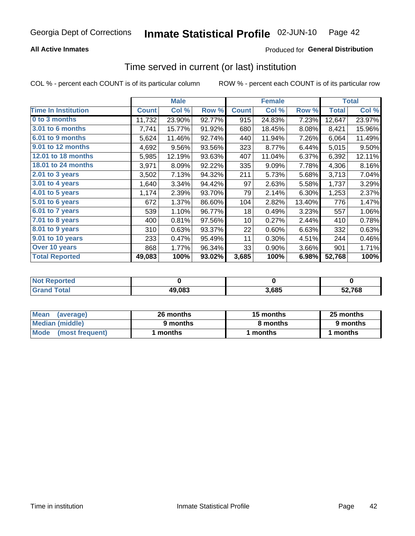## **All Active Inmates**

## Produced for General Distribution

# Time served in current (or last) institution

COL % - percent each COUNT is of its particular column

|                            |              | <b>Male</b> |        |              | <b>Female</b> |        |              | <b>Total</b> |
|----------------------------|--------------|-------------|--------|--------------|---------------|--------|--------------|--------------|
| <b>Time In Institution</b> | <b>Count</b> | Col %       | Row %  | <b>Count</b> | Col %         | Row %  | <b>Total</b> | Col %        |
| 0 to 3 months              | 11,732       | 23.90%      | 92.77% | 915          | 24.83%        | 7.23%  | 12,647       | 23.97%       |
| 3.01 to 6 months           | 7,741        | 15.77%      | 91.92% | 680          | 18.45%        | 8.08%  | 8,421        | 15.96%       |
| 6.01 to 9 months           | 5,624        | 11.46%      | 92.74% | 440          | 11.94%        | 7.26%  | 6,064        | 11.49%       |
| 9.01 to 12 months          | 4,692        | 9.56%       | 93.56% | 323          | 8.77%         | 6.44%  | 5,015        | 9.50%        |
| <b>12.01 to 18 months</b>  | 5,985        | 12.19%      | 93.63% | 407          | 11.04%        | 6.37%  | 6,392        | 12.11%       |
| 18.01 to 24 months         | 3,971        | 8.09%       | 92.22% | 335          | 9.09%         | 7.78%  | 4,306        | 8.16%        |
| $2.01$ to 3 years          | 3,502        | 7.13%       | 94.32% | 211          | 5.73%         | 5.68%  | 3,713        | 7.04%        |
| 3.01 to 4 years            | 1,640        | 3.34%       | 94.42% | 97           | 2.63%         | 5.58%  | 1,737        | 3.29%        |
| 4.01 to 5 years            | 1,174        | 2.39%       | 93.70% | 79           | 2.14%         | 6.30%  | 1,253        | 2.37%        |
| 5.01 to 6 years            | 672          | 1.37%       | 86.60% | 104          | 2.82%         | 13.40% | 776          | 1.47%        |
| 6.01 to 7 years            | 539          | 1.10%       | 96.77% | 18           | 0.49%         | 3.23%  | 557          | 1.06%        |
| 7.01 to 8 years            | 400          | 0.81%       | 97.56% | 10           | 0.27%         | 2.44%  | 410          | 0.78%        |
| 8.01 to 9 years            | 310          | 0.63%       | 93.37% | 22           | 0.60%         | 6.63%  | 332          | 0.63%        |
| 9.01 to 10 years           | 233          | 0.47%       | 95.49% | 11           | 0.30%         | 4.51%  | 244          | 0.46%        |
| Over 10 years              | 868          | 1.77%       | 96.34% | 33           | 0.90%         | 3.66%  | 901          | 1.71%        |
| <b>Total Reported</b>      | 49,083       | 100%        | 93.02% | 3,685        | 100%          | 6.98%  | 52,768       | 100%         |

| <b>Penorted</b><br><b>Not</b> |        |      |        |
|-------------------------------|--------|------|--------|
| ⊺ิ∩tal                        | 49,083 | .685 | 52.768 |

| <b>Mean</b><br>(average) | 26 months | 15 months | 25 months |  |
|--------------------------|-----------|-----------|-----------|--|
| Median (middle)          | 9 months  | 8 months  | 9 months  |  |
| Mode<br>(most frequent)  | months    | months    | ∖ months  |  |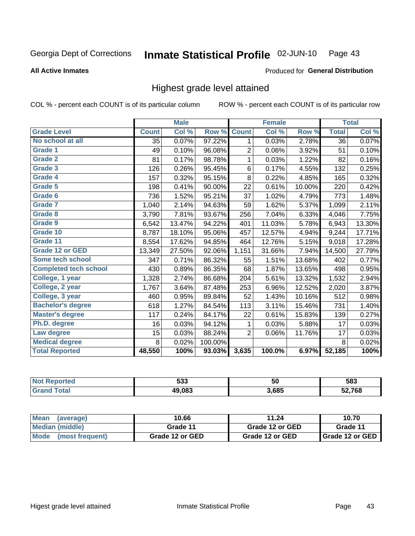#### Inmate Statistical Profile 02-JUN-10 Page 43

### **All Active Inmates**

### Produced for General Distribution

## Highest grade level attained

COL % - percent each COUNT is of its particular column

|                              |              | <b>Male</b> |         |                | <b>Female</b> |        |              | <b>Total</b> |
|------------------------------|--------------|-------------|---------|----------------|---------------|--------|--------------|--------------|
| <b>Grade Level</b>           | <b>Count</b> | Col %       | Row %   | <b>Count</b>   | Col %         | Row %  | <b>Total</b> | Col %        |
| No school at all             | 35           | 0.07%       | 97.22%  | 1              | 0.03%         | 2.78%  | 36           | 0.07%        |
| <b>Grade 1</b>               | 49           | 0.10%       | 96.08%  | $\overline{2}$ | 0.06%         | 3.92%  | 51           | 0.10%        |
| <b>Grade 2</b>               | 81           | 0.17%       | 98.78%  | 1              | 0.03%         | 1.22%  | 82           | 0.16%        |
| Grade 3                      | 126          | 0.26%       | 95.45%  | 6              | 0.17%         | 4.55%  | 132          | 0.25%        |
| Grade 4                      | 157          | 0.32%       | 95.15%  | $\,8\,$        | 0.22%         | 4.85%  | 165          | 0.32%        |
| Grade 5                      | 198          | 0.41%       | 90.00%  | 22             | 0.61%         | 10.00% | 220          | 0.42%        |
| Grade 6                      | 736          | 1.52%       | 95.21%  | 37             | 1.02%         | 4.79%  | 773          | 1.48%        |
| <b>Grade 7</b>               | 1,040        | 2.14%       | 94.63%  | 59             | 1.62%         | 5.37%  | 1,099        | 2.11%        |
| <b>Grade 8</b>               | 3,790        | 7.81%       | 93.67%  | 256            | 7.04%         | 6.33%  | 4,046        | 7.75%        |
| Grade 9                      | 6,542        | 13.47%      | 94.22%  | 401            | 11.03%        | 5.78%  | 6,943        | 13.30%       |
| Grade 10                     | 8,787        | 18.10%      | 95.06%  | 457            | 12.57%        | 4.94%  | 9,244        | 17.71%       |
| Grade 11                     | 8,554        | 17.62%      | 94.85%  | 464            | 12.76%        | 5.15%  | 9,018        | 17.28%       |
| <b>Grade 12 or GED</b>       | 13,349       | 27.50%      | 92.06%  | 1,151          | 31.66%        | 7.94%  | 14,500       | 27.79%       |
| Some tech school             | 347          | 0.71%       | 86.32%  | 55             | 1.51%         | 13.68% | 402          | 0.77%        |
| <b>Completed tech school</b> | 430          | 0.89%       | 86.35%  | 68             | 1.87%         | 13.65% | 498          | 0.95%        |
| College, 1 year              | 1,328        | 2.74%       | 86.68%  | 204            | 5.61%         | 13.32% | 1,532        | 2.94%        |
| College, 2 year              | 1,767        | 3.64%       | 87.48%  | 253            | 6.96%         | 12.52% | 2,020        | 3.87%        |
| College, 3 year              | 460          | 0.95%       | 89.84%  | 52             | 1.43%         | 10.16% | 512          | 0.98%        |
| <b>Bachelor's degree</b>     | 618          | 1.27%       | 84.54%  | 113            | 3.11%         | 15.46% | 731          | 1.40%        |
| <b>Master's degree</b>       | 117          | 0.24%       | 84.17%  | 22             | 0.61%         | 15.83% | 139          | 0.27%        |
| Ph.D. degree                 | 16           | 0.03%       | 94.12%  | 1              | 0.03%         | 5.88%  | 17           | 0.03%        |
| Law degree                   | 15           | 0.03%       | 88.24%  | 2              | 0.06%         | 11.76% | 17           | 0.03%        |
| <b>Medical degree</b>        | 8            | 0.02%       | 100.00% |                |               |        | 8            | 0.02%        |
| <b>Total Reported</b>        | 48,550       | 100%        | 93.03%  | 3,635          | 100.0%        | 6.97%  | 52,185       | 100%         |

| teto. | 533    | ວບ    | 583    |
|-------|--------|-------|--------|
|       | 49.083 | 3,685 | 52.768 |

| <b>Mean</b><br>(average)       | 10.66           | 11.24           | 10.70             |
|--------------------------------|-----------------|-----------------|-------------------|
| Median (middle)                | Grade 11        | Grade 12 or GED | Grade 11          |
| <b>Mode</b><br>(most frequent) | Grade 12 or GED | Grade 12 or GED | I Grade 12 or GED |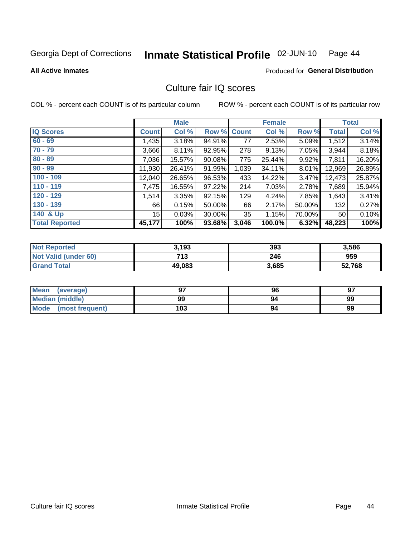#### Inmate Statistical Profile 02-JUN-10 Page 44

**All Active Inmates** 

### Produced for General Distribution

## Culture fair IQ scores

COL % - percent each COUNT is of its particular column

|                       |              | <b>Male</b> |                    |       | <b>Female</b> |        |                 | <b>Total</b> |
|-----------------------|--------------|-------------|--------------------|-------|---------------|--------|-----------------|--------------|
| <b>IQ Scores</b>      | <b>Count</b> | Col %       | <b>Row % Count</b> |       | Col %         | Row %  | <b>Total</b>    | Col %        |
| $60 - 69$             | 1,435        | 3.18%       | 94.91%             | 77    | 2.53%         | 5.09%  | 1,512           | 3.14%        |
| $70 - 79$             | 3,666        | 8.11%       | 92.95%             | 278   | 9.13%         | 7.05%  | 3,944           | 8.18%        |
| $80 - 89$             | 7,036        | 15.57%      | 90.08%             | 775   | 25.44%        | 9.92%  | 7,811           | 16.20%       |
| $90 - 99$             | 11,930       | 26.41%      | 91.99%             | 1,039 | 34.11%        | 8.01%  | 12,969          | 26.89%       |
| $100 - 109$           | 12,040       | 26.65%      | 96.53%             | 433   | 14.22%        | 3.47%  | 12,473          | 25.87%       |
| $110 - 119$           | 7,475        | 16.55%      | 97.22%             | 214   | 7.03%         | 2.78%  | 7,689           | 15.94%       |
| $120 - 129$           | 1,514        | 3.35%       | 92.15%             | 129   | 4.24%         | 7.85%  | 1,643           | 3.41%        |
| $130 - 139$           | 66 l         | 0.15%       | 50.00%             | 66    | 2.17%         | 50.00% | 132             | 0.27%        |
| 140 & Up              | 15           | 0.03%       | 30.00%             | 35    | 1.15%         | 70.00% | 50 <sub>1</sub> | 0.10%        |
| <b>Total Reported</b> | 45,177       | 100%        | 93.68%             | 3,046 | 100.0%        | 6.32%  | 48,223          | 100%         |

| <b>Not Reported</b>         | 3,193  | 393   | 3,586  |
|-----------------------------|--------|-------|--------|
| <b>Not Valid (under 60)</b> | 713    | 246   | 959    |
| <b>Grand Total</b>          | 49,083 | 3,685 | 52,768 |

| Mean<br>(average)              | כם  | 96 | 97 |
|--------------------------------|-----|----|----|
| Median (middle)                | 99  | 94 | 99 |
| <b>Mode</b><br>(most frequent) | 103 | 94 | 99 |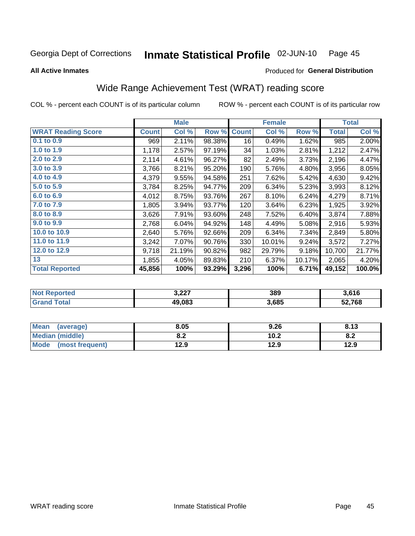#### Inmate Statistical Profile 02-JUN-10 Page 45

**All Active Inmates** 

### Produced for General Distribution

# Wide Range Achievement Test (WRAT) reading score

COL % - percent each COUNT is of its particular column

|                           |              | <b>Male</b> |        |              | <b>Female</b> |        |              | <b>Total</b> |
|---------------------------|--------------|-------------|--------|--------------|---------------|--------|--------------|--------------|
| <b>WRAT Reading Score</b> | <b>Count</b> | Col %       | Row %  | <b>Count</b> | Col %         | Row %  | <b>Total</b> | Col %        |
| 0.1 to 0.9                | 969          | 2.11%       | 98.38% | 16           | 0.49%         | 1.62%  | 985          | 2.00%        |
| 1.0 to 1.9                | 1,178        | 2.57%       | 97.19% | 34           | 1.03%         | 2.81%  | 1,212        | 2.47%        |
| 2.0 to 2.9                | 2,114        | 4.61%       | 96.27% | 82           | 2.49%         | 3.73%  | 2,196        | 4.47%        |
| 3.0 to 3.9                | 3,766        | 8.21%       | 95.20% | 190          | 5.76%         | 4.80%  | 3,956        | 8.05%        |
| 4.0 to 4.9                | 4,379        | 9.55%       | 94.58% | 251          | 7.62%         | 5.42%  | 4,630        | 9.42%        |
| 5.0 to 5.9                | 3,784        | 8.25%       | 94.77% | 209          | 6.34%         | 5.23%  | 3,993        | 8.12%        |
| 6.0 to 6.9                | 4,012        | 8.75%       | 93.76% | 267          | 8.10%         | 6.24%  | 4,279        | 8.71%        |
| 7.0 to 7.9                | 1,805        | 3.94%       | 93.77% | 120          | 3.64%         | 6.23%  | 1,925        | 3.92%        |
| 8.0 to 8.9                | 3,626        | 7.91%       | 93.60% | 248          | 7.52%         | 6.40%  | 3,874        | 7.88%        |
| 9.0 to 9.9                | 2,768        | 6.04%       | 94.92% | 148          | 4.49%         | 5.08%  | 2,916        | 5.93%        |
| 10.0 to 10.9              | 2,640        | 5.76%       | 92.66% | 209          | 6.34%         | 7.34%  | 2,849        | 5.80%        |
| 11.0 to 11.9              | 3,242        | 7.07%       | 90.76% | 330          | 10.01%        | 9.24%  | 3,572        | 7.27%        |
| 12.0 to 12.9              | 9,718        | 21.19%      | 90.82% | 982          | 29.79%        | 9.18%  | 10,700       | 21.77%       |
| 13                        | 1,855        | 4.05%       | 89.83% | 210          | 6.37%         | 10.17% | 2,065        | 4.20%        |
| <b>Total Reported</b>     | 45,856       | 100%        | 93.29% | 3,296        | 100%          | 6.71%  | 49,152       | 100.0%       |

| orted<br>NO. | 2.22<br>J.LLI | 389   | 3,616  |
|--------------|---------------|-------|--------|
| <b>otal</b>  | 49.083        | 3,685 | 52,768 |

| <b>Mean</b><br>(average) | 8.05       | 9.26 | 8.13 |
|--------------------------|------------|------|------|
| <b>Median (middle)</b>   | י ה<br>o.z | 10.2 | o.z  |
| Mode (most frequent)     | 12.9       | 12.9 | 12.9 |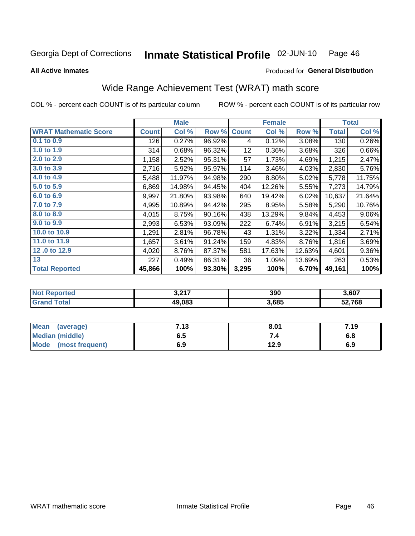#### Inmate Statistical Profile 02-JUN-10 Page 46

Produced for General Distribution

### **All Active Inmates**

# Wide Range Achievement Test (WRAT) math score

COL % - percent each COUNT is of its particular column

|                              |              | <b>Male</b> |        |              | <b>Female</b> |        |              | <b>Total</b> |
|------------------------------|--------------|-------------|--------|--------------|---------------|--------|--------------|--------------|
| <b>WRAT Mathematic Score</b> | <b>Count</b> | Col %       | Row %  | <b>Count</b> | Col %         | Row %  | <b>Total</b> | Col %        |
| $0.1$ to $0.9$               | 126          | 0.27%       | 96.92% | 4            | 0.12%         | 3.08%  | 130          | 0.26%        |
| 1.0 to 1.9                   | 314          | 0.68%       | 96.32% | 12           | 0.36%         | 3.68%  | 326          | 0.66%        |
| 2.0 to 2.9                   | 1,158        | 2.52%       | 95.31% | 57           | 1.73%         | 4.69%  | 1,215        | 2.47%        |
| 3.0 to 3.9                   | 2,716        | 5.92%       | 95.97% | 114          | 3.46%         | 4.03%  | 2,830        | 5.76%        |
| 4.0 to 4.9                   | 5,488        | 11.97%      | 94.98% | 290          | 8.80%         | 5.02%  | 5,778        | 11.75%       |
| 5.0 to 5.9                   | 6,869        | 14.98%      | 94.45% | 404          | 12.26%        | 5.55%  | 7,273        | 14.79%       |
| 6.0 to 6.9                   | 9,997        | 21.80%      | 93.98% | 640          | 19.42%        | 6.02%  | 10,637       | 21.64%       |
| 7.0 to 7.9                   | 4,995        | 10.89%      | 94.42% | 295          | 8.95%         | 5.58%  | 5,290        | 10.76%       |
| 8.0 to 8.9                   | 4,015        | 8.75%       | 90.16% | 438          | 13.29%        | 9.84%  | 4,453        | $9.06\%$     |
| 9.0 to 9.9                   | 2,993        | 6.53%       | 93.09% | 222          | 6.74%         | 6.91%  | 3,215        | 6.54%        |
| 10.0 to 10.9                 | 1,291        | 2.81%       | 96.78% | 43           | 1.31%         | 3.22%  | 1,334        | 2.71%        |
| 11.0 to 11.9                 | 1,657        | 3.61%       | 91.24% | 159          | 4.83%         | 8.76%  | 1,816        | 3.69%        |
| 12.0 to 12.9                 | 4,020        | 8.76%       | 87.37% | 581          | 17.63%        | 12.63% | 4,601        | $9.36\%$     |
| 13                           | 227          | 0.49%       | 86.31% | 36           | 1.09%         | 13.69% | 263          | 0.53%        |
| <b>Total Reported</b>        | 45,866       | 100%        | 93.30% | 3,295        | 100%          | 6.70%  | 49,161       | 100%         |

| <b>orted</b><br>המותי.<br>≺enr | 2.217<br>וו או ט | 390   | 3,607  |
|--------------------------------|------------------|-------|--------|
| Гоtal                          | 49,083           | 3,685 | 52,768 |

| Mean<br>(average)              | 712<br>د ۱. | 8.01 | 7.19 |
|--------------------------------|-------------|------|------|
| <b>Median (middle)</b>         | כ.ס         |      | o.o  |
| <b>Mode</b><br>(most frequent) | 6.9         | 12.9 | 6.9  |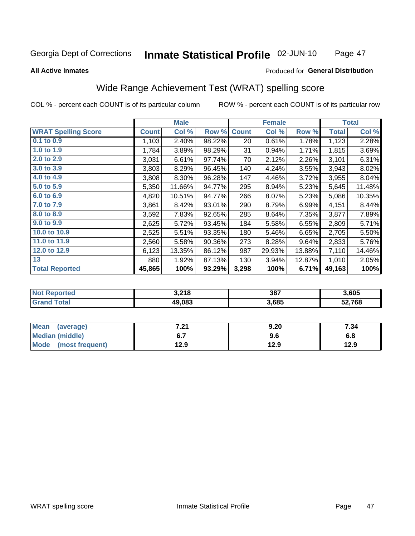#### Inmate Statistical Profile 02-JUN-10 Page 47

### **All Active Inmates**

### Produced for General Distribution

# Wide Range Achievement Test (WRAT) spelling score

COL % - percent each COUNT is of its particular column

|                            |              | <b>Male</b> |        |              | <b>Female</b> |          |              | <b>Total</b> |
|----------------------------|--------------|-------------|--------|--------------|---------------|----------|--------------|--------------|
| <b>WRAT Spelling Score</b> | <b>Count</b> | Col %       | Row %  | <b>Count</b> | Col %         | Row %    | <b>Total</b> | Col %        |
| $0.1$ to $0.9$             | 1,103        | 2.40%       | 98.22% | 20           | 0.61%         | 1.78%    | 1,123        | 2.28%        |
| 1.0 to 1.9                 | 1,784        | 3.89%       | 98.29% | 31           | 0.94%         | 1.71%    | 1,815        | 3.69%        |
| 2.0 to 2.9                 | 3,031        | 6.61%       | 97.74% | 70           | 2.12%         | 2.26%    | 3,101        | 6.31%        |
| 3.0 to 3.9                 | 3,803        | 8.29%       | 96.45% | 140          | 4.24%         | 3.55%    | 3,943        | 8.02%        |
| 4.0 to 4.9                 | 3,808        | 8.30%       | 96.28% | 147          | 4.46%         | 3.72%    | 3,955        | 8.04%        |
| 5.0 to 5.9                 | 5,350        | 11.66%      | 94.77% | 295          | 8.94%         | 5.23%    | 5,645        | 11.48%       |
| 6.0 to 6.9                 | 4,820        | 10.51%      | 94.77% | 266          | 8.07%         | 5.23%    | 5,086        | 10.35%       |
| 7.0 to 7.9                 | 3,861        | 8.42%       | 93.01% | 290          | 8.79%         | 6.99%    | 4,151        | 8.44%        |
| 8.0 to 8.9                 | 3,592        | 7.83%       | 92.65% | 285          | 8.64%         | 7.35%    | 3,877        | 7.89%        |
| 9.0 to 9.9                 | 2,625        | 5.72%       | 93.45% | 184          | 5.58%         | 6.55%    | 2,809        | 5.71%        |
| 10.0 to 10.9               | 2,525        | 5.51%       | 93.35% | 180          | 5.46%         | 6.65%    | 2,705        | 5.50%        |
| 11.0 to 11.9               | 2,560        | 5.58%       | 90.36% | 273          | 8.28%         | $9.64\%$ | 2,833        | 5.76%        |
| 12.0 to 12.9               | 6,123        | 13.35%      | 86.12% | 987          | 29.93%        | 13.88%   | 7,110        | 14.46%       |
| 13                         | 880          | 1.92%       | 87.13% | 130          | 3.94%         | 12.87%   | 1,010        | 2.05%        |
| <b>Total Reported</b>      | 45,865       | 100%        | 93.29% | 3,298        | 100%          | 6.71%    | 49,163       | 100%         |

| <b>ported</b><br>המותי. | 3,218  | 387   | 3,605  |
|-------------------------|--------|-------|--------|
| Гоtal                   | 49,083 | 3,685 | 52,768 |

| <b>Mean</b><br>(average) | 7.04<br>.Z I | 9.20 | 7.34 |
|--------------------------|--------------|------|------|
| Median (middle)          |              | 9.6  | o.o  |
| Mode<br>(most frequent)  | 12.9         | 12.9 | 12.9 |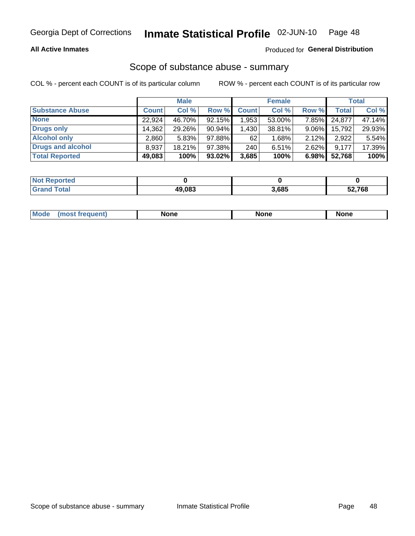## **All Active Inmates**

## Produced for General Distribution

## Scope of substance abuse - summary

COL % - percent each COUNT is of its particular column

|                        |              | <b>Male</b> |           |              | <b>Female</b> |          |              | <b>Total</b> |
|------------------------|--------------|-------------|-----------|--------------|---------------|----------|--------------|--------------|
| <b>Substance Abuse</b> | <b>Count</b> | Col %       | Row %     | <b>Count</b> | Col %         | Row %    | <b>Total</b> | Col %        |
| <b>None</b>            | 22.924       | 46.70%      | 92.15%    | .953.        | 53.00%        | 7.85%    | 24,877       | 47.14%       |
| <b>Drugs only</b>      | 14,362       | 29.26%      | $90.94\%$ | .430         | 38.81%        | $9.06\%$ | 15,792       | 29.93%       |
| <b>Alcohol only</b>    | 2.860        | 5.83%       | 97.88%    | 62           | 1.68%         | $2.12\%$ | 2,922        | 5.54%        |
| Drugs and alcohol      | 8,937        | 18.21%      | 97.38%    | 240          | 6.51%         | 2.62%    | 9,177        | 17.39%       |
| <b>Total Reported</b>  | 49,083       | 100%        | $93.02\%$ | 3,685        | 100%          | 6.98%    | 52,768       | 100%         |

| <b>Not Reported</b> |        |       |        |
|---------------------|--------|-------|--------|
| <b>Grand Total</b>  | 49.083 | 3,685 | 52,768 |

|  | M<br>nuem | None | <b>IODE</b><br>NIJ | None |
|--|-----------|------|--------------------|------|
|--|-----------|------|--------------------|------|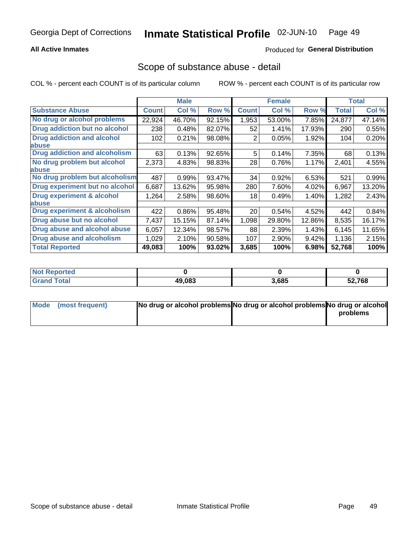## **All Active Inmates**

## **Produced for General Distribution**

## Scope of substance abuse - detail

COL % - percent each COUNT is of its particular column

|                                      |              | <b>Male</b> |        |              | <b>Female</b> |        |              | <b>Total</b> |
|--------------------------------------|--------------|-------------|--------|--------------|---------------|--------|--------------|--------------|
| <b>Substance Abuse</b>               | <b>Count</b> | Col %       | Row %  | <b>Count</b> | Col %         | Row %  | <b>Total</b> | Col %        |
| No drug or alcohol problems          | 22,924       | 46.70%      | 92.15% | 1,953        | 53.00%        | 7.85%  | 24,877       | 47.14%       |
| <b>Drug addiction but no alcohol</b> | 238          | 0.48%       | 82.07% | 52           | 1.41%         | 17.93% | 290          | 0.55%        |
| <b>Drug addiction and alcohol</b>    | 102          | 0.21%       | 98.08% | 2            | 0.05%         | 1.92%  | 104          | 0.20%        |
| <b>labuse</b>                        |              |             |        |              |               |        |              |              |
| <b>Drug addiction and alcoholism</b> | 63           | 0.13%       | 92.65% | 5            | 0.14%         | 7.35%  | 68           | 0.13%        |
| No drug problem but alcohol          | 2,373        | 4.83%       | 98.83% | 28           | 0.76%         | 1.17%  | 2,401        | 4.55%        |
| <b>labuse</b>                        |              |             |        |              |               |        |              |              |
| No drug problem but alcoholism       | 487          | 0.99%       | 93.47% | 34           | 0.92%         | 6.53%  | 521          | 0.99%        |
| Drug experiment but no alcohol       | 6,687        | 13.62%      | 95.98% | 280          | 7.60%         | 4.02%  | 6,967        | 13.20%       |
| <b>Drug experiment &amp; alcohol</b> | 1,264        | 2.58%       | 98.60% | 18           | 0.49%         | 1.40%  | 1,282        | 2.43%        |
| <b>labuse</b>                        |              |             |        |              |               |        |              |              |
| Drug experiment & alcoholism         | 422          | 0.86%       | 95.48% | 20           | 0.54%         | 4.52%  | 442          | 0.84%        |
| Drug abuse but no alcohol            | 7,437        | 15.15%      | 87.14% | 1,098        | 29.80%        | 12.86% | 8,535        | 16.17%       |
| Drug abuse and alcohol abuse         | 6,057        | 12.34%      | 98.57% | 88           | 2.39%         | 1.43%  | 6,145        | 11.65%       |
| <b>Drug abuse and alcoholism</b>     | 1,029        | 2.10%       | 90.58% | 107          | 2.90%         | 9.42%  | 1,136        | 2.15%        |
| <b>Total Reported</b>                | 49,083       | 100%        | 93.02% | 3,685        | 100%          | 6.98%  | 52,768       | 100%         |

| orted<br>NO |        |       |        |
|-------------|--------|-------|--------|
| 'otal       | 49,083 | 3,685 | 52,768 |

| Mode (most frequent) | No drug or alcohol problems No drug or alcohol problems No drug or alcohol |          |
|----------------------|----------------------------------------------------------------------------|----------|
|                      |                                                                            | problems |
|                      |                                                                            |          |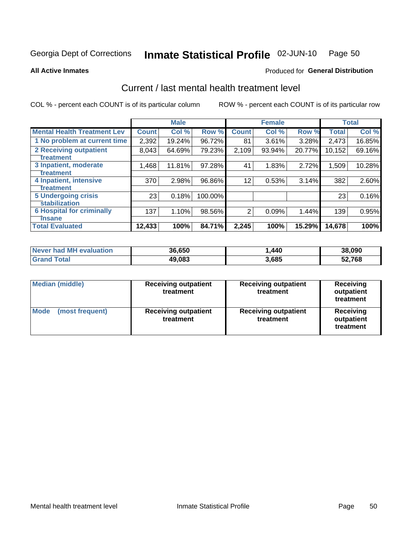#### Inmate Statistical Profile 02-JUN-10 Page 50

### **All Active Inmates**

## **Produced for General Distribution**

## Current / last mental health treatment level

COL % - percent each COUNT is of its particular column

|                                    |              | <b>Male</b> |         |              | <b>Female</b> |          |        | <b>Total</b> |
|------------------------------------|--------------|-------------|---------|--------------|---------------|----------|--------|--------------|
| <b>Mental Health Treatment Lev</b> | <b>Count</b> | Col%        | Row %   | <b>Count</b> | Col %         | Row %    | Total  | Col %        |
| 1 No problem at current time       | 2,392        | 19.24%      | 96.72%  | 81           | 3.61%         | $3.28\%$ | 2,473  | 16.85%       |
| <b>2 Receiving outpatient</b>      | 8,043        | 64.69%      | 79.23%  | 2,109        | 93.94%        | 20.77%   | 10,152 | 69.16%       |
| <b>Treatment</b>                   |              |             |         |              |               |          |        |              |
| 3 Inpatient, moderate              | 1,468        | 11.81%      | 97.28%  | 41           | 1.83%         | 2.72%    | 1,509  | 10.28%       |
| <b>Treatment</b>                   |              |             |         |              |               |          |        |              |
| 4 Inpatient, intensive             | 370          | 2.98%       | 96.86%  | 12           | 0.53%         | 3.14%    | 382    | 2.60%        |
| <b>Treatment</b>                   |              |             |         |              |               |          |        |              |
| <b>5 Undergoing crisis</b>         | 23           | 0.18%       | 100.00% |              |               |          | 23     | 0.16%        |
| <b>stabilization</b>               |              |             |         |              |               |          |        |              |
| <b>6 Hospital for criminally</b>   | 137          | 1.10%       | 98.56%  | 2            | 0.09%         | 1.44%    | 139    | 0.95%        |
| <b>Tinsane</b>                     |              |             |         |              |               |          |        |              |
| <b>Total Evaluated</b>             | 12,433       | 100%        | 84.71%  | 2,245        | 100%          | 15.29%   | 14,678 | 100%         |

| Never had MH evaluation | 36,650 | 440، ، | 38,090 |
|-------------------------|--------|--------|--------|
| <b>Grand Total</b>      | 49,083 | 3,685  | 52,768 |

| <b>Median (middle)</b>         | <b>Receiving outpatient</b><br>treatment | <b>Receiving outpatient</b><br>treatment | <b>Receiving</b><br>outpatient<br>treatment |
|--------------------------------|------------------------------------------|------------------------------------------|---------------------------------------------|
| <b>Mode</b><br>(most frequent) | <b>Receiving outpatient</b><br>treatment | <b>Receiving outpatient</b><br>treatment | Receiving<br>outpatient<br>treatment        |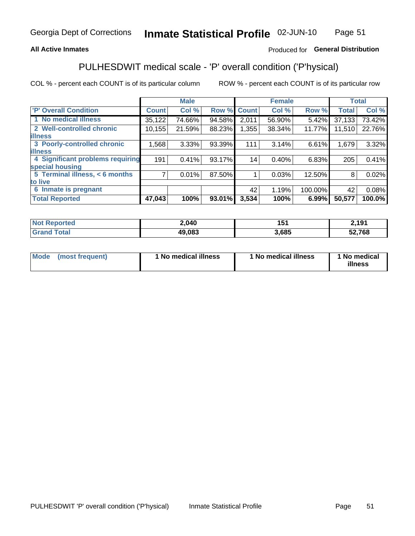## **All Active Inmates**

## Produced for General Distribution

# PULHESDWIT medical scale - 'P' overall condition ('P'hysical)

COL % - percent each COUNT is of its particular column

|                                  |                | <b>Male</b> |        |              | <b>Female</b> |         |              | <b>Total</b> |
|----------------------------------|----------------|-------------|--------|--------------|---------------|---------|--------------|--------------|
| <b>P' Overall Condition</b>      | <b>Count</b>   | Col %       | Row %  | <b>Count</b> | Col %         | Row %   | <b>Total</b> | Col %        |
| 1 No medical illness             | 35,122         | 74.66%      | 94.58% | 2,011        | 56.90%        | 5.42%   | 37,133       | 73.42%       |
| 2 Well-controlled chronic        | 10, 155        | 21.59%      | 88.23% | 1,355        | 38.34%        | 11.77%  | 11,510       | 22.76%       |
| <b>lillness</b>                  |                |             |        |              |               |         |              |              |
| 3 Poorly-controlled chronic      | 1,568          | $3.33\%$    | 93.39% | 111          | 3.14%         | 6.61%   | 1,679        | 3.32%        |
| <b>illness</b>                   |                |             |        |              |               |         |              |              |
| 4 Significant problems requiring | 191            | 0.41%       | 93.17% | 14           | 0.40%         | 6.83%   | 205          | 0.41%        |
| special housing                  |                |             |        |              |               |         |              |              |
| 5 Terminal illness, < 6 months   | $\overline{7}$ | 0.01%       | 87.50% |              | 0.03%         | 12.50%  | 8            | 0.02%        |
| to live                          |                |             |        |              |               |         |              |              |
| 6 Inmate is pregnant             |                |             |        | 42           | 1.19%         | 100.00% | 42           | 0.08%        |
| <b>Total Reported</b>            | 47,043         | 100%        | 93.01% | 3,534        | 100%          | 6.99%   | 50,577       | 100.0%       |

| тео | 2,040              | . .  | 101    |
|-----|--------------------|------|--------|
|     | <b>מח הו</b><br>ДU | .685 | 52,768 |

| Mode | (most frequent) | 1 No medical illness | 1 No medical illness | 1 No medical<br>illness |
|------|-----------------|----------------------|----------------------|-------------------------|
|------|-----------------|----------------------|----------------------|-------------------------|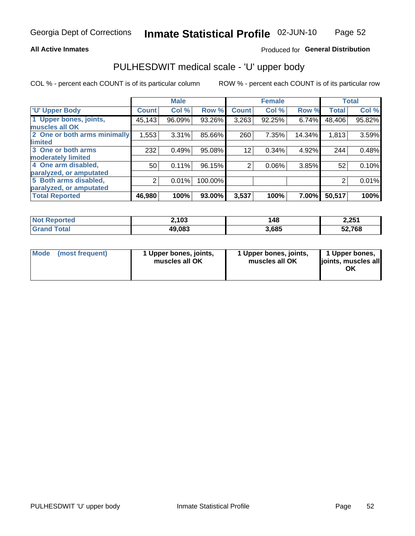### **All Active Inmates**

## Produced for General Distribution

# PULHESDWIT medical scale - 'U' upper body

COL % - percent each COUNT is of its particular column

|                              |                | <b>Male</b> |         |                | <b>Female</b> |        |              | <b>Total</b> |
|------------------------------|----------------|-------------|---------|----------------|---------------|--------|--------------|--------------|
| <b>U' Upper Body</b>         | <b>Count</b>   | Col %       | Row %   | <b>Count</b>   | Col %         | Row %  | <b>Total</b> | Col %        |
| 1 Upper bones, joints,       | 45, 143        | 96.09%      | 93.26%  | 3,263          | 92.25%        | 6.74%  | 48,406       | 95.82%       |
| muscles all OK               |                |             |         |                |               |        |              |              |
| 2 One or both arms minimally | 1,553          | 3.31%       | 85.66%  | 260            | 7.35%         | 14.34% | 1,813        | 3.59%        |
| limited                      |                |             |         |                |               |        |              |              |
| 3 One or both arms           | 232            | 0.49%       | 95.08%  | 12             | 0.34%         | 4.92%  | 244          | 0.48%        |
| <b>moderately limited</b>    |                |             |         |                |               |        |              |              |
| 4 One arm disabled,          | 50             | 0.11%       | 96.15%  | $\overline{2}$ | 0.06%         | 3.85%  | 52           | 0.10%        |
| paralyzed, or amputated      |                |             |         |                |               |        |              |              |
| 5 Both arms disabled,        | $\overline{2}$ | 0.01%       | 100.00% |                |               |        | 2            | 0.01%        |
| paralyzed, or amputated      |                |             |         |                |               |        |              |              |
| <b>Total Reported</b>        | 46,980         | 100%        | 93.00%  | 3,537          | 100%          | 7.00%  | 50,517       | 100%         |

| <b>Not Reported</b>   | 2,103  | 148   | 2,251  |
|-----------------------|--------|-------|--------|
| <b>Total</b><br>Grand | 49,083 | 3,685 | 52,768 |

| Mode<br>(most frequent) | 1 Upper bones, joints,<br>muscles all OK | 1 Upper bones, joints,<br>muscles all OK | 1 Upper bones,<br>joints, muscles all<br>ΟK |
|-------------------------|------------------------------------------|------------------------------------------|---------------------------------------------|
|-------------------------|------------------------------------------|------------------------------------------|---------------------------------------------|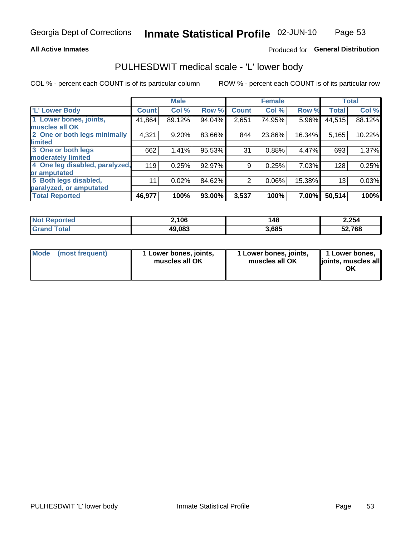### **All Active Inmates**

## Produced for General Distribution

## PULHESDWIT medical scale - 'L' lower body

COL % - percent each COUNT is of its particular column

|                                |              | <b>Male</b> |        |              | <b>Female</b> |        |                 | <b>Total</b> |
|--------------------------------|--------------|-------------|--------|--------------|---------------|--------|-----------------|--------------|
| 'L' Lower Body                 | <b>Count</b> | Col %       | Row %  | <b>Count</b> | Col %         | Row %  | <b>Total</b>    | Col %        |
| 1 Lower bones, joints,         | 41,864       | 89.12%      | 94.04% | 2,651        | 74.95%        | 5.96%  | 44,515          | 88.12%       |
| muscles all OK                 |              |             |        |              |               |        |                 |              |
| 2 One or both legs minimally   | 4,321        | 9.20%       | 83.66% | 844          | 23.86%        | 16.34% | 5,165           | 10.22%       |
| limited                        |              |             |        |              |               |        |                 |              |
| 3 One or both legs             | 662          | 1.41%       | 95.53% | 31           | 0.88%         | 4.47%  | 693             | 1.37%        |
| moderately limited             |              |             |        |              |               |        |                 |              |
| 4 One leg disabled, paralyzed, | 119          | 0.25%       | 92.97% | 9            | 0.25%         | 7.03%  | 128             | 0.25%        |
| or amputated                   |              |             |        |              |               |        |                 |              |
| 5 Both legs disabled,          | 11           | 0.02%       | 84.62% | 2            | 0.06%         | 15.38% | 13 <sub>1</sub> | 0.03%        |
| paralyzed, or amputated        |              |             |        |              |               |        |                 |              |
| <b>Total Reported</b>          | 46,977       | 100%        | 93.00% | 3,537        | 100%          | 7.00%  | 50,514          | 100%         |

| <b>Not Reported</b>   | 2,106  | 148   | 2,254  |
|-----------------------|--------|-------|--------|
| <b>Total</b><br>Grand | 49,083 | 3,685 | 52,768 |

|  | Mode (most frequent) | 1 Lower bones, joints,<br>muscles all OK | 1 Lower bones, joints,<br>muscles all OK | 1 Lower bones,<br>joints, muscles all<br>ΟK |
|--|----------------------|------------------------------------------|------------------------------------------|---------------------------------------------|
|--|----------------------|------------------------------------------|------------------------------------------|---------------------------------------------|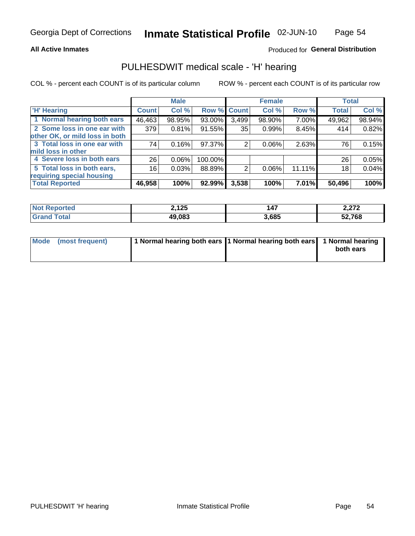## **All Active Inmates**

## Produced for General Distribution

## PULHESDWIT medical scale - 'H' hearing

COL % - percent each COUNT is of its particular column

|                                |              | <b>Male</b> |             |       | <b>Female</b> |        | <b>Total</b> |        |
|--------------------------------|--------------|-------------|-------------|-------|---------------|--------|--------------|--------|
| <b>H' Hearing</b>              | <b>Count</b> | Col %       | Row % Count |       | Col %         | Row %  | <b>Total</b> | Col %  |
| 1 Normal hearing both ears     | 46,463       | 98.95%      | 93.00%      | 3,499 | 98.90%        | 7.00%  | 49,962       | 98.94% |
| 2 Some loss in one ear with    | 379          | 0.81%       | 91.55%      | 35    | 0.99%         | 8.45%  | 414          | 0.82%  |
| other OK, or mild loss in both |              |             |             |       |               |        |              |        |
| 3 Total loss in one ear with   | 74           | 0.16%       | 97.37%      | 2     | $0.06\%$      | 2.63%  | 76           | 0.15%  |
| mild loss in other             |              |             |             |       |               |        |              |        |
| 4 Severe loss in both ears     | 26           | 0.06%       | 100.00%     |       |               |        | 26           | 0.05%  |
| 5 Total loss in both ears,     | 16           | 0.03%       | 88.89%      | າ     | $0.06\%$      | 11.11% | 18           | 0.04%  |
| requiring special housing      |              |             |             |       |               |        |              |        |
| <b>Total Reported</b>          | 46,958       | 100%        | 92.99%      | 3,538 | 100%          | 7.01%I | 50,496       | 100%   |

| ∵norted and     | つ イクド   | $\overline{\phantom{a}}$ | 270     |
|-----------------|---------|--------------------------|---------|
|                 | 4, I 4J | 14.                      | 4,4 I 4 |
|                 |         |                          |         |
| $f$ $f \circ f$ | 49.083  | 1,685                    | 52,768  |

| Mode (most frequent) | 1 Normal hearing both ears 1 Normal hearing both ears 1 Normal hearing |           |
|----------------------|------------------------------------------------------------------------|-----------|
|                      |                                                                        | both ears |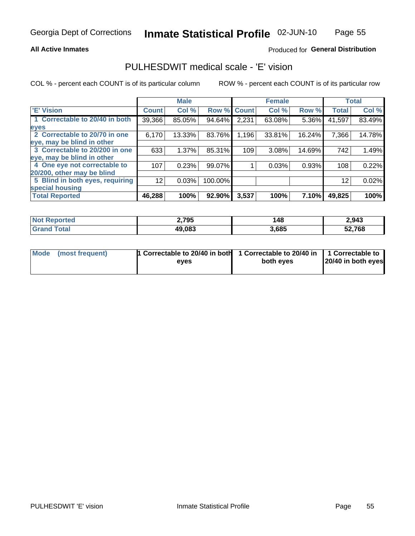## **All Active Inmates**

## Produced for General Distribution

## PULHESDWIT medical scale - 'E' vision

COL % - percent each COUNT is of its particular column

|                                 |                 | <b>Male</b> |         |              | <b>Female</b> |        |              | <b>Total</b> |
|---------------------------------|-----------------|-------------|---------|--------------|---------------|--------|--------------|--------------|
| <b>E' Vision</b>                | <b>Count</b>    | Col %       | Row %   | <b>Count</b> | Col %         | Row %  | <b>Total</b> | Col %        |
| 1 Correctable to 20/40 in both  | 39,366          | 85.05%      | 94.64%  | 2,231        | 63.08%        | 5.36%  | 41,597       | 83.49%       |
| eyes                            |                 |             |         |              |               |        |              |              |
| 2 Correctable to 20/70 in one   | 6,170           | 13.33%      | 83.76%  | 1,196        | 33.81%        | 16.24% | 7,366        | 14.78%       |
| eye, may be blind in other      |                 |             |         |              |               |        |              |              |
| 3 Correctable to 20/200 in one  | 633             | 1.37%       | 85.31%  | 109          | 3.08%         | 14.69% | 742          | 1.49%        |
| eye, may be blind in other      |                 |             |         |              |               |        |              |              |
| 4 One eye not correctable to    | 107             | 0.23%       | 99.07%  |              | 0.03%         | 0.93%  | 108          | 0.22%        |
| 20/200, other may be blind      |                 |             |         |              |               |        |              |              |
| 5 Blind in both eyes, requiring | 12 <sup>2</sup> | 0.03%       | 100.00% |              |               |        | 12           | 0.02%        |
| special housing                 |                 |             |         |              |               |        |              |              |
| <b>Total Reported</b>           | 46,288          | 100%        | 92.90%  | 3,537        | 100%          | 7.10%  | 49,825       | 100%         |

| <b>Not Reported</b> | 2,795  | 148   | 2,943  |
|---------------------|--------|-------|--------|
| <b>Total</b>        | 49,083 | 3,685 | 52,768 |

| Mode (most frequent) | <b>1 Correctable to 20/40 in both</b> | 1 Correctable to 20/40 in   1 Correctable to |                    |
|----------------------|---------------------------------------|----------------------------------------------|--------------------|
|                      | eves                                  | both eves                                    | 20/40 in both eyes |
|                      |                                       |                                              |                    |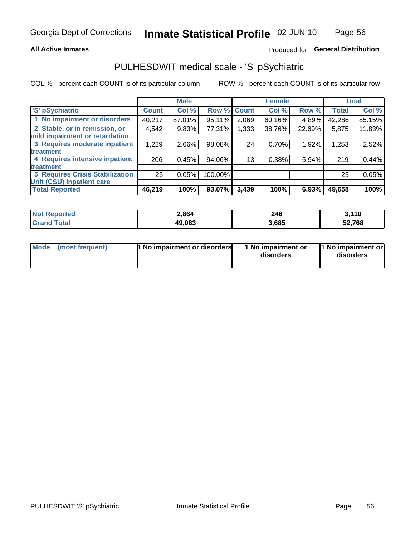## **All Active Inmates**

## Produced for General Distribution

# PULHESDWIT medical scale - 'S' pSychiatric

COL % - percent each COUNT is of its particular column

|                                        |              | <b>Male</b> |         |              | <b>Female</b> |        |              | <b>Total</b> |
|----------------------------------------|--------------|-------------|---------|--------------|---------------|--------|--------------|--------------|
| 'S' pSychiatric                        | <b>Count</b> | Col %       | Row %   | <b>Count</b> | Col %         | Row %  | <b>Total</b> | Col %        |
| 1 No impairment or disorders           | 40,217       | 87.01%      | 95.11%  | 2,069        | 60.16%        | 4.89%  | 42,286       | 85.15%       |
| 2 Stable, or in remission, or          | 4,542        | 9.83%       | 77.31%  | .333         | 38.76%        | 22.69% | 5,875        | 11.83%       |
| mild impairment or retardation         |              |             |         |              |               |        |              |              |
| 3 Requires moderate inpatient          | 1,229        | 2.66%       | 98.08%  | 24           | 0.70%         | 1.92%  | 1,253        | 2.52%        |
| treatment                              |              |             |         |              |               |        |              |              |
| 4 Requires intensive inpatient         | 206          | 0.45%       | 94.06%  | 13           | 0.38%         | 5.94%  | 219          | 0.44%        |
| treatment                              |              |             |         |              |               |        |              |              |
| <b>5 Requires Crisis Stabilization</b> | 25           | 0.05%       | 100.00% |              |               |        | 25           | 0.05%        |
| Unit (CSU) inpatient care              |              |             |         |              |               |        |              |              |
| <b>Total Reported</b>                  | 46,219       | 100%        | 93.07%  | 3,439        | 100%          | 6.93%  | 49,658       | 100%         |

| <b>Not Reported</b>   | 2,864  | 246   | <b>2440</b><br>J. I IV |
|-----------------------|--------|-------|------------------------|
| $\tau$ otal<br>'Grand | 49,083 | 3,685 | 52,768                 |

| Mode<br>1 No impairment or disorders<br>(most frequent) | 1 No impairment or<br>disorders | 1 No impairment or<br>disorders |
|---------------------------------------------------------|---------------------------------|---------------------------------|
|---------------------------------------------------------|---------------------------------|---------------------------------|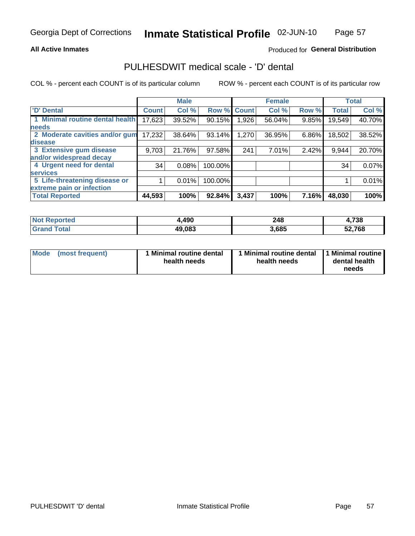## **All Active Inmates**

## Produced for General Distribution

# PULHESDWIT medical scale - 'D' dental

COL % - percent each COUNT is of its particular column

|                                 |              | <b>Male</b> |         |              | <b>Female</b> |       |              | <b>Total</b> |
|---------------------------------|--------------|-------------|---------|--------------|---------------|-------|--------------|--------------|
| <b>D'</b> Dental                | <b>Count</b> | Col %       | Row %   | <b>Count</b> | Col %         | Row % | <b>Total</b> | Col %        |
| 1 Minimal routine dental health | 17,623       | 39.52%      | 90.15%  | ∣ 926, ا     | 56.04%        | 9.85% | 19,549       | 40.70%       |
| <b>needs</b>                    |              |             |         |              |               |       |              |              |
| 2 Moderate cavities and/or gum  | 17,232       | 38.64%      | 93.14%  | 1,270        | 36.95%        | 6.86% | 18,502       | 38.52%       |
| disease                         |              |             |         |              |               |       |              |              |
| 3 Extensive gum disease         | 9,703        | 21.76%      | 97.58%  | 241          | 7.01%         | 2.42% | 9,944        | 20.70%       |
| and/or widespread decay         |              |             |         |              |               |       |              |              |
| 4 Urgent need for dental        | 34           | 0.08%       | 100.00% |              |               |       | 34           | 0.07%        |
| <b>services</b>                 |              |             |         |              |               |       |              |              |
| 5 Life-threatening disease or   |              | 0.01%       | 100.00% |              |               |       |              | 0.01%        |
| extreme pain or infection       |              |             |         |              |               |       |              |              |
| <b>Total Reported</b>           | 44,593       | 100%        | 92.84%  | 3,437        | 100%          | 7.16% | 48,030       | 100%         |

| <b>Not Reported</b> | +,490  | 248   | 4,738  |
|---------------------|--------|-------|--------|
| Total<br>' Grand    | 49,083 | 3,685 | 52,768 |

| 1 Minimal routine dental<br>Mode<br>(most frequent)<br>health needs | 1 Minimal routine dental 1 Minimal routine<br>health needs | dental health<br>needs |
|---------------------------------------------------------------------|------------------------------------------------------------|------------------------|
|---------------------------------------------------------------------|------------------------------------------------------------|------------------------|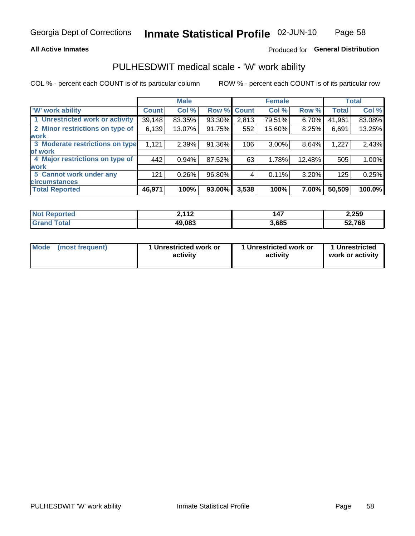## **All Active Inmates**

## Produced for General Distribution

## PULHESDWIT medical scale - 'W' work ability

COL % - percent each COUNT is of its particular column

|                                 |                    | <b>Male</b> |        |             | <b>Female</b> |          |              | <b>Total</b> |
|---------------------------------|--------------------|-------------|--------|-------------|---------------|----------|--------------|--------------|
| <b>W' work ability</b>          | Count <sup>1</sup> | Col %       |        | Row % Count | Col %         | Row %    | <b>Total</b> | Col %        |
| 1 Unrestricted work or activity | 39,148             | 83.35%      | 93.30% | 2,813       | 79.51%        | $6.70\%$ | 41,961       | 83.08%       |
| 2 Minor restrictions on type of | 6,139              | 13.07%      | 91.75% | 552         | 15.60%        | 8.25%    | 6,691        | 13.25%       |
| <b>work</b>                     |                    |             |        |             |               |          |              |              |
| 3 Moderate restrictions on type | 1,121              | 2.39%       | 91.36% | 106         | $3.00\%$      | 8.64%    | 1,227        | 2.43%        |
| of work                         |                    |             |        |             |               |          |              |              |
| 4 Major restrictions on type of | 442                | 0.94%       | 87.52% | 63          | 1.78%         | 12.48%   | 505          | 1.00%        |
| <b>work</b>                     |                    |             |        |             |               |          |              |              |
| 5 Cannot work under any         | 121                | 0.26%       | 96.80% | 4           | 0.11%         | 3.20%    | 125          | 0.25%        |
| <b>circumstances</b>            |                    |             |        |             |               |          |              |              |
| <b>Total Reported</b>           | 46,971             | 100%        | 93.00% | 3,538       | 100%          | 7.00%    | 50,509       | 100.0%       |

| <b>Not Reported</b>   | <b>2112</b><br>. | 147   | 2,259  |
|-----------------------|------------------|-------|--------|
| Total<br><b>Grand</b> | 49,083           | 3,685 | 52,768 |

| <b>Mode</b>     | 1 Unrestricted work or | 1 Unrestricted work or | 1 Unrestricted   |
|-----------------|------------------------|------------------------|------------------|
| (most frequent) | activity               | activity               | work or activity |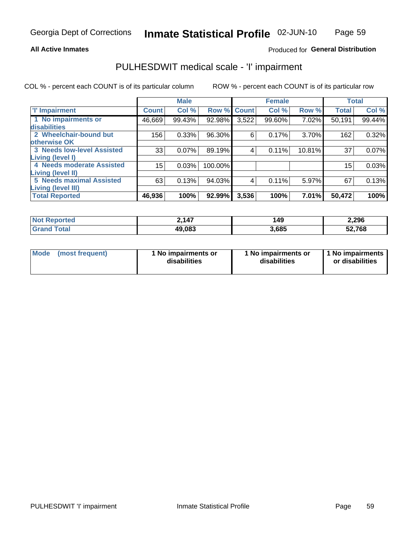### **All Active Inmates**

## Produced for General Distribution

# PULHESDWIT medical scale - 'I' impairment

COL % - percent each COUNT is of its particular column

|                                                      |              | <b>Male</b> |         |             | <b>Female</b> |        |              | <b>Total</b> |
|------------------------------------------------------|--------------|-------------|---------|-------------|---------------|--------|--------------|--------------|
| <b>T' Impairment</b>                                 | <b>Count</b> | Col %       |         | Row % Count | Col %         | Row %  | <b>Total</b> | Col %        |
| 1 No impairments or<br>disabilities                  | 46,669       | 99.43%      | 92.98%  | 3,522       | 99.60%        | 7.02%  | 50,191       | 99.44%       |
| 2 Wheelchair-bound but<br>otherwise OK               | 156          | 0.33%       | 96.30%  | 6           | 0.17%         | 3.70%  | 162          | 0.32%        |
| <b>3 Needs low-level Assisted</b>                    | 33           | 0.07%       | 89.19%  | 4           | 0.11%         | 10.81% | 37           | 0.07%        |
| Living (level I)<br>4 Needs moderate Assisted        | 15           | 0.03%       | 100.00% |             |               |        | 15           | 0.03%        |
| Living (level II)<br><b>5 Needs maximal Assisted</b> | 63           | 0.13%       | 94.03%  | 4           | 0.11%         | 5.97%  | 67           | 0.13%        |
| <b>Living (level III)</b><br><b>Total Reported</b>   | 46,936       | 100%        | 92.99%  | 3,536       | 100%          | 7.01%  | 50,472       | 100%         |

| Not i<br>Reported | 2,147  | 149   | 2,296  |
|-------------------|--------|-------|--------|
| Total<br>' Grano  | 49,083 | 3,685 | 52,768 |

| Mode | (most frequent) | 1 No impairments or<br>disabilities | 1 No impairments or<br>disabilities | 1 No impairments<br>or disabilities |
|------|-----------------|-------------------------------------|-------------------------------------|-------------------------------------|
|------|-----------------|-------------------------------------|-------------------------------------|-------------------------------------|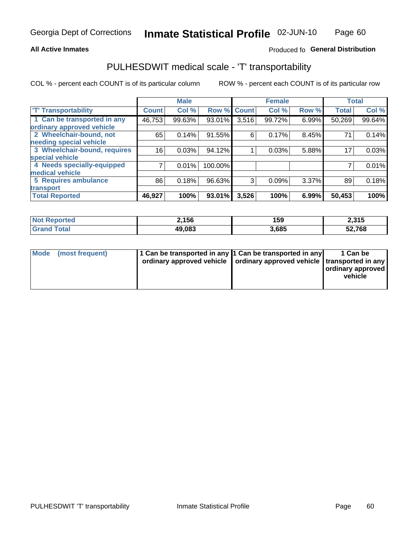## **All Active Inmates**

## Produced fo General Distribution

# PULHESDWIT medical scale - 'T' transportability

COL % - percent each COUNT is of its particular column

|                              |                 | <b>Male</b> |         |       | <b>Female</b> |       | <b>Total</b> |        |
|------------------------------|-----------------|-------------|---------|-------|---------------|-------|--------------|--------|
| <b>T' Transportability</b>   | <b>Count</b>    | Col %       | Row %   | Count | Col %         | Row % | <b>Total</b> | Col %  |
| 1 Can be transported in any  | 46,753          | 99.63%      | 93.01%  | 3,516 | 99.72%        | 6.99% | 50,269       | 99.64% |
| ordinary approved vehicle    |                 |             |         |       |               |       |              |        |
| 2 Wheelchair-bound, not      | 65              | 0.14%       | 91.55%  | 6     | 0.17%         | 8.45% | 71           | 0.14%  |
| needing special vehicle      |                 |             |         |       |               |       |              |        |
| 3 Wheelchair-bound, requires | 16 <sub>1</sub> | 0.03%       | 94.12%  |       | 0.03%         | 5.88% | 17           | 0.03%  |
| special vehicle              |                 |             |         |       |               |       |              |        |
| 4 Needs specially-equipped   |                 | 0.01%       | 100.00% |       |               |       |              | 0.01%  |
| medical vehicle              |                 |             |         |       |               |       |              |        |
| <b>5 Requires ambulance</b>  | 86              | 0.18%       | 96.63%  | 3     | 0.09%         | 3.37% | 89           | 0.18%  |
| transport                    |                 |             |         |       |               |       |              |        |
| <b>Total Reported</b>        | 46,927          | 100%        | 93.01%  | 3,526 | 100%          | 6.99% | 50,453       | 100%   |

| <b>Not</b><br>Reported | 2,156  | 159   | 2,315  |
|------------------------|--------|-------|--------|
| Total                  | 49,083 | 3,685 | 52,768 |

|  | Mode (most frequent) | 1 Can be transported in any 1 Can be transported in any<br>ordinary approved vehicle   ordinary approved vehicle   transported in any |  | 1 Can be<br>  ordinary approved  <br>vehicle |
|--|----------------------|---------------------------------------------------------------------------------------------------------------------------------------|--|----------------------------------------------|
|--|----------------------|---------------------------------------------------------------------------------------------------------------------------------------|--|----------------------------------------------|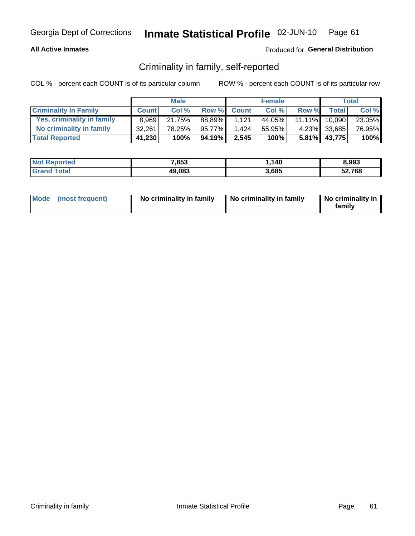## **All Active Inmates**

## Produced for General Distribution

## Criminality in family, self-reported

COL % - percent each COUNT is of its particular column

|                              |              | <b>Male</b> |        |              | <b>Female</b> |           |              | <b>Total</b> |
|------------------------------|--------------|-------------|--------|--------------|---------------|-----------|--------------|--------------|
| <b>Criminality In Family</b> | <b>Count</b> | Col%        | Row %  | <b>Count</b> | Col %         | Row %     | <b>Total</b> | Col %        |
| Yes, criminality in family   | 8.969        | 21.75%      | 88.89% | 1.121        | 44.05%        | $11.11\%$ | 10,090       | 23.05%       |
| No criminality in family     | 32,261       | 78.25%      | 95.77% | 1.424        | 55.95%        |           | 4.23% 33,685 | 76.95%       |
| <b>Total Reported</b>        | 41,230       | 100%        | 94.19% | 2,545        | 100%          |           | 5.81% 43,775 | 100%         |

| <b>Not Reported</b> | 7,853  | 140   | 8,993        |
|---------------------|--------|-------|--------------|
| <b>Total</b>        | 49,083 | 3,685 | 52,768<br>ວ∠ |

|  | Mode (most frequent) | No criminality in family | No criminality in family | No criminality in<br>family |
|--|----------------------|--------------------------|--------------------------|-----------------------------|
|--|----------------------|--------------------------|--------------------------|-----------------------------|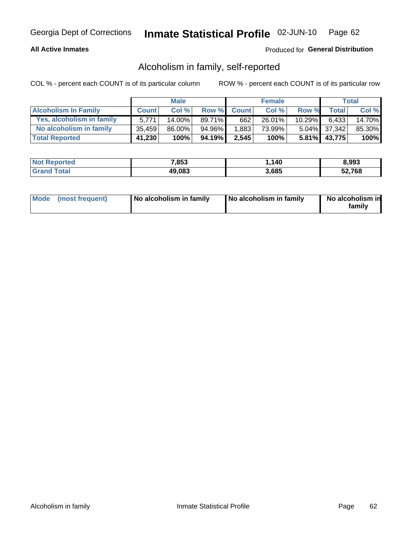## **All Active Inmates**

## Produced for General Distribution

## Alcoholism in family, self-reported

COL % - percent each COUNT is of its particular column

|                             |              | <b>Male</b> |        |              | <b>Female</b> |           |              | Total  |
|-----------------------------|--------------|-------------|--------|--------------|---------------|-----------|--------------|--------|
| <b>Alcoholism In Family</b> | <b>Count</b> | Col%        | Row %  | <b>Count</b> | Col %         | Row %     | <b>Total</b> | Col %  |
| Yes, alcoholism in family   | 5.771        | $14.00\%$   | 89.71% | 662          | 26.01%        | $10.29\%$ | 6.433        | 14.70% |
| No alcoholism in family     | 35.459       | $86.00\%$   | 94.96% | 1,883        | 73.99%        |           | 5.04% 37,342 | 85.30% |
| <b>Total Reported</b>       | 41,230       | 100%        | 94.19% | 2,545        | 100%          |           | 5.81% 43,775 | 100%   |

| <b>Not Reported</b> | 7,853  | 140   | 8,993        |
|---------------------|--------|-------|--------------|
| Total               | 49,083 | 3,685 | 52,768<br>ວ∠ |

|  | Mode (most frequent) | No alcoholism in family | No alcoholism in family | No alcoholism in<br>family |
|--|----------------------|-------------------------|-------------------------|----------------------------|
|--|----------------------|-------------------------|-------------------------|----------------------------|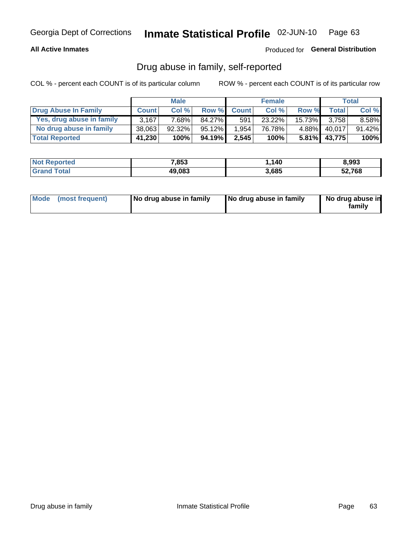## **All Active Inmates**

## Produced for General Distribution

## Drug abuse in family, self-reported

COL % - percent each COUNT is of its particular column

|                           |              | <b>Male</b> |           |              | <b>Female</b> |           |              | Total    |
|---------------------------|--------------|-------------|-----------|--------------|---------------|-----------|--------------|----------|
| Drug Abuse In Family      | <b>Count</b> | Col%        | Row %     | <b>Count</b> | Col %         | Row %     | <b>Total</b> | Col %    |
| Yes, drug abuse in family | 3.167        | 7.68%       | 84.27%    | 591          | 23.22%        | $15.73\%$ | 3.758        | $8.58\%$ |
| No drug abuse in family   | 38,063       | $92.32\%$   | $95.12\%$ | 1,954        | 76.78%        | $4.88\%$  | 40,017       | 91.42%   |
| <b>Total Reported</b>     | 41,230       | 100%        | 94.19%    | 2,545        | 100%          |           | 5.81% 43,775 | $100\%$  |

| <b>Not Reported</b> | 7,853  | 140   | 8,993        |
|---------------------|--------|-------|--------------|
| Total               | 49,083 | 3,685 | 52,768<br>ວ∠ |

|  | Mode (most frequent) | No drug abuse in family | No drug abuse in family | No drug abuse in<br>familv |
|--|----------------------|-------------------------|-------------------------|----------------------------|
|--|----------------------|-------------------------|-------------------------|----------------------------|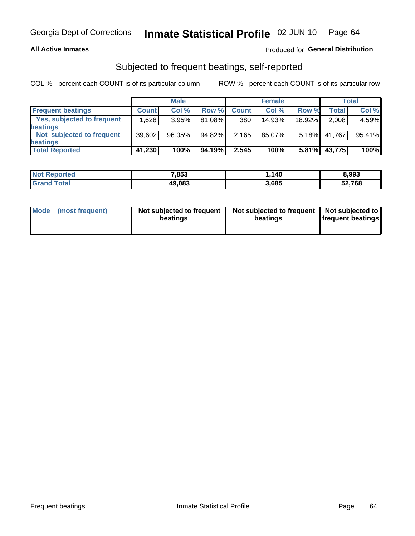## **All Active Inmates**

## Produced for General Distribution

## Subjected to frequent beatings, self-reported

COL % - percent each COUNT is of its particular column

|                            |              | <b>Male</b> |        |              | <b>Female</b> |          |        | Total  |
|----------------------------|--------------|-------------|--------|--------------|---------------|----------|--------|--------|
| <b>Frequent beatings</b>   | <b>Count</b> | Col %       | Row %  | <b>Count</b> | Col %         | Row %    | Total  | Col%   |
| Yes, subjected to frequent | 1,628        | 3.95%       | 81.08% | 380          | 14.93%        | 18.92%   | 2,008  | 4.59%  |
| beatings                   |              |             |        |              |               |          |        |        |
| Not subjected to frequent  | 39,602       | 96.05%      | 94.82% | 2,165        | 85.07%        | $5.18\%$ | 41.767 | 95.41% |
| beatings                   |              |             |        |              |               |          |        |        |
| <b>Total Reported</b>      | 41,230       | 100%        | 94.19% | 2,545        | 100%          | $5.81\%$ | 43,775 | 100%   |

| <b>Not</b><br>Reported | 7,853  | ,140  | 8,993  |
|------------------------|--------|-------|--------|
| Total                  | 49,083 | 3,685 | 52,768 |

| Mode | (most frequent) | Not subjected to frequent<br>beatings | Not subjected to frequent   Not subjected to<br>beatings | <b>frequent beatings</b> |
|------|-----------------|---------------------------------------|----------------------------------------------------------|--------------------------|
|      |                 |                                       |                                                          |                          |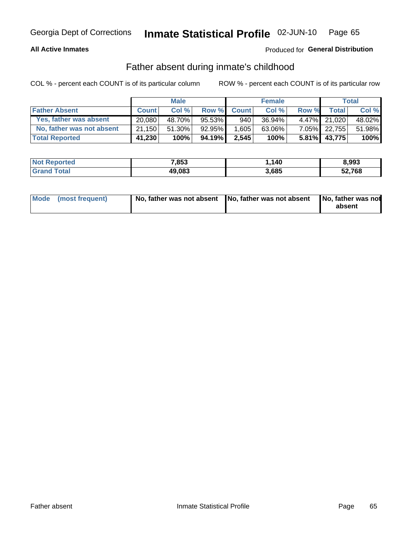## **All Active Inmates**

## Produced for General Distribution

## Father absent during inmate's childhood

COL % - percent each COUNT is of its particular column

|                           |              | <b>Male</b> |         |              | <b>Female</b> |          |              | Total  |
|---------------------------|--------------|-------------|---------|--------------|---------------|----------|--------------|--------|
| <b>Father Absent</b>      | <b>Count</b> | Col %       | Row %   | <b>Count</b> | Col %         | Row %    | <b>Total</b> | Col %  |
| Yes, father was absent    | 20.080       | 48.70%      | 95.53%  | 940          | 36.94%        |          | 4.47% 21.020 | 48.02% |
| No, father was not absent | 21.150       | $51.30\%$   | 92.95%  | 1,605        | $63.06\%$     |          | 7.05% 22,755 | 51.98% |
| <b>Total Reported</b>     | 41,230       | 100%        | 94.19%I | 2,545        | 100%          | $5.81\%$ | 43.775       | 100%   |

| <b>Not Reported</b> | 7,853  | .140  | 8,993  |
|---------------------|--------|-------|--------|
| <b>Total</b>        | 49,083 | 3,685 | 52,768 |

|  | Mode (most frequent) |  | No, father was not absent No, father was not absent No, father was not | absent |
|--|----------------------|--|------------------------------------------------------------------------|--------|
|--|----------------------|--|------------------------------------------------------------------------|--------|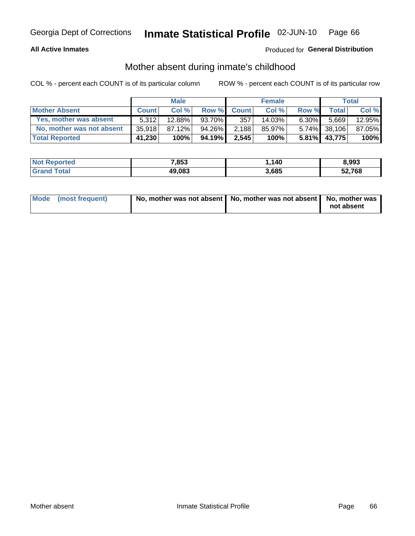## **All Active Inmates**

## Produced for General Distribution

## Mother absent during inmate's childhood

COL % - percent each COUNT is of its particular column

|                           |              | <b>Male</b> |        |              | <b>Female</b> |          |              | Total  |
|---------------------------|--------------|-------------|--------|--------------|---------------|----------|--------------|--------|
| <b>Mother Absent</b>      | <b>Count</b> | Col%        | Row %  | <b>Count</b> | Col %         | Row %    | <b>Total</b> | Col %  |
| Yes, mother was absent    | 5.312        | 12.88%      | 93.70% | 357          | 14.03%        | $6.30\%$ | 5,669        | 12.95% |
| No, mother was not absent | 35,918       | 87.12%      | 94.26% | 2,188        | 85.97%        |          | 5.74% 38,106 | 87.05% |
| <b>Total Reported</b>     | 41,230       | 100%        | 94.19% | 2,545        | 100%          | $5.81\%$ | 43.775       | 100%   |

| <b>Not Reported</b> | 7,853  | 140   | 8,993        |
|---------------------|--------|-------|--------------|
| Total               | 49,083 | 3,685 | 52,768<br>ວ∠ |

| Mode (most frequent) | No, mother was not absent   No, mother was not absent   No, mother was | not absent |
|----------------------|------------------------------------------------------------------------|------------|
|                      |                                                                        |            |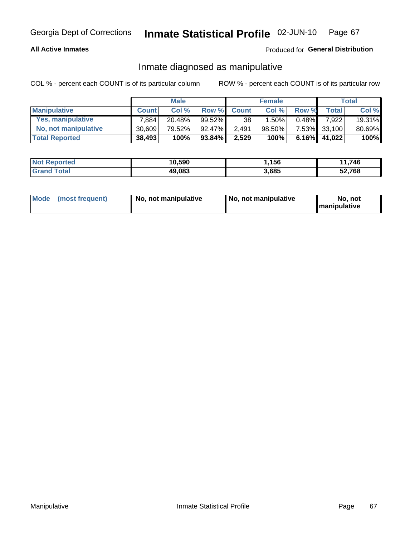## **All Active Inmates**

## Produced for General Distribution

## Inmate diagnosed as manipulative

COL % - percent each COUNT is of its particular column

|                       |              | <b>Male</b> |           |              | <b>Female</b> |          |              | Total  |
|-----------------------|--------------|-------------|-----------|--------------|---------------|----------|--------------|--------|
| <b>Manipulative</b>   | <b>Count</b> | Col %       | Row %     | <b>Count</b> | Col%          | Row %    | <b>Total</b> | Col %  |
| Yes, manipulative     | 7.884        | $20.48\%$   | $99.52\%$ | 38           | .50%          | $0.48\%$ | 7.922        | 19.31% |
| No, not manipulative  | 30.609       | 79.52%      | 92.47%    | 2,491        | 98.50%        |          | 7.53% 33,100 | 80.69% |
| <b>Total Reported</b> | 38,493       | 100%        | 93.84%    | 2,529        | 100%          | $6.16\%$ | 41,022       | 100%   |

| <b>Not Reported</b>      | 10,590 | .156  | 746<br>44<br>. |
|--------------------------|--------|-------|----------------|
| Total<br><b>∣Grand T</b> | 49,083 | 3,685 | 52,768         |

|  | Mode (most frequent) | No, not manipulative | , No, not manipulative | No. not<br><b>I</b> manipulative |
|--|----------------------|----------------------|------------------------|----------------------------------|
|--|----------------------|----------------------|------------------------|----------------------------------|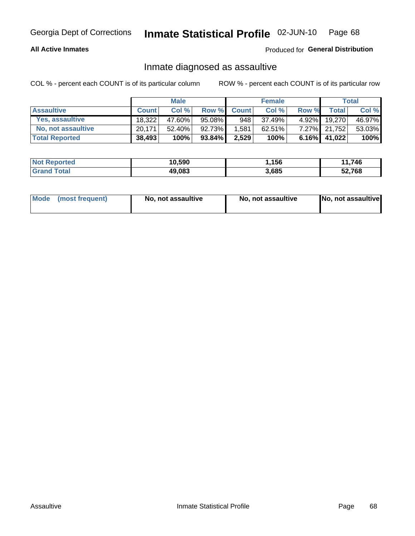## **All Active Inmates**

## Produced for General Distribution

## Inmate diagnosed as assaultive

COL % - percent each COUNT is of its particular column

|                           |              | <b>Male</b> |        |              | <b>Female</b> |          |              | Total  |
|---------------------------|--------------|-------------|--------|--------------|---------------|----------|--------------|--------|
| <b>Assaultive</b>         | <b>Count</b> | Col%        | Row %  | <b>Count</b> | Col %         | Row %    | <b>Total</b> | Col %  |
| Yes, assaultive           | 18.322       | 47.60%      | 95.08% | 948          | 37.49%        | $4.92\%$ | 19,270       | 46.97% |
| <b>No, not assaultive</b> | 20.171       | $52.40\%$   | 92.73% | 1,581        | $62.51\%$     |          | 7.27% 21,752 | 53.03% |
| <b>Total Reported</b>     | 38,493       | 100%        | 93.84% | 2,529        | 100%          |          | 6.16% 41,022 | 100%   |

| <b>Not Reported</b> | 10,590 | ,156  | 11,746<br>- - - |
|---------------------|--------|-------|-----------------|
| Total               | 49,083 | 3,685 | 52,768          |

|  | Mode (most frequent) | No, not assaultive | No, not assaultive | No, not assaultive |
|--|----------------------|--------------------|--------------------|--------------------|
|--|----------------------|--------------------|--------------------|--------------------|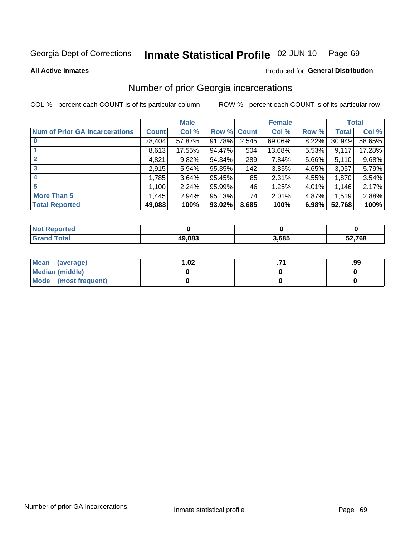#### Inmate Statistical Profile 02-JUN-10 Page 69

**All Active Inmates** 

## **Produced for General Distribution**

## Number of prior Georgia incarcerations

COL % - percent each COUNT is of its particular column

|                                       |              | <b>Male</b> |             |       | <b>Female</b> |       |        | <b>Total</b> |
|---------------------------------------|--------------|-------------|-------------|-------|---------------|-------|--------|--------------|
| <b>Num of Prior GA Incarcerations</b> | <b>Count</b> | Col %       | Row % Count |       | Col %         | Row % | Total  | Col %        |
|                                       | 28,404       | 57.87%      | 91.78%      | 2,545 | 69.06%        | 8.22% | 30,949 | 58.65%       |
|                                       | 8,613        | 17.55%      | 94.47%      | 504   | 13.68%        | 5.53% | 9,117  | 17.28%       |
| $\overline{2}$                        | 4,821        | 9.82%       | 94.34%      | 289   | 7.84%         | 5.66% | 5,110  | 9.68%        |
| 3                                     | 2,915        | 5.94%       | 95.35%      | 142   | 3.85%         | 4.65% | 3,057  | 5.79%        |
| $\boldsymbol{4}$                      | 1,785        | 3.64%       | 95.45%      | 85    | 2.31%         | 4.55% | 1,870  | 3.54%        |
| 5                                     | 1,100        | 2.24%       | 95.99%      | 46    | 1.25%         | 4.01% | 1,146  | 2.17%        |
| <b>More Than 5</b>                    | 1,445        | 2.94%       | 95.13%      | 74    | 2.01%         | 4.87% | 1,519  | 2.88%        |
| <b>Total Reported</b>                 | 49,083       | 100%        | 93.02%      | 3,685 | 100%          | 6.98% | 52,768 | 100%         |

| orted<br>NO.      |        |       |        |
|-------------------|--------|-------|--------|
| <b>otal</b><br>Gr | 49.083 | 3,685 | 52,768 |

| Mean (average)       | $\overline{.02}$ | .99 |
|----------------------|------------------|-----|
| Median (middle)      |                  |     |
| Mode (most frequent) |                  |     |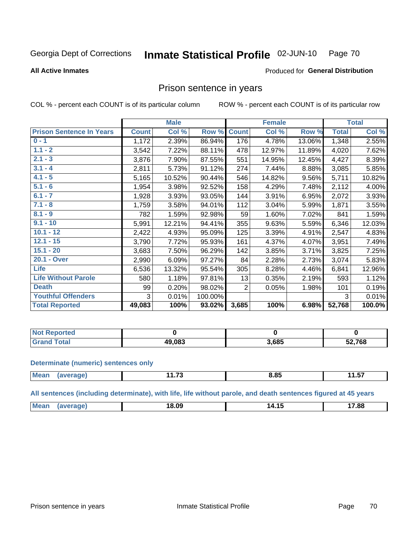#### Inmate Statistical Profile 02-JUN-10 Page 70

### **All Active Inmates**

### Produced for General Distribution

## Prison sentence in years

COL % - percent each COUNT is of its particular column

ROW % - percent each COUNT is of its particular row

|                                 |              | <b>Male</b> |         |                | <b>Female</b> |        |              | <b>Total</b> |
|---------------------------------|--------------|-------------|---------|----------------|---------------|--------|--------------|--------------|
| <b>Prison Sentence In Years</b> | <b>Count</b> | Col %       | Row %   | <b>Count</b>   | Col %         | Row %  | <b>Total</b> | Col %        |
| $0 - 1$                         | 1,172        | 2.39%       | 86.94%  | 176            | 4.78%         | 13.06% | 1,348        | 2.55%        |
| $1.1 - 2$                       | 3,542        | 7.22%       | 88.11%  | 478            | 12.97%        | 11.89% | 4,020        | 7.62%        |
| $2.1 - 3$                       | 3,876        | 7.90%       | 87.55%  | 551            | 14.95%        | 12.45% | 4,427        | 8.39%        |
| $3.1 - 4$                       | 2,811        | 5.73%       | 91.12%  | 274            | 7.44%         | 8.88%  | 3,085        | 5.85%        |
| $4.1 - 5$                       | 5,165        | 10.52%      | 90.44%  | 546            | 14.82%        | 9.56%  | 5,711        | 10.82%       |
| $5.1 - 6$                       | 1,954        | 3.98%       | 92.52%  | 158            | 4.29%         | 7.48%  | 2,112        | 4.00%        |
| $6.1 - 7$                       | 1,928        | 3.93%       | 93.05%  | 144            | 3.91%         | 6.95%  | 2,072        | 3.93%        |
| $7.1 - 8$                       | 1,759        | 3.58%       | 94.01%  | 112            | 3.04%         | 5.99%  | 1,871        | 3.55%        |
| $8.1 - 9$                       | 782          | 1.59%       | 92.98%  | 59             | 1.60%         | 7.02%  | 841          | 1.59%        |
| $9.1 - 10$                      | 5,991        | 12.21%      | 94.41%  | 355            | 9.63%         | 5.59%  | 6,346        | 12.03%       |
| $10.1 - 12$                     | 2,422        | 4.93%       | 95.09%  | 125            | 3.39%         | 4.91%  | 2,547        | 4.83%        |
| $12.1 - 15$                     | 3,790        | 7.72%       | 95.93%  | 161            | 4.37%         | 4.07%  | 3,951        | 7.49%        |
| $15.1 - 20$                     | 3,683        | 7.50%       | 96.29%  | 142            | 3.85%         | 3.71%  | 3,825        | 7.25%        |
| 20.1 - Over                     | 2,990        | 6.09%       | 97.27%  | 84             | 2.28%         | 2.73%  | 3,074        | 5.83%        |
| <b>Life</b>                     | 6,536        | 13.32%      | 95.54%  | 305            | 8.28%         | 4.46%  | 6,841        | 12.96%       |
| <b>Life Without Parole</b>      | 580          | 1.18%       | 97.81%  | 13             | 0.35%         | 2.19%  | 593          | 1.12%        |
| <b>Death</b>                    | 99           | 0.20%       | 98.02%  | $\overline{2}$ | 0.05%         | 1.98%  | 101          | 0.19%        |
| <b>Youthful Offenders</b>       | 3            | 0.01%       | 100.00% |                |               |        | 3            | 0.01%        |
| <b>Total Reported</b>           | 49,083       | 100%        | 93.02%  | 3,685          | 100%          | 6.98%  | 52,768       | 100.0%       |

| <b>Reported</b><br>I NOT |        |       |        |
|--------------------------|--------|-------|--------|
|                          | 49.083 | 3,685 | 52,768 |

### **Determinate (numeric) sentences only**

| <b>Mean</b> | ממו | .<br>. | O F<br>8.83 | .<br>. .<br>11.J <i>i</i> |
|-------------|-----|--------|-------------|---------------------------|
|             |     |        |             |                           |

All sentences (including determinate), with life, life without parole, and death sentences figured at 45 years

| $M\Omega$ :<br>$\overline{a}$<br>. .<br>7.88<br>14.15<br>18.US<br>___ |  |  |  |
|-----------------------------------------------------------------------|--|--|--|
|                                                                       |  |  |  |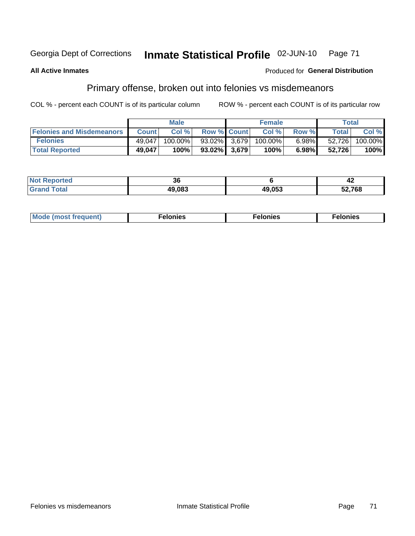#### Inmate Statistical Profile 02-JUN-10 Georgia Dept of Corrections Page 71

### **All Active Inmates**

### Produced for General Distribution

## Primary offense, broken out into felonies vs misdemeanors

COL % - percent each COUNT is of its particular column

|                                  |              | <b>Male</b> |                    | <b>Female</b> |          |              | Total   |
|----------------------------------|--------------|-------------|--------------------|---------------|----------|--------------|---------|
| <b>Felonies and Misdemeanors</b> | <b>Count</b> | Col%        | <b>Row % Count</b> | Col %         | Row %    | <b>Total</b> | Col %   |
| <b>Felonies</b>                  | 49.047       | 100.00%     | 93.02% 3.679       | $100.00\%$    | $6.98\%$ | 52.726       | 100.00% |
| <b>Total Reported</b>            | 49,047       | 100%        | $93.02\%$   3.679  | 100%          | 6.98%    | 52.726       | 100%    |

| <b>Not</b><br><b>orted</b> | 20<br>vu |        | - 4    |
|----------------------------|----------|--------|--------|
| <b>Grand</b>               | 49,083   | 49,053 | 52,768 |

| Mode (most frequent)<br>elonies | Felonies | Felonies |
|---------------------------------|----------|----------|
|---------------------------------|----------|----------|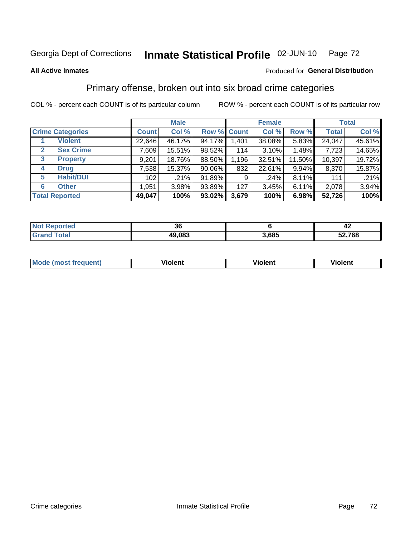#### Inmate Statistical Profile 02-JUN-10 Page 72

#### **All Active Inmates**

### Produced for General Distribution

## Primary offense, broken out into six broad crime categories

COL % - percent each COUNT is of its particular column

|                                  |              | <b>Male</b> |           |             | <b>Female</b> |          |              | <b>Total</b> |
|----------------------------------|--------------|-------------|-----------|-------------|---------------|----------|--------------|--------------|
| <b>Crime Categories</b>          | <b>Count</b> | Col %       |           | Row % Count | Col %         | Row %    | <b>Total</b> | Col %        |
| <b>Violent</b>                   | 22,646       | 46.17%      | 94.17%    | 1,401       | 38.08%        | 5.83%    | 24,047       | 45.61%       |
| <b>Sex Crime</b><br>$\mathbf{2}$ | 7,609        | 15.51%      | 98.52%    | 114         | 3.10%         | $1.48\%$ | 7,723        | 14.65%       |
| 3<br><b>Property</b>             | 9,201        | 18.76%      | 88.50%    | 1,196       | 32.51%        | 11.50%   | 10,397       | 19.72%       |
| <b>Drug</b><br>4                 | 7,538        | 15.37%      | $90.06\%$ | 832         | 22.61%        | 9.94%    | 8,370        | 15.87%       |
| <b>Habit/DUI</b><br>5            | 102          | .21%        | 91.89%    | 9           | .24%          | 8.11%    | 111          | .21%         |
| <b>Other</b><br>6                | 1,951        | 3.98%       | 93.89%    | 127         | 3.45%         | 6.11%    | 2,078        | 3.94%        |
| <b>Total Reported</b>            | 49,047       | 100%        | 93.02%    | 3,679       | 100%          | 6.98%    | 52,726       | 100%         |

| <b>Reported</b><br><b>NO</b> t | ^^<br>υu |       | 44     |
|--------------------------------|----------|-------|--------|
| <b>c</b> otal                  | 49,083   | 3,685 | 52,768 |

| Mode<br>freauent)<br>anst tr | .<br>/iolent | <br>Violent | .<br><b>Tiolent</b> |
|------------------------------|--------------|-------------|---------------------|
|                              |              |             |                     |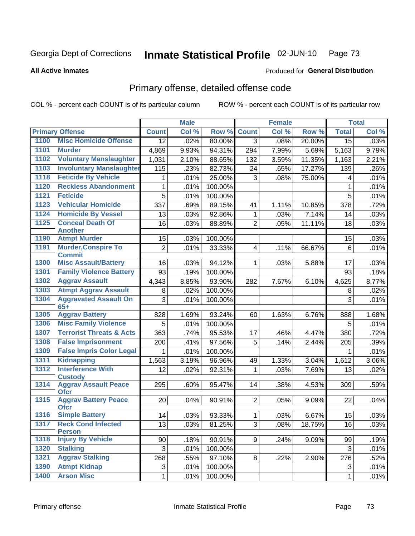#### Inmate Statistical Profile 02-JUN-10 Page 73

#### **All Active Inmates**

### **Produced for General Distribution**

## Primary offense, detailed offense code

COL % - percent each COUNT is of its particular column

|      |                                             |                | <b>Male</b> |         |                         | <b>Female</b> |        |              | <b>Total</b> |
|------|---------------------------------------------|----------------|-------------|---------|-------------------------|---------------|--------|--------------|--------------|
|      | <b>Primary Offense</b>                      | <b>Count</b>   | Col %       | Row %   | <b>Count</b>            | Col %         | Row %  | <b>Total</b> | Col %        |
| 1100 | <b>Misc Homicide Offense</b>                | 12             | .02%        | 80.00%  | 3 <sup>1</sup>          | .08%          | 20.00% | 15           | .03%         |
| 1101 | <b>Murder</b>                               | 4,869          | 9.93%       | 94.31%  | 294                     | 7.99%         | 5.69%  | 5,163        | 9.79%        |
| 1102 | <b>Voluntary Manslaughter</b>               | 1,031          | 2.10%       | 88.65%  | 132                     | 3.59%         | 11.35% | 1,163        | 2.21%        |
| 1103 | <b>Involuntary Manslaughter</b>             | 115            | .23%        | 82.73%  | 24                      | .65%          | 17.27% | 139          | .26%         |
| 1118 | <b>Feticide By Vehicle</b>                  | 1              | .01%        | 25.00%  | 3                       | .08%          | 75.00% | 4            | .01%         |
| 1120 | <b>Reckless Abandonment</b>                 | 1              | .01%        | 100.00% |                         |               |        | 1            | .01%         |
| 1121 | <b>Feticide</b>                             | $\overline{5}$ | .01%        | 100.00% |                         |               |        | 5            | .01%         |
| 1123 | <b>Vehicular Homicide</b>                   | 337            | .69%        | 89.15%  | 41                      | 1.11%         | 10.85% | 378          | .72%         |
| 1124 | <b>Homicide By Vessel</b>                   | 13             | .03%        | 92.86%  | $\mathbf{1}$            | .03%          | 7.14%  | 14           | .03%         |
| 1125 | <b>Conceal Death Of</b>                     | 16             | .03%        | 88.89%  | $\overline{2}$          | .05%          | 11.11% | 18           | .03%         |
|      | <b>Another</b>                              |                |             |         |                         |               |        |              |              |
| 1190 | <b>Atmpt Murder</b>                         | 15             | .03%        | 100.00% |                         |               |        | 15           | .03%         |
| 1191 | <b>Murder, Conspire To</b><br><b>Commit</b> | $\overline{c}$ | .01%        | 33.33%  | $\overline{\mathbf{4}}$ | .11%          | 66.67% | 6            | .01%         |
| 1300 | <b>Misc Assault/Battery</b>                 | 16             | .03%        | 94.12%  | $\mathbf{1}$            | .03%          | 5.88%  | 17           | .03%         |
| 1301 | <b>Family Violence Battery</b>              | 93             | .19%        | 100.00% |                         |               |        | 93           | .18%         |
| 1302 | <b>Aggrav Assault</b>                       | 4,343          | 8.85%       | 93.90%  | 282                     | 7.67%         | 6.10%  | 4,625        | 8.77%        |
| 1303 | <b>Atmpt Aggrav Assault</b>                 | 8              | .02%        | 100.00% |                         |               |        | 8            | .02%         |
| 1304 | <b>Aggravated Assault On</b>                | 3              | .01%        | 100.00% |                         |               |        | 3            | .01%         |
|      | $65+$                                       |                |             |         |                         |               |        |              |              |
| 1305 | <b>Aggrav Battery</b>                       | 828            | 1.69%       | 93.24%  | 60                      | 1.63%         | 6.76%  | 888          | 1.68%        |
| 1306 | <b>Misc Family Violence</b>                 | 5              | .01%        | 100.00% |                         |               |        | 5            | .01%         |
| 1307 | <b>Terrorist Threats &amp; Acts</b>         | 363            | .74%        | 95.53%  | 17                      | .46%          | 4.47%  | 380          | .72%         |
| 1308 | <b>False Imprisonment</b>                   | 200            | .41%        | 97.56%  | 5                       | .14%          | 2.44%  | 205          | .39%         |
| 1309 | <b>False Impris Color Legal</b>             | 1              | .01%        | 100.00% |                         |               |        | 1            | .01%         |
| 1311 | <b>Kidnapping</b>                           | 1,563          | 3.19%       | 96.96%  | 49                      | 1.33%         | 3.04%  | 1,612        | 3.06%        |
| 1312 | <b>Interference With</b><br><b>Custody</b>  | 12             | .02%        | 92.31%  | 1                       | .03%          | 7.69%  | 13           | .02%         |
| 1314 | <b>Aggrav Assault Peace</b><br><b>Ofcr</b>  | 295            | .60%        | 95.47%  | 14                      | .38%          | 4.53%  | 309          | .59%         |
| 1315 | <b>Aggrav Battery Peace</b><br><b>Ofcr</b>  | 20             | .04%        | 90.91%  | 2                       | .05%          | 9.09%  | 22           | .04%         |
| 1316 | <b>Simple Battery</b>                       | 14             | .03%        | 93.33%  | $\mathbf{1}$            | .03%          | 6.67%  | 15           | .03%         |
| 1317 | <b>Reck Cond Infected</b><br><b>Person</b>  | 13             | .03%        | 81.25%  | 3                       | .08%          | 18.75% | 16           | .03%         |
| 1318 | <b>Injury By Vehicle</b>                    | 90             | .18%        | 90.91%  | 9                       | .24%          | 9.09%  | 99           | .19%         |
| 1320 | <b>Stalking</b>                             | 3              | .01%        | 100.00% |                         |               |        | 3            | .01%         |
| 1321 | <b>Aggrav Stalking</b>                      | 268            | .55%        | 97.10%  | 8 <sup>1</sup>          | .22%          | 2.90%  | 276          | .52%         |
| 1390 | <b>Atmpt Kidnap</b>                         | 3              | .01%        | 100.00% |                         |               |        | 3            | .01%         |
| 1400 | <b>Arson Misc</b>                           | $\mathbf 1$    | .01%        | 100.00% |                         |               |        | $\mathbf{1}$ | .01%         |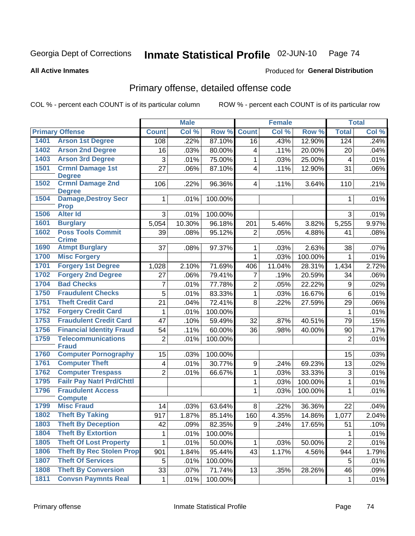#### Inmate Statistical Profile 02-JUN-10 Page 74

**All Active Inmates** 

### Produced for General Distribution

## Primary offense, detailed offense code

COL % - percent each COUNT is of its particular column

|      |                                            |                         | <b>Male</b> |         |                         | <b>Female</b> |         |                         | <b>Total</b> |
|------|--------------------------------------------|-------------------------|-------------|---------|-------------------------|---------------|---------|-------------------------|--------------|
|      | <b>Primary Offense</b>                     | <b>Count</b>            | Col %       | Row %   | <b>Count</b>            | Col %         | Row %   | <b>Total</b>            | Col %        |
| 1401 | <b>Arson 1st Degree</b>                    | 108                     | .22%        | 87.10%  | 16                      | .43%          | 12.90%  | 124                     | .24%         |
| 1402 | <b>Arson 2nd Degree</b>                    | 16                      | .03%        | 80.00%  | 4                       | .11%          | 20.00%  | 20                      | .04%         |
| 1403 | <b>Arson 3rd Degree</b>                    | 3                       | .01%        | 75.00%  | 1                       | .03%          | 25.00%  | $\overline{\mathbf{4}}$ | .01%         |
| 1501 | <b>Crmnl Damage 1st</b>                    | 27                      | .06%        | 87.10%  | $\overline{\mathbf{4}}$ | .11%          | 12.90%  | 31                      | .06%         |
|      | <b>Degree</b>                              |                         |             |         |                         |               |         |                         |              |
| 1502 | <b>Crmnl Damage 2nd</b><br><b>Degree</b>   | 106                     | .22%        | 96.36%  | 4 <sup>1</sup>          | .11%          | 3.64%   | 110                     | .21%         |
| 1504 | <b>Damage, Destroy Secr</b><br><b>Prop</b> | 1                       | .01%        | 100.00% |                         |               |         | $\mathbf 1$             | .01%         |
| 1506 | <b>Alter Id</b>                            | 3                       | .01%        | 100.00% |                         |               |         | 3                       | .01%         |
| 1601 | <b>Burglary</b>                            | 5,054                   | 10.30%      | 96.18%  | 201                     | 5.46%         | 3.82%   | 5,255                   | 9.97%        |
| 1602 | <b>Poss Tools Commit</b><br><b>Crime</b>   | 39                      | .08%        | 95.12%  | $\overline{2}$          | .05%          | 4.88%   | 41                      | .08%         |
| 1690 | <b>Atmpt Burglary</b>                      | 37                      | .08%        | 97.37%  | 1                       | .03%          | 2.63%   | 38                      | .07%         |
| 1700 | <b>Misc Forgery</b>                        |                         |             |         | 1                       | .03%          | 100.00% | $\mathbf 1$             | .01%         |
| 1701 | <b>Forgery 1st Degree</b>                  | 1,028                   | 2.10%       | 71.69%  | 406                     | 11.04%        | 28.31%  | 1,434                   | 2.72%        |
| 1702 | <b>Forgery 2nd Degree</b>                  | 27                      | .06%        | 79.41%  | $\overline{7}$          | .19%          | 20.59%  | 34                      | .06%         |
| 1704 | <b>Bad Checks</b>                          | 7                       | .01%        | 77.78%  | $\overline{c}$          | .05%          | 22.22%  | 9                       | .02%         |
| 1750 | <b>Fraudulent Checks</b>                   | $\overline{5}$          | .01%        | 83.33%  | 1                       | .03%          | 16.67%  | 6                       | .01%         |
| 1751 | <b>Theft Credit Card</b>                   | 21                      | .04%        | 72.41%  | 8                       | .22%          | 27.59%  | 29                      | .06%         |
| 1752 | <b>Forgery Credit Card</b>                 | 1                       | .01%        | 100.00% |                         |               |         | 1                       | .01%         |
| 1753 | <b>Fraudulent Credit Card</b>              | 47                      | .10%        | 59.49%  | 32                      | .87%          | 40.51%  | 79                      | .15%         |
| 1756 | <b>Financial Identity Fraud</b>            | 54                      | .11%        | 60.00%  | 36                      | .98%          | 40.00%  | 90                      | .17%         |
| 1759 | <b>Telecommunications</b>                  | $\overline{2}$          | .01%        | 100.00% |                         |               |         | $\overline{2}$          | .01%         |
|      | <b>Fraud</b>                               |                         |             |         |                         |               |         |                         |              |
| 1760 | <b>Computer Pornography</b>                | 15                      | .03%        | 100.00% |                         |               |         | 15                      | .03%         |
| 1761 | <b>Computer Theft</b>                      | $\overline{\mathbf{4}}$ | .01%        | 30.77%  | $\mathsf g$             | .24%          | 69.23%  | 13                      | .02%         |
| 1762 | <b>Computer Trespass</b>                   | $\overline{2}$          | .01%        | 66.67%  | $\mathbf{1}$            | .03%          | 33.33%  | $\sqrt{3}$              | .01%         |
| 1795 | <b>Failr Pay Natrl Prd/Chttl</b>           |                         |             |         | 1                       | .03%          | 100.00% | $\mathbf{1}$            | .01%         |
| 1796 | <b>Fraudulent Access</b>                   |                         |             |         | 1                       | .03%          | 100.00% | $\mathbf{1}$            | .01%         |
| 1799 | <b>Compute</b><br><b>Misc Fraud</b>        | 14                      | .03%        | 63.64%  | 8                       | .22%          | 36.36%  | 22                      | .04%         |
| 1802 | <b>Theft By Taking</b>                     | 917                     | 1.87%       | 85.14%  | 160                     | 4.35%         | 14.86%  | 1,077                   | 2.04%        |
| 1803 | <b>Theft By Deception</b>                  | 42                      | .09%        | 82.35%  | 9                       | .24%          | 17.65%  | 51                      | .10%         |
| 1804 | <b>Theft By Extortion</b>                  | 1                       | .01%        | 100.00% |                         |               |         | 1                       | .01%         |
| 1805 | <b>Theft Of Lost Property</b>              | 1.                      | .01%        | 50.00%  |                         | .03%          | 50.00%  | $\overline{2}$          | .01%         |
| 1806 | <b>Theft By Rec Stolen Prop</b>            | 901                     | 1.84%       | 95.44%  | 1.<br>43                | 1.17%         | 4.56%   | 944                     | 1.79%        |
| 1807 | <b>Theft Of Services</b>                   | 5                       | .01%        | 100.00% |                         |               |         | 5                       | .01%         |
| 1808 | <b>Theft By Conversion</b>                 | 33                      | .07%        | 71.74%  | 13                      | .35%          | 28.26%  | 46                      | .09%         |
| 1811 | <b>Convsn Paymnts Real</b>                 | $\mathbf 1$             | .01%        | 100.00% |                         |               |         | $\mathbf{1}$            |              |
|      |                                            |                         |             |         |                         |               |         |                         | .01%         |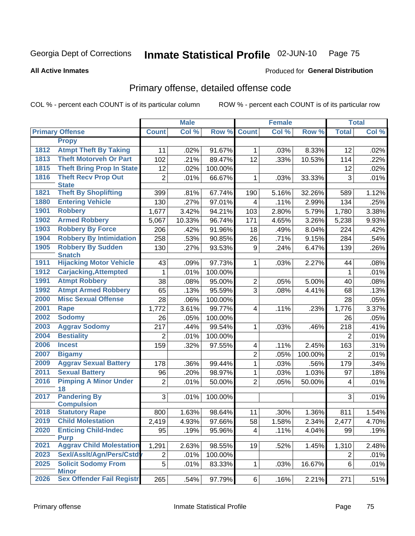#### Inmate Statistical Profile 02-JUN-10 Page 75

#### **All Active Inmates**

## **Produced for General Distribution**

## Primary offense, detailed offense code

COL % - percent each COUNT is of its particular column

|      |                                                 |                | <b>Male</b> |         |                | <b>Female</b> |         |                | <b>Total</b> |
|------|-------------------------------------------------|----------------|-------------|---------|----------------|---------------|---------|----------------|--------------|
|      | <b>Primary Offense</b>                          | <b>Count</b>   | Col %       | Row %   | <b>Count</b>   | Col %         | Row %   | <b>Total</b>   | Col %        |
|      | <b>Propy</b>                                    |                |             |         |                |               |         |                |              |
| 1812 | <b>Atmpt Theft By Taking</b>                    | 11             | .02%        | 91.67%  | $\mathbf{1}$   | .03%          | 8.33%   | 12             | .02%         |
| 1813 | <b>Theft Motorveh Or Part</b>                   | 102            | .21%        | 89.47%  | 12             | .33%          | 10.53%  | 114            | .22%         |
| 1815 | <b>Theft Bring Prop In State</b>                | 12             | .02%        | 100.00% |                |               |         | 12             | .02%         |
| 1816 | <b>Theft Recv Prop Out</b>                      | $\overline{2}$ | .01%        | 66.67%  | $\mathbf{1}$   | .03%          | 33.33%  | 3              | .01%         |
|      | <b>State</b>                                    |                |             |         |                |               |         |                |              |
| 1821 | <b>Theft By Shoplifting</b>                     | 399            | .81%        | 67.74%  | 190            | 5.16%         | 32.26%  | 589            | 1.12%        |
| 1880 | <b>Entering Vehicle</b>                         | 130            | .27%        | 97.01%  | 4              | .11%          | 2.99%   | 134            | .25%         |
| 1901 | <b>Robbery</b>                                  | 1,677          | 3.42%       | 94.21%  | 103            | 2.80%         | 5.79%   | 1,780          | 3.38%        |
| 1902 | <b>Armed Robbery</b>                            | 5,067          | 10.33%      | 96.74%  | 171            | 4.65%         | 3.26%   | 5,238          | 9.93%        |
| 1903 | <b>Robbery By Force</b>                         | 206            | .42%        | 91.96%  | 18             | .49%          | 8.04%   | 224            | .42%         |
| 1904 | <b>Robbery By Intimidation</b>                  | 258            | .53%        | 90.85%  | 26             | .71%          | 9.15%   | 284            | .54%         |
| 1905 | <b>Robbery By Sudden</b>                        | 130            | .27%        | 93.53%  | 9              | .24%          | 6.47%   | 139            | .26%         |
| 1911 | <b>Snatch</b><br><b>Hijacking Motor Vehicle</b> | 43             | .09%        | 97.73%  | $\mathbf{1}$   | .03%          | 2.27%   | 44             | .08%         |
| 1912 | <b>Carjacking, Attempted</b>                    | 1              | .01%        | 100.00% |                |               |         | $\mathbf{1}$   | .01%         |
| 1991 | <b>Atmpt Robbery</b>                            | 38             | .08%        | 95.00%  | $\overline{2}$ | .05%          | 5.00%   | 40             | .08%         |
| 1992 | <b>Atmpt Armed Robbery</b>                      | 65             | .13%        | 95.59%  | 3              | .08%          | 4.41%   | 68             | .13%         |
| 2000 | <b>Misc Sexual Offense</b>                      | 28             | .06%        | 100.00% |                |               |         | 28             | .05%         |
| 2001 | Rape                                            | 1,772          | 3.61%       | 99.77%  | $\overline{4}$ | .11%          | .23%    | 1,776          | 3.37%        |
| 2002 | <b>Sodomy</b>                                   | 26             | .05%        | 100.00% |                |               |         | 26             | .05%         |
| 2003 | <b>Aggrav Sodomy</b>                            | 217            | .44%        | 99.54%  | 1.             | .03%          | .46%    | 218            | .41%         |
| 2004 | <b>Bestiality</b>                               | 2              | .01%        | 100.00% |                |               |         | 2              | .01%         |
| 2006 | <b>Incest</b>                                   | 159            | .32%        | 97.55%  | 4              | .11%          | 2.45%   | 163            | .31%         |
| 2007 | <b>Bigamy</b>                                   |                |             |         | $\overline{2}$ | .05%          | 100.00% | 2              | .01%         |
| 2009 | <b>Aggrav Sexual Battery</b>                    | 178            | .36%        | 99.44%  | 1              | .03%          | .56%    | 179            | .34%         |
| 2011 | <b>Sexual Battery</b>                           | 96             | .20%        | 98.97%  | $\mathbf{1}$   | .03%          | 1.03%   | 97             | .18%         |
| 2016 | <b>Pimping A Minor Under</b>                    | $\overline{2}$ | .01%        | 50.00%  | $\overline{2}$ | .05%          | 50.00%  | 4              | .01%         |
|      | 18                                              |                |             |         |                |               |         |                |              |
| 2017 | <b>Pandering By</b>                             | 3              | .01%        | 100.00% |                |               |         | 3              | .01%         |
|      | <b>Compulsion</b>                               |                |             |         |                |               |         |                |              |
| 2018 | <b>Statutory Rape</b>                           | 800            | 1.63%       | 98.64%  | 11             | .30%          | 1.36%   | 811            | 1.54%        |
| 2019 | <b>Child Molestation</b>                        | 2,419          | 4.93%       | 97.66%  | 58             | 1.58%         | 2.34%   | 2,477          | 4.70%        |
| 2020 | <b>Enticing Child-Indec</b><br><b>Purp</b>      | 95             | .19%        | 95.96%  | 4              | .11%          | 4.04%   | 99             | .19%         |
| 2021 | <b>Aggrav Child Molestation</b>                 | 1,291          | 2.63%       | 98.55%  | 19             | .52%          | 1.45%   | 1,310          | 2.48%        |
| 2023 | Sexl/Asslt/Agn/Pers/Cstd                        | $\overline{2}$ | .01%        | 100.00% |                |               |         | $\overline{2}$ | .01%         |
| 2025 | <b>Solicit Sodomy From</b>                      | $\overline{5}$ | .01%        | 83.33%  | $\mathbf{1}$   | .03%          | 16.67%  | 6              | .01%         |
|      | <b>Minor</b>                                    |                |             |         |                |               |         |                |              |
| 2026 | <b>Sex Offender Fail Registr</b>                | 265            | .54%        | 97.79%  | $6\vert$       | .16%          | 2.21%   | 271            | .51%         |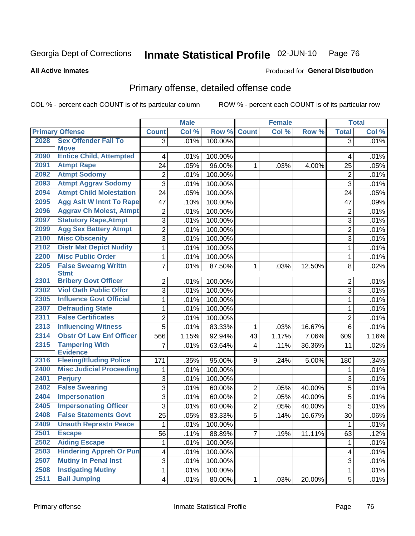#### Inmate Statistical Profile 02-JUN-10 Page 76

#### **All Active Inmates**

## **Produced for General Distribution**

## Primary offense, detailed offense code

COL % - percent each COUNT is of its particular column

|      |                                            |                         | <b>Male</b>               |         |                | <b>Female</b> |        |                         | <b>Total</b> |
|------|--------------------------------------------|-------------------------|---------------------------|---------|----------------|---------------|--------|-------------------------|--------------|
|      | <b>Primary Offense</b>                     | <b>Count</b>            | $\overline{\text{Col 9}}$ | Row %   | <b>Count</b>   | Col%          | Row %  | <b>Total</b>            | Col %        |
| 2028 | <b>Sex Offender Fail To</b>                | 3 <sup>1</sup>          | .01%                      | 100.00% |                |               |        | $\overline{3}$          | .01%         |
|      | <b>Move</b>                                |                         |                           |         |                |               |        |                         |              |
| 2090 | <b>Entice Child, Attempted</b>             | 4                       | .01%                      | 100.00% |                |               |        | 4                       | .01%         |
| 2091 | <b>Atmpt Rape</b>                          | 24                      | .05%                      | 96.00%  | $\mathbf{1}$   | .03%          | 4.00%  | 25                      | .05%         |
| 2092 | <b>Atmpt Sodomy</b>                        | 2                       | .01%                      | 100.00% |                |               |        | $\boldsymbol{2}$        | .01%         |
| 2093 | <b>Atmpt Aggrav Sodomy</b>                 | 3                       | .01%                      | 100.00% |                |               |        | 3                       | .01%         |
| 2094 | <b>Atmpt Child Molestation</b>             | 24                      | .05%                      | 100.00% |                |               |        | 24                      | .05%         |
| 2095 | <b>Agg Aslt W Intnt To Rape</b>            | 47                      | .10%                      | 100.00% |                |               |        | 47                      | .09%         |
| 2096 | <b>Aggrav Ch Molest, Atmpt</b>             | 2                       | .01%                      | 100.00% |                |               |        | $\boldsymbol{2}$        | .01%         |
| 2097 | <b>Statutory Rape, Atmpt</b>               | 3                       | .01%                      | 100.00% |                |               |        | 3                       | .01%         |
| 2099 | <b>Agg Sex Battery Atmpt</b>               | $\overline{2}$          | .01%                      | 100.00% |                |               |        | $\overline{2}$          | .01%         |
| 2100 | <b>Misc Obscenity</b>                      | $\overline{3}$          | .01%                      | 100.00% |                |               |        | 3                       | .01%         |
| 2102 | <b>Distr Mat Depict Nudity</b>             | 1                       | .01%                      | 100.00% |                |               |        | $\mathbf{1}$            | .01%         |
| 2200 | <b>Misc Public Order</b>                   | $\mathbf{1}$            | .01%                      | 100.00% |                |               |        | 1                       | .01%         |
| 2205 | <b>False Swearng Writtn</b><br><b>Stmt</b> | $\overline{7}$          | .01%                      | 87.50%  | $\mathbf{1}$   | .03%          | 12.50% | 8                       | .02%         |
| 2301 | <b>Bribery Govt Officer</b>                | $\overline{2}$          | .01%                      | 100.00% |                |               |        | 2                       | .01%         |
| 2302 | <b>Viol Oath Public Offcr</b>              | 3                       | .01%                      | 100.00% |                |               |        | 3                       | .01%         |
| 2305 | <b>Influence Govt Official</b>             | 1                       | .01%                      | 100.00% |                |               |        | $\mathbf{1}$            | .01%         |
| 2307 | <b>Defrauding State</b>                    | 1                       | .01%                      | 100.00% |                |               |        | 1                       | .01%         |
| 2311 | <b>False Certificates</b>                  | $\overline{2}$          | .01%                      | 100.00% |                |               |        | $\overline{2}$          | .01%         |
| 2313 | <b>Influencing Witness</b>                 | $\overline{5}$          | .01%                      | 83.33%  | 1              | .03%          | 16.67% | $6\phantom{1}$          | .01%         |
| 2314 | <b>Obstr Of Law Enf Officer</b>            | 566                     | 1.15%                     | 92.94%  | 43             | 1.17%         | 7.06%  | 609                     | 1.16%        |
| 2315 | <b>Tampering With</b><br><b>Evidence</b>   | 7                       | .01%                      | 63.64%  | $\overline{4}$ | .11%          | 36.36% | 11                      | .02%         |
| 2316 | <b>Fleeing/Eluding Police</b>              | 171                     | .35%                      | 95.00%  | 9              | .24%          | 5.00%  | 180                     | .34%         |
| 2400 | <b>Misc Judicial Proceeding</b>            | 1                       | .01%                      | 100.00% |                |               |        | 1                       | .01%         |
| 2401 | <b>Perjury</b>                             | 3                       | .01%                      | 100.00% |                |               |        | 3                       | .01%         |
| 2402 | <b>False Swearing</b>                      | 3                       | .01%                      | 60.00%  | $\mathbf{2}$   | .05%          | 40.00% | $\overline{5}$          | .01%         |
| 2404 | <b>Impersonation</b>                       | 3                       | .01%                      | 60.00%  | $\overline{2}$ | .05%          | 40.00% | $\overline{5}$          | .01%         |
| 2405 | <b>Impersonating Officer</b>               | 3                       | .01%                      | 60.00%  | $\overline{2}$ | .05%          | 40.00% | 5                       | .01%         |
| 2408 | <b>False Statements Govt</b>               | $\overline{25}$         | .05%                      | 83.33%  | $\overline{5}$ | .14%          | 16.67% | 30                      | .06%         |
| 2409 | <b>Unauth Represtn Peace</b>               | 1                       | .01%                      | 100.00% |                |               |        | 1                       | .01%         |
| 2501 | <b>Escape</b>                              | 56                      | .11%                      | 88.89%  | $\overline{7}$ | .19%          | 11.11% | 63                      | .12%         |
| 2502 | <b>Aiding Escape</b>                       | 1                       | .01%                      | 100.00% |                |               |        | 1                       | .01%         |
| 2503 | <b>Hindering Appreh Or Pun</b>             | $\overline{\mathbf{4}}$ | .01%                      | 100.00% |                |               |        | $\overline{\mathbf{4}}$ | .01%         |
| 2507 | <b>Mutiny In Penal Inst</b>                | 3                       | .01%                      | 100.00% |                |               |        | 3                       | .01%         |
| 2508 | <b>Instigating Mutiny</b>                  | $\mathbf 1$             | .01%                      | 100.00% |                |               |        | 1                       | .01%         |
| 2511 | <b>Bail Jumping</b>                        | $\overline{\mathbf{4}}$ | .01%                      | 80.00%  | 1              | .03%          | 20.00% | 5                       | .01%         |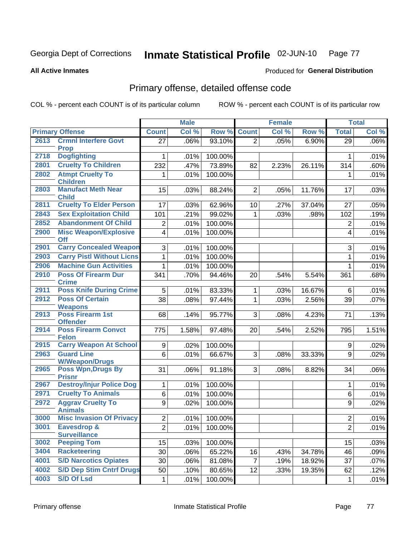#### Inmate Statistical Profile 02-JUN-10 Page 77

**Produced for General Distribution** 

#### **All Active Inmates**

## Primary offense, detailed offense code

COL % - percent each COUNT is of its particular column

|      |                                            |                | <b>Male</b> |         | <b>Female</b>  |       |        | <b>Total</b>   |       |
|------|--------------------------------------------|----------------|-------------|---------|----------------|-------|--------|----------------|-------|
|      | <b>Primary Offense</b>                     | <b>Count</b>   | Col %       | Row %   | <b>Count</b>   | Col % | Row %  | <b>Total</b>   | Col % |
| 2613 | <b>Crmnl Interfere Govt</b>                | 27             | .06%        | 93.10%  | $\overline{2}$ | .05%  | 6.90%  | 29             | .06%  |
|      | <b>Prop</b>                                |                |             |         |                |       |        |                |       |
| 2718 | <b>Dogfighting</b>                         |                | .01%        | 100.00% |                |       |        | 1              | .01%  |
| 2801 | <b>Cruelty To Children</b>                 | 232            | .47%        | 73.89%  | 82             | 2.23% | 26.11% | 314            | .60%  |
| 2802 | <b>Atmpt Cruelty To</b><br><b>Children</b> | 1              | .01%        | 100.00% |                |       |        | 1              | .01%  |
| 2803 | <b>Manufact Meth Near</b><br><b>Child</b>  | 15             | .03%        | 88.24%  | $\overline{2}$ | .05%  | 11.76% | 17             | .03%  |
| 2811 | <b>Cruelty To Elder Person</b>             | 17             | .03%        | 62.96%  | 10             | .27%  | 37.04% | 27             | .05%  |
| 2843 | <b>Sex Exploitation Child</b>              | 101            | .21%        | 99.02%  | $\mathbf{1}$   | .03%  | .98%   | 102            | .19%  |
| 2852 | <b>Abandonment Of Child</b>                | $\overline{2}$ | .01%        | 100.00% |                |       |        | $\overline{2}$ | .01%  |
| 2900 | <b>Misc Weapon/Explosive</b><br><b>Off</b> | $\overline{4}$ | .01%        | 100.00% |                |       |        | 4              | .01%  |
| 2901 | <b>Carry Concealed Weapon</b>              | 3              | .01%        | 100.00% |                |       |        | 3              | .01%  |
| 2903 | <b>Carry Pistl Without Licns</b>           | 1              | .01%        | 100.00% |                |       |        | 1              | .01%  |
| 2906 | <b>Machine Gun Activities</b>              | 1              | .01%        | 100.00% |                |       |        | 1              | .01%  |
| 2910 | <b>Poss Of Firearm Dur</b><br><b>Crime</b> | 341            | .70%        | 94.46%  | 20             | .54%  | 5.54%  | 361            | .68%  |
| 2911 | <b>Poss Knife During Crime</b>             | 5              | .01%        | 83.33%  | 1              | .03%  | 16.67% | 6              | .01%  |
| 2912 | <b>Poss Of Certain</b><br><b>Weapons</b>   | 38             | .08%        | 97.44%  | 1              | .03%  | 2.56%  | 39             | .07%  |
| 2913 | <b>Poss Firearm 1st</b><br><b>Offender</b> | 68             | .14%        | 95.77%  | 3              | .08%  | 4.23%  | 71             | .13%  |
| 2914 | <b>Poss Firearm Convct</b><br><b>Felon</b> | 775            | 1.58%       | 97.48%  | 20             | .54%  | 2.52%  | 795            | 1.51% |
| 2915 | <b>Carry Weapon At School</b>              | 9              | .02%        | 100.00% |                |       |        | 9              | .02%  |
| 2963 | <b>Guard Line</b><br><b>W/Weapon/Drugs</b> | 6              | .01%        | 66.67%  | 3              | .08%  | 33.33% | 9              | .02%  |
| 2965 | <b>Poss Wpn, Drugs By</b><br><b>Prisnr</b> | 31             | .06%        | 91.18%  | 3              | .08%  | 8.82%  | 34             | .06%  |
| 2967 | <b>Destroy/Injur Police Dog</b>            | 1              | .01%        | 100.00% |                |       |        | 1              | .01%  |
| 2971 | <b>Cruelty To Animals</b>                  | 6              | .01%        | 100.00% |                |       |        | 6              | .01%  |
| 2972 | <b>Aggrav Cruelty To</b><br><b>Animals</b> | 9              | .02%        | 100.00% |                |       |        | 9              | .02%  |
| 3000 | <b>Misc Invasion Of Privacy</b>            | $\overline{2}$ | .01%        | 100.00% |                |       |        | $\overline{2}$ | .01%  |
| 3001 | Eavesdrop &<br><b>Surveillance</b>         | $\overline{2}$ | .01%        | 100.00% |                |       |        | $\mathbf{2}$   | .01%  |
| 3002 | <b>Peeping Tom</b>                         | 15             | .03%        | 100.00% |                |       |        | 15             | .03%  |
| 3404 | <b>Racketeering</b>                        | 30             | .06%        | 65.22%  | 16             | .43%  | 34.78% | 46             | .09%  |
| 4001 | <b>S/D Narcotics Opiates</b>               | 30             | .06%        | 81.08%  | $\overline{7}$ | .19%  | 18.92% | 37             | .07%  |
| 4002 | <b>S/D Dep Stim Cntrf Drugs</b>            | 50             | .10%        | 80.65%  | 12             | .33%  | 19.35% | 62             | .12%  |
| 4003 | <b>S/D Of Lsd</b>                          | 1              | .01%        | 100.00% |                |       |        | 1              | .01%  |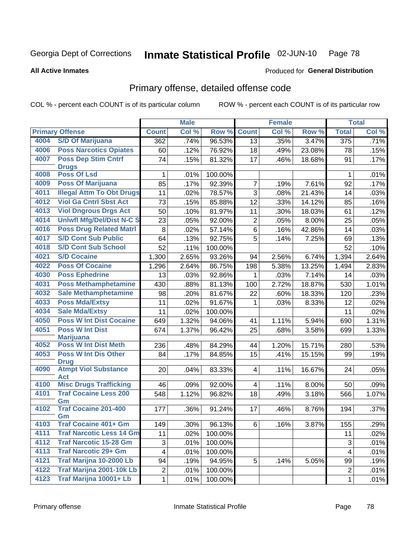#### Inmate Statistical Profile 02-JUN-10 Page 78

**All Active Inmates** 

### **Produced for General Distribution**

## Primary offense, detailed offense code

COL % - percent each COUNT is of its particular column

|      |                                           |                         | <b>Male</b> |         |                         | <b>Female</b> |        |                  | <b>Total</b> |
|------|-------------------------------------------|-------------------------|-------------|---------|-------------------------|---------------|--------|------------------|--------------|
|      | <b>Primary Offense</b>                    | <b>Count</b>            | Col %       | Row %   | <b>Count</b>            | Col %         | Row %  | <b>Total</b>     | Col %        |
| 4004 | <b>S/D Of Marijuana</b>                   | 362                     | .74%        | 96.53%  | 13                      | .35%          | 3.47%  | $\overline{375}$ | .71%         |
| 4006 | <b>Poss Narcotics Opiates</b>             | 60                      | .12%        | 76.92%  | 18                      | .49%          | 23.08% | 78               | .15%         |
| 4007 | <b>Poss Dep Stim Cntrf</b>                | 74                      | .15%        | 81.32%  | 17                      | .46%          | 18.68% | 91               | .17%         |
|      | <b>Drugs</b>                              |                         |             |         |                         |               |        |                  |              |
| 4008 | <b>Poss Of Lsd</b>                        | 1                       | .01%        | 100.00% |                         |               |        | 1                | .01%         |
| 4009 | <b>Poss Of Marijuana</b>                  | 85                      | .17%        | 92.39%  | $\overline{7}$          | .19%          | 7.61%  | 92               | .17%         |
| 4011 | <b>Illegal Attm To Obt Drugs</b>          | 11                      | .02%        | 78.57%  | 3                       | .08%          | 21.43% | 14               | .03%         |
| 4012 | <b>Viol Ga Cntrl Sbst Act</b>             | 73                      | .15%        | 85.88%  | $\overline{12}$         | .33%          | 14.12% | 85               | .16%         |
| 4013 | <b>Viol Dngrous Drgs Act</b>              | 50                      | .10%        | 81.97%  | 11                      | .30%          | 18.03% | 61               | .12%         |
| 4014 | <b>Uniwfl Mfg/Del/Dist N-C S</b>          | 23                      | .05%        | 92.00%  | $\overline{2}$          | .05%          | 8.00%  | 25               | .05%         |
| 4016 | <b>Poss Drug Related Matri</b>            | 8                       | .02%        | 57.14%  | 6                       | .16%          | 42.86% | 14               | .03%         |
| 4017 | <b>S/D Cont Sub Public</b>                | 64                      | .13%        | 92.75%  | $\overline{5}$          | .14%          | 7.25%  | 69               | .13%         |
| 4018 | <b>S/D Cont Sub School</b>                | 52                      | .11%        | 100.00% |                         |               |        | 52               | .10%         |
| 4021 | <b>S/D Cocaine</b>                        | 1,300                   | 2.65%       | 93.26%  | 94                      | 2.56%         | 6.74%  | 1,394            | 2.64%        |
| 4022 | <b>Poss Of Cocaine</b>                    | 1,296                   | 2.64%       | 86.75%  | 198                     | 5.38%         | 13.25% | 1,494            | 2.83%        |
| 4030 | <b>Poss Ephedrine</b>                     | 13                      | .03%        | 92.86%  | $\mathbf 1$             | .03%          | 7.14%  | 14               | .03%         |
| 4031 | <b>Poss Methamphetamine</b>               | 430                     | .88%        | 81.13%  | 100                     | 2.72%         | 18.87% | 530              | 1.01%        |
| 4032 | <b>Sale Methamphetamine</b>               | 98                      | .20%        | 81.67%  | 22                      | .60%          | 18.33% | 120              | .23%         |
| 4033 | <b>Poss Mda/Extsy</b>                     | 11                      | .02%        | 91.67%  | $\mathbf{1}$            | .03%          | 8.33%  | 12               | .02%         |
| 4034 | <b>Sale Mda/Extsy</b>                     | 11                      | .02%        | 100.00% |                         |               |        | 11               | .02%         |
| 4050 | <b>Poss W Int Dist Cocaine</b>            | 649                     | 1.32%       | 94.06%  | 41                      | 1.11%         | 5.94%  | 690              | 1.31%        |
| 4051 | <b>Poss W Int Dist</b>                    | 674                     | 1.37%       | 96.42%  | 25                      | .68%          | 3.58%  | 699              | 1.33%        |
|      | <b>Marijuana</b>                          |                         |             |         |                         |               |        |                  |              |
| 4052 | <b>Poss W Int Dist Meth</b>               | 236                     | .48%        | 84.29%  | 44                      | 1.20%         | 15.71% | 280              | .53%         |
| 4053 | <b>Poss W Int Dis Other</b>               | 84                      | .17%        | 84.85%  | 15                      | .41%          | 15.15% | 99               | .19%         |
|      | <b>Drug</b>                               |                         |             |         |                         |               |        |                  |              |
| 4090 | <b>Atmpt Viol Substance</b><br><b>Act</b> | 20                      | .04%        | 83.33%  | $\overline{\mathbf{4}}$ | .11%          | 16.67% | 24               | .05%         |
| 4100 | <b>Misc Drugs Trafficking</b>             | 46                      | .09%        | 92.00%  | 4 <sup>1</sup>          | .11%          | 8.00%  | 50               | .09%         |
| 4101 | <b>Traf Cocaine Less 200</b>              | 548                     | 1.12%       | 96.82%  | 18                      | .49%          | 3.18%  | 566              | 1.07%        |
|      | Gm                                        |                         |             |         |                         |               |        |                  |              |
| 4102 | <b>Traf Cocaine 201-400</b>               | 177                     | .36%        | 91.24%  | 17                      | .46%          | 8.76%  | 194              | .37%         |
|      | Gm                                        |                         |             |         |                         |               |        |                  |              |
| 4103 | <b>Traf Cocaine 401+ Gm</b>               | 149                     | .30%        | 96.13%  | 6 <sup>1</sup>          | .16%          | 3.87%  | 155              | .29%         |
| 4111 | <b>Traf Narcotic Less 14 Gm</b>           | 11                      | .02%        | 100.00% |                         |               |        | 11               | .02%         |
| 4112 | <b>Traf Narcotic 15-28 Gm</b>             | 3                       | .01%        | 100.00% |                         |               |        | 3                | .01%         |
| 4113 | <b>Traf Narcotic 29+ Gm</b>               | $\overline{\mathbf{4}}$ | .01%        | 100.00% |                         |               |        | 4                | .01%         |
| 4121 | Traf Marijna 10-2000 Lb                   | 94                      | .19%        | 94.95%  | 5                       | .14%          | 5.05%  | 99               | .19%         |
| 4122 | Traf Marijna 2001-10k Lb                  | $\overline{\mathbf{c}}$ | .01%        | 100.00% |                         |               |        | $\overline{2}$   | .01%         |
| 4123 | Traf Marijna 10001+ Lb                    | $\mathbf{1}$            | .01%        | 100.00% |                         |               |        | $\mathbf{1}$     | .01%         |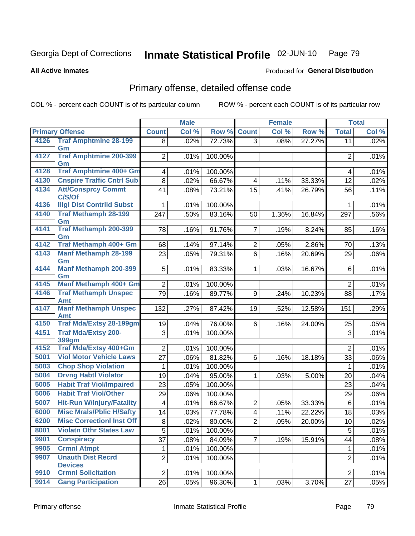#### Inmate Statistical Profile 02-JUN-10 Page 79

**Produced for General Distribution** 

#### **All Active Inmates**

# Primary offense, detailed offense code

COL % - percent each COUNT is of its particular column

|      |                                              |                 | <b>Male</b> |                   | <b>Female</b>           |       | <b>Total</b> |                |              |
|------|----------------------------------------------|-----------------|-------------|-------------------|-------------------------|-------|--------------|----------------|--------------|
|      | <b>Primary Offense</b>                       | <b>Count</b>    | Col %       | Row %             | <b>Count</b>            | Col % | Row %        | <b>Total</b>   | Col %        |
| 4126 | <b>Traf Amphtmine 28-199</b>                 | 8               | .02%        | 72.73%            | 3 <sup>1</sup>          | .08%  | 27.27%       | 11             | .02%         |
| 4127 | Gm<br><b>Traf Amphtmine 200-399</b>          |                 |             |                   |                         |       |              |                |              |
|      | Gm                                           | $\overline{2}$  | .01%        | 100.00%           |                         |       |              | $\overline{2}$ | .01%         |
| 4128 | <b>Traf Amphtmine 400+ Gm</b>                | 4               | .01%        | 100.00%           |                         |       |              | 4              | .01%         |
| 4130 | <b>Cnspire Traffic Cntrl Sub</b>             | 8               | .02%        | 66.67%            | 4                       | .11%  | 33.33%       | 12             | .02%         |
| 4134 | <b>Att/Consprcy Commt</b>                    | 41              | .08%        | 73.21%            | 15                      | .41%  | 26.79%       | 56             | .11%         |
|      | C/S/Of                                       |                 |             |                   |                         |       |              |                |              |
| 4136 | <b>Illgl Dist Contrild Subst</b>             | 1               | .01%        | 100.00%           |                         |       |              | 1              | .01%         |
| 4140 | <b>Traf Methamph 28-199</b><br>Gm            | 247             | .50%        | 83.16%            | 50                      | 1.36% | 16.84%       | 297            | .56%         |
| 4141 | <b>Traf Methamph 200-399</b>                 | 78              | .16%        | 91.76%            | $\overline{7}$          | .19%  | 8.24%        | 85             | .16%         |
|      | Gm                                           |                 |             |                   |                         |       |              |                |              |
| 4142 | Traf Methamph 400+ Gm                        | 68              | .14%        | 97.14%            | $\overline{2}$          | .05%  | 2.86%        | 70             | .13%         |
| 4143 | <b>Manf Methamph 28-199</b>                  | 23              | .05%        | 79.31%            | 6                       | .16%  | 20.69%       | 29             | .06%         |
|      | Gm                                           |                 |             |                   |                         |       |              |                |              |
| 4144 | <b>Manf Methamph 200-399</b><br>Gm           | 5               | .01%        | 83.33%            | $\mathbf{1}$            | .03%  | 16.67%       | 6              | .01%         |
| 4145 | Manf Methamph 400+ Gm                        | $\overline{2}$  | .01%        | 100.00%           |                         |       |              | $\overline{2}$ | .01%         |
| 4146 | <b>Traf Methamph Unspec</b>                  | 79              | .16%        | 89.77%            | 9                       | .24%  | 10.23%       | 88             | .17%         |
|      | Amt                                          |                 |             |                   |                         |       |              |                |              |
| 4147 | <b>Manf Methamph Unspec</b>                  | 132             | .27%        | 87.42%            | 19                      | .52%  | 12.58%       | 151            | .29%         |
| 4150 | <b>Amt</b><br><b>Traf Mda/Extsy 28-199gm</b> | 19              | .04%        | 76.00%            | 6                       | .16%  | 24.00%       | 25             | .05%         |
| 4151 | <b>Traf Mda/Extsy 200-</b>                   | 3               | .01%        | 100.00%           |                         |       |              | 3              | .01%         |
|      | 399gm                                        |                 |             |                   |                         |       |              |                |              |
| 4152 | Traf Mda/Extsy 400+Gm                        | $\overline{2}$  | .01%        | 100.00%           |                         |       |              | $\overline{2}$ | .01%         |
| 5001 | <b>Viol Motor Vehicle Laws</b>               | 27              | .06%        | 81.82%            | 6                       | .16%  | 18.18%       | 33             | .06%         |
| 5003 | <b>Chop Shop Violation</b>                   | 1               | .01%        | 100.00%           |                         |       |              | 1              | .01%         |
| 5004 | <b>Drvng Habtl Violator</b>                  | 19              | .04%        | 95.00%            | 1                       | .03%  | 5.00%        | 20             | .04%         |
| 5005 | <b>Habit Traf Viol/Impaired</b>              | 23              | .05%        | 100.00%           |                         |       |              | 23             | $.04\%$      |
| 5006 | <b>Habit Traf Viol/Other</b>                 | 29              | .06%        | 100.00%           |                         |       |              | 29             | .06%         |
| 5007 | <b>Hit-Run W/Injury/Fatality</b>             | 4               | .01%        | 66.67%            | $\overline{c}$          | .05%  | 33.33%       | $\,6\,$        | .01%         |
| 6000 | <b>Misc Mrals/Pblic H/Safty</b>              | 14              | .03%        | 77.78%            | $\overline{\mathbf{4}}$ | .11%  | 22.22%       | 18             | .03%         |
| 6200 | <b>Misc CorrectionI Inst Off</b>             | 8               | .02%        | 80.00%            | $\overline{2}$          | .05%  | 20.00%       | $10$           | .02%         |
| 8001 | <b>Violatn Othr States Law</b>               | 5               | .01%        | 100.00%           |                         |       |              | 5              | .01%         |
| 9901 | <b>Conspiracy</b>                            | $\overline{37}$ | .08%        | 84.09%            | $\overline{7}$          | .19%  | 15.91%       | 44             | .08%         |
| 9905 | <b>Crmnl Atmpt</b>                           | 1               | .01%        | 100.00%           |                         |       |              | 1              | .01%         |
| 9907 | <b>Unauth Dist Recrd</b>                     | $\overline{2}$  | .01%        | 100.00%           |                         |       |              | $\overline{2}$ | .01%         |
| 9910 | <b>Devices</b><br><b>Crmnl Solicitation</b>  | $\overline{2}$  |             |                   |                         |       |              | $\overline{2}$ |              |
| 9914 | <b>Gang Participation</b>                    | 26              | .01%        | 100.00%<br>96.30% |                         |       | 3.70%        | 27             | .01%<br>.05% |
|      |                                              |                 | .05%        |                   | $\mathbf{1}$            | .03%  |              |                |              |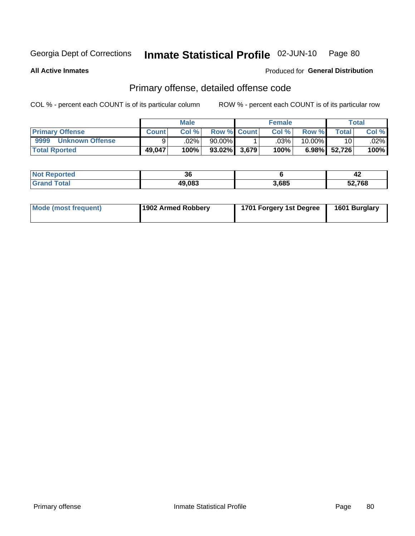#### Inmate Statistical Profile 02-JUN-10 Page 80

**All Active Inmates** 

### **Produced for General Distribution**

## Primary offense, detailed offense code

COL % - percent each COUNT is of its particular column

|                                |              | <b>Male</b> |                    | <b>Female</b> |           |                 | Total   |
|--------------------------------|--------------|-------------|--------------------|---------------|-----------|-----------------|---------|
| <b>Primary Offense</b>         | <b>Count</b> | Col%        | <b>Row % Count</b> | Col%          | Row %     | <b>Total</b>    | Col %   |
| 9999<br><b>Unknown Offense</b> |              | .02%        | 90.00%             | .03%          | $10.00\%$ | 10 <sub>1</sub> | $.02\%$ |
| <b>Total Rported</b>           | 49,047       | 100%        | $93.02\%$ 3,679    | 100%          |           | 6.98% 52,726    | 100%    |

| orted<br>NO)  | 00<br>ათ |       | 42     |
|---------------|----------|-------|--------|
| $\sim$ $\sim$ | 49,083   | 3,685 | 52,768 |

| Mode (most frequent) | 1902 Armed Robbery | 1701 Forgery 1st Degree | 1601 Burglary |
|----------------------|--------------------|-------------------------|---------------|
|----------------------|--------------------|-------------------------|---------------|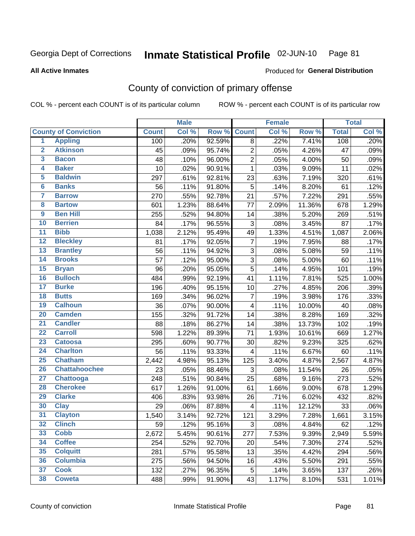#### Inmate Statistical Profile 02-JUN-10 Page 81

#### **All Active Inmates**

## **Produced for General Distribution**

## County of conviction of primary offense

COL % - percent each COUNT is of its particular column

|                         |                             |              | <b>Male</b> |        |                         | Female |        |              | <b>Total</b> |
|-------------------------|-----------------------------|--------------|-------------|--------|-------------------------|--------|--------|--------------|--------------|
|                         | <b>County of Conviction</b> | <b>Count</b> | Col %       | Row %  | <b>Count</b>            | Col %  | Row %  | <b>Total</b> | Col %        |
| 1                       | <b>Appling</b>              | 100          | .20%        | 92.59% | 8                       | .22%   | 7.41%  | 108          | .20%         |
| $\overline{2}$          | <b>Atkinson</b>             | 45           | .09%        | 95.74% | $\overline{2}$          | .05%   | 4.26%  | 47           | .09%         |
| 3                       | <b>Bacon</b>                | 48           | .10%        | 96.00% | $\overline{2}$          | .05%   | 4.00%  | 50           | .09%         |
| 4                       | <b>Baker</b>                | 10           | .02%        | 90.91% | 1                       | .03%   | 9.09%  | 11           | .02%         |
| 5                       | <b>Baldwin</b>              | 297          | .61%        | 92.81% | 23                      | .63%   | 7.19%  | 320          | .61%         |
| $6\phantom{a}$          | <b>Banks</b>                | 56           | .11%        | 91.80% | 5                       | .14%   | 8.20%  | 61           | .12%         |
| $\overline{\mathbf{7}}$ | <b>Barrow</b>               | 270          | .55%        | 92.78% | 21                      | .57%   | 7.22%  | 291          | .55%         |
| 8                       | <b>Bartow</b>               | 601          | 1.23%       | 88.64% | 77                      | 2.09%  | 11.36% | 678          | 1.29%        |
| $\overline{9}$          | <b>Ben Hill</b>             | 255          | .52%        | 94.80% | 14                      | .38%   | 5.20%  | 269          | .51%         |
| 10                      | <b>Berrien</b>              | 84           | .17%        | 96.55% | 3                       | .08%   | 3.45%  | 87           | .17%         |
| 11                      | <b>Bibb</b>                 | 1,038        | 2.12%       | 95.49% | 49                      | 1.33%  | 4.51%  | 1,087        | 2.06%        |
| 12                      | <b>Bleckley</b>             | 81           | .17%        | 92.05% | $\overline{7}$          | .19%   | 7.95%  | 88           | .17%         |
| $\overline{13}$         | <b>Brantley</b>             | 56           | .11%        | 94.92% | 3                       | .08%   | 5.08%  | 59           | .11%         |
| 14                      | <b>Brooks</b>               | 57           | .12%        | 95.00% | 3                       | .08%   | 5.00%  | 60           | .11%         |
| 15                      | <b>Bryan</b>                | 96           | .20%        | 95.05% | $\overline{5}$          | .14%   | 4.95%  | 101          | .19%         |
| 16                      | <b>Bulloch</b>              | 484          | .99%        | 92.19% | 41                      | 1.11%  | 7.81%  | 525          | 1.00%        |
| 17                      | <b>Burke</b>                | 196          | .40%        | 95.15% | 10                      | .27%   | 4.85%  | 206          | .39%         |
| 18                      | <b>Butts</b>                | 169          | .34%        | 96.02% | $\overline{7}$          | .19%   | 3.98%  | 176          | .33%         |
| 19                      | <b>Calhoun</b>              | 36           | .07%        | 90.00% | 4                       | .11%   | 10.00% | 40           | .08%         |
| 20                      | <b>Camden</b>               | 155          | .32%        | 91.72% | 14                      | .38%   | 8.28%  | 169          | .32%         |
| $\overline{21}$         | <b>Candler</b>              | 88           | .18%        | 86.27% | 14                      | .38%   | 13.73% | 102          | .19%         |
| $\overline{22}$         | <b>Carroll</b>              | 598          | 1.22%       | 89.39% | 71                      | 1.93%  | 10.61% | 669          | 1.27%        |
| $\overline{23}$         | <b>Catoosa</b>              | 295          | .60%        | 90.77% | 30                      | .82%   | 9.23%  | 325          | .62%         |
| 24                      | <b>Charlton</b>             | 56           | .11%        | 93.33% | 4                       | .11%   | 6.67%  | 60           | .11%         |
| 25                      | <b>Chatham</b>              | 2,442        | 4.98%       | 95.13% | 125                     | 3.40%  | 4.87%  | 2,567        | 4.87%        |
| 26                      | <b>Chattahoochee</b>        | 23           | .05%        | 88.46% | 3                       | .08%   | 11.54% | 26           | .05%         |
| $\overline{27}$         | <b>Chattooga</b>            | 248          | .51%        | 90.84% | 25                      | .68%   | 9.16%  | 273          | .52%         |
| 28                      | <b>Cherokee</b>             | 617          | 1.26%       | 91.00% | 61                      | 1.66%  | 9.00%  | 678          | 1.29%        |
| 29                      | <b>Clarke</b>               | 406          | .83%        | 93.98% | 26                      | .71%   | 6.02%  | 432          | .82%         |
| 30                      | <b>Clay</b>                 | 29           | .06%        | 87.88% | $\overline{\mathbf{4}}$ | .11%   | 12.12% | 33           | .06%         |
| $\overline{31}$         | <b>Clayton</b>              | 1,540        | 3.14%       | 92.72% | 121                     | 3.29%  | 7.28%  | 1,661        | 3.15%        |
| 32                      | <b>Clinch</b>               | 59           | .12%        | 95.16% | 3                       | .08%   | 4.84%  | 62           | .12%         |
| 33                      | <b>Cobb</b>                 | 2,672        | 5.45%       | 90.61% | 277                     | 7.53%  | 9.39%  | 2,949        | 5.59%        |
| 34                      | <b>Coffee</b>               | 254          | .52%        | 92.70% | 20                      | .54%   | 7.30%  | 274          | .52%         |
| 35                      | <b>Colquitt</b>             | 281          | .57%        | 95.58% | 13                      | .35%   | 4.42%  | 294          | .56%         |
| 36                      | <b>Columbia</b>             | 275          | .56%        | 94.50% | 16                      | .43%   | 5.50%  | 291          | .55%         |
| 37                      | <b>Cook</b>                 | 132          | .27%        | 96.35% | 5                       | .14%   | 3.65%  | 137          | .26%         |
| 38                      | <b>Coweta</b>               | 488          | .99%        | 91.90% | 43                      | 1.17%  | 8.10%  | 531          | 1.01%        |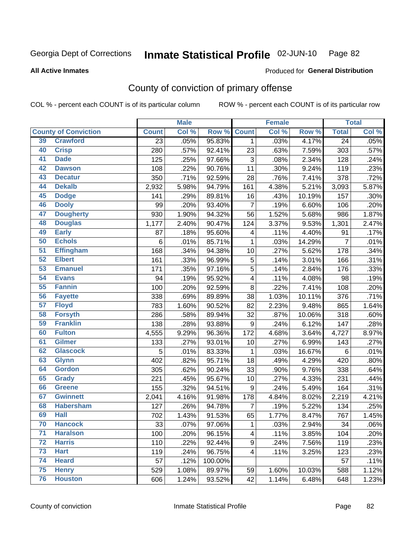## Inmate Statistical Profile 02-JUN-10 Page 82

#### **All Active Inmates**

### Produced for General Distribution

## County of conviction of primary offense

COL % - percent each COUNT is of its particular column

|                 |                             |                 | <b>Male</b> |         |                | <b>Female</b> |        |                 | <b>Total</b> |
|-----------------|-----------------------------|-----------------|-------------|---------|----------------|---------------|--------|-----------------|--------------|
|                 | <b>County of Conviction</b> | <b>Count</b>    | Col %       | Row %   | <b>Count</b>   | Col %         | Row %  | <b>Total</b>    | Col %        |
| 39              | <b>Crawford</b>             | $\overline{23}$ | .05%        | 95.83%  | 1              | .03%          | 4.17%  | $\overline{24}$ | .05%         |
| 40              | <b>Crisp</b>                | 280             | .57%        | 92.41%  | 23             | .63%          | 7.59%  | 303             | .57%         |
| 41              | <b>Dade</b>                 | 125             | .25%        | 97.66%  | 3              | .08%          | 2.34%  | 128             | .24%         |
| 42              | <b>Dawson</b>               | 108             | .22%        | 90.76%  | 11             | .30%          | 9.24%  | 119             | .23%         |
| 43              | <b>Decatur</b>              | 350             | .71%        | 92.59%  | 28             | .76%          | 7.41%  | 378             | .72%         |
| 44              | <b>Dekalb</b>               | 2,932           | 5.98%       | 94.79%  | 161            | 4.38%         | 5.21%  | 3,093           | 5.87%        |
| 45              | <b>Dodge</b>                | 141             | .29%        | 89.81%  | 16             | .43%          | 10.19% | 157             | .30%         |
| 46              | <b>Dooly</b>                | 99              | .20%        | 93.40%  | $\overline{7}$ | .19%          | 6.60%  | 106             | .20%         |
| 47              | <b>Dougherty</b>            | 930             | 1.90%       | 94.32%  | 56             | 1.52%         | 5.68%  | 986             | 1.87%        |
| 48              | <b>Douglas</b>              | 1,177           | 2.40%       | 90.47%  | 124            | 3.37%         | 9.53%  | 1,301           | 2.47%        |
| 49              | <b>Early</b>                | 87              | .18%        | 95.60%  | 4              | .11%          | 4.40%  | 91              | .17%         |
| 50              | <b>Echols</b>               | 6               | .01%        | 85.71%  | 1              | .03%          | 14.29% | $\overline{7}$  | .01%         |
| $\overline{51}$ | <b>Effingham</b>            | 168             | .34%        | 94.38%  | 10             | .27%          | 5.62%  | 178             | .34%         |
| 52              | <b>Elbert</b>               | 161             | .33%        | 96.99%  | 5              | .14%          | 3.01%  | 166             | .31%         |
| 53              | <b>Emanuel</b>              | 171             | .35%        | 97.16%  | 5              | .14%          | 2.84%  | 176             | .33%         |
| 54              | <b>Evans</b>                | 94              | .19%        | 95.92%  | 4              | .11%          | 4.08%  | 98              | .19%         |
| 55              | <b>Fannin</b>               | 100             | .20%        | 92.59%  | 8              | .22%          | 7.41%  | 108             | .20%         |
| 56              | <b>Fayette</b>              | 338             | .69%        | 89.89%  | 38             | 1.03%         | 10.11% | 376             | .71%         |
| 57              | <b>Floyd</b>                | 783             | 1.60%       | 90.52%  | 82             | 2.23%         | 9.48%  | 865             | 1.64%        |
| 58              | <b>Forsyth</b>              | 286             | .58%        | 89.94%  | 32             | .87%          | 10.06% | 318             | .60%         |
| 59              | <b>Franklin</b>             | 138             | .28%        | 93.88%  | 9              | .24%          | 6.12%  | 147             | .28%         |
| 60              | <b>Fulton</b>               | 4,555           | 9.29%       | 96.36%  | 172            | 4.68%         | 3.64%  | 4,727           | 8.97%        |
| 61              | Gilmer                      | 133             | .27%        | 93.01%  | 10             | .27%          | 6.99%  | 143             | .27%         |
| 62              | <b>Glascock</b>             | 5               | .01%        | 83.33%  | 1              | .03%          | 16.67% | 6               | .01%         |
| 63              | <b>Glynn</b>                | 402             | .82%        | 95.71%  | 18             | .49%          | 4.29%  | 420             | .80%         |
| 64              | <b>Gordon</b>               | 305             | .62%        | 90.24%  | 33             | .90%          | 9.76%  | 338             | .64%         |
| 65              | <b>Grady</b>                | 221             | .45%        | 95.67%  | 10             | .27%          | 4.33%  | 231             | .44%         |
| 66              | <b>Greene</b>               | 155             | .32%        | 94.51%  | 9              | .24%          | 5.49%  | 164             | .31%         |
| 67              | <b>Gwinnett</b>             | 2,041           | 4.16%       | 91.98%  | 178            | 4.84%         | 8.02%  | 2,219           | 4.21%        |
| 68              | <b>Habersham</b>            | 127             | .26%        | 94.78%  | $\overline{7}$ | .19%          | 5.22%  | 134             | .25%         |
| 69              | <b>Hall</b>                 | 702             | 1.43%       | 91.53%  | 65             | 1.77%         | 8.47%  | 767             | 1.45%        |
| 70              | <b>Hancock</b>              | 33              | .07%        | 97.06%  | 1              | .03%          | 2.94%  | 34              | .06%         |
| 71              | <b>Haralson</b>             | 100             | .20%        | 96.15%  | 4              | .11%          | 3.85%  | 104             | .20%         |
| $\overline{72}$ | <b>Harris</b>               | 110             | .22%        | 92.44%  | 9              | .24%          | 7.56%  | 119             | .23%         |
| 73              | <b>Hart</b>                 | 119             | .24%        | 96.75%  | 4              | .11%          | 3.25%  | 123             | .23%         |
| 74              | <b>Heard</b>                | 57              | .12%        | 100.00% |                |               |        | 57              | .11%         |
| 75              | <b>Henry</b>                | 529             | 1.08%       | 89.97%  | 59             | 1.60%         | 10.03% | 588             | 1.12%        |
| 76              | <b>Houston</b>              | 606             | 1.24%       | 93.52%  | 42             | 1.14%         | 6.48%  | 648             | 1.23%        |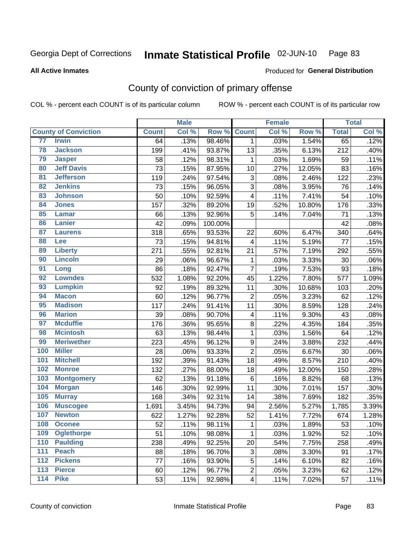#### Inmate Statistical Profile 02-JUN-10 Page 83

**All Active Inmates** 

### Produced for General Distribution

## County of conviction of primary offense

COL % - percent each COUNT is of its particular column

|                                     |              | <b>Male</b> |         |                         | <b>Female</b> |        |              | <b>Total</b> |
|-------------------------------------|--------------|-------------|---------|-------------------------|---------------|--------|--------------|--------------|
| <b>County of Conviction</b>         | <b>Count</b> | Col %       | Row %   | <b>Count</b>            | Col %         | Row %  | <b>Total</b> | Col %        |
| 77<br><b>Irwin</b>                  | 64           | .13%        | 98.46%  | $\mathbf{1}$            | .03%          | 1.54%  | 65           | .12%         |
| 78<br><b>Jackson</b>                | 199          | .41%        | 93.87%  | 13                      | .35%          | 6.13%  | 212          | .40%         |
| 79<br><b>Jasper</b>                 | 58           | .12%        | 98.31%  | 1                       | .03%          | 1.69%  | 59           | .11%         |
| <b>Jeff Davis</b><br>80             | 73           | .15%        | 87.95%  | 10                      | .27%          | 12.05% | 83           | .16%         |
| $\overline{81}$<br><b>Jefferson</b> | 119          | .24%        | 97.54%  | 3                       | .08%          | 2.46%  | 122          | .23%         |
| <b>Jenkins</b><br>82                | 73           | .15%        | 96.05%  | 3                       | .08%          | 3.95%  | 76           | .14%         |
| 83<br><b>Johnson</b>                | 50           | .10%        | 92.59%  | 4                       | .11%          | 7.41%  | 54           | .10%         |
| 84<br><b>Jones</b>                  | 157          | .32%        | 89.20%  | 19                      | .52%          | 10.80% | 176          | .33%         |
| 85<br><b>Lamar</b>                  | 66           | .13%        | 92.96%  | 5                       | .14%          | 7.04%  | 71           | .13%         |
| <b>Lanier</b><br>86                 | 42           | .09%        | 100.00% |                         |               |        | 42           | .08%         |
| 87<br><b>Laurens</b>                | 318          | .65%        | 93.53%  | 22                      | .60%          | 6.47%  | 340          | .64%         |
| 88<br>Lee                           | 73           | .15%        | 94.81%  | $\overline{\mathbf{4}}$ | .11%          | 5.19%  | 77           | .15%         |
| 89<br><b>Liberty</b>                | 271          | .55%        | 92.81%  | 21                      | .57%          | 7.19%  | 292          | .55%         |
| 90<br><b>Lincoln</b>                | 29           | .06%        | 96.67%  | $\mathbf{1}$            | .03%          | 3.33%  | 30           | .06%         |
| 91<br>Long                          | 86           | .18%        | 92.47%  | $\overline{7}$          | .19%          | 7.53%  | 93           | .18%         |
| <b>Lowndes</b><br>92                | 532          | 1.08%       | 92.20%  | 45                      | 1.22%         | 7.80%  | 577          | 1.09%        |
| 93<br><b>Lumpkin</b>                | 92           | .19%        | 89.32%  | 11                      | .30%          | 10.68% | 103          | .20%         |
| 94<br><b>Macon</b>                  | 60           | .12%        | 96.77%  | $\overline{2}$          | .05%          | 3.23%  | 62           | .12%         |
| <b>Madison</b><br>95                | 117          | .24%        | 91.41%  | 11                      | .30%          | 8.59%  | 128          | .24%         |
| <b>Marion</b><br>96                 | 39           | .08%        | 90.70%  | 4                       | .11%          | 9.30%  | 43           | .08%         |
| 97<br><b>Mcduffie</b>               | 176          | .36%        | 95.65%  | 8                       | .22%          | 4.35%  | 184          | .35%         |
| <b>Mcintosh</b><br>98               | 63           | .13%        | 98.44%  | $\mathbf{1}$            | .03%          | 1.56%  | 64           | .12%         |
| 99<br><b>Meriwether</b>             | 223          | .45%        | 96.12%  | $\boldsymbol{9}$        | .24%          | 3.88%  | 232          | .44%         |
| 100<br><b>Miller</b>                | 28           | .06%        | 93.33%  | $\overline{2}$          | .05%          | 6.67%  | 30           | .06%         |
| 101<br><b>Mitchell</b>              | 192          | .39%        | 91.43%  | 18                      | .49%          | 8.57%  | 210          | .40%         |
| 102<br><b>Monroe</b>                | 132          | .27%        | 88.00%  | 18                      | .49%          | 12.00% | 150          | .28%         |
| 103<br><b>Montgomery</b>            | 62           | .13%        | 91.18%  | 6                       | .16%          | 8.82%  | 68           | .13%         |
| 104<br><b>Morgan</b>                | 146          | .30%        | 92.99%  | 11                      | .30%          | 7.01%  | 157          | .30%         |
| 105<br><b>Murray</b>                | 168          | .34%        | 92.31%  | 14                      | .38%          | 7.69%  | 182          | .35%         |
| 106<br><b>Muscogee</b>              | 1,691        | 3.45%       | 94.73%  | 94                      | 2.56%         | 5.27%  | 1,785        | 3.39%        |
| 107<br><b>Newton</b>                | 622          | 1.27%       | 92.28%  | 52                      | 1.41%         | 7.72%  | 674          | 1.28%        |
| 108<br><b>Oconee</b>                | 52           | .11%        | 98.11%  | $\mathbf{1}$            | .03%          | 1.89%  | 53           | .10%         |
| 109<br><b>Oglethorpe</b>            | 51           | .10%        | 98.08%  | $\mathbf{1}$            | .03%          | 1.92%  | 52           | .10%         |
| <b>Paulding</b><br>110              | 238          | .49%        | 92.25%  | 20                      | .54%          | 7.75%  | 258          | .49%         |
| <b>Peach</b><br>111                 | 88           | .18%        | 96.70%  | 3                       | .08%          | 3.30%  | 91           | .17%         |
| <b>Pickens</b><br>112               | 77           | .16%        | 93.90%  | 5                       | .14%          | 6.10%  | 82           | .16%         |
| 113<br><b>Pierce</b>                | 60           | .12%        | 96.77%  | $\overline{c}$          | .05%          | 3.23%  | 62           | .12%         |
| <b>Pike</b><br>114                  | 53           | .11%        | 92.98%  | $\overline{\mathbf{4}}$ | .11%          | 7.02%  | 57           | .11%         |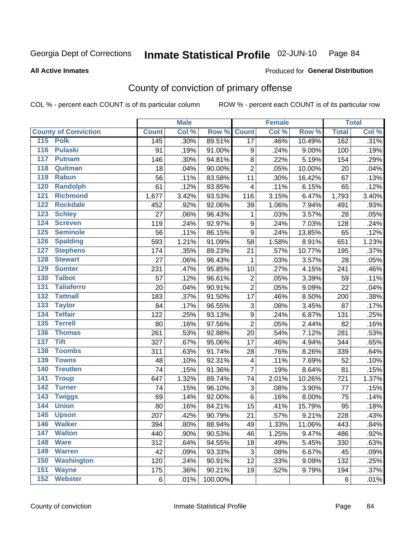#### Inmate Statistical Profile 02-JUN-10 Page 84

**All Active Inmates** 

#### Produced for General Distribution

## County of conviction of primary offense

COL % - percent each COUNT is of its particular column

|                                   |              | <b>Male</b> |         |                           | <b>Female</b> |        |              | <b>Total</b> |
|-----------------------------------|--------------|-------------|---------|---------------------------|---------------|--------|--------------|--------------|
| <b>County of Conviction</b>       | <b>Count</b> | Col %       | Row %   | <b>Count</b>              | Col %         | Row %  | <b>Total</b> | Col %        |
| 115 Polk                          | 145          | .30%        | 89.51%  | $\overline{17}$           | .46%          | 10.49% | 162          | .31%         |
| 116<br><b>Pulaski</b>             | 91           | .19%        | 91.00%  | 9                         | .24%          | 9.00%  | 100          | .19%         |
| 117<br><b>Putnam</b>              | 146          | .30%        | 94.81%  | $\bf 8$                   | .22%          | 5.19%  | 154          | .29%         |
| 118<br>Quitman                    | 18           | .04%        | 90.00%  | $\overline{2}$            | .05%          | 10.00% | 20           | .04%         |
| 119<br><b>Rabun</b>               | 56           | .11%        | 83.58%  | 11                        | .30%          | 16.42% | 67           | .13%         |
| 120<br><b>Randolph</b>            | 61           | .12%        | 93.85%  | 4                         | .11%          | 6.15%  | 65           | .12%         |
| <b>Richmond</b><br>121            | 1,677        | 3.42%       | 93.53%  | 116                       | 3.15%         | 6.47%  | 1,793        | 3.40%        |
| 122<br><b>Rockdale</b>            | 452          | .92%        | 92.06%  | 39                        | 1.06%         | 7.94%  | 491          | .93%         |
| 123<br><b>Schley</b>              | 27           | .06%        | 96.43%  | 1                         | .03%          | 3.57%  | 28           | .05%         |
| 124<br><b>Screven</b>             | 119          | .24%        | 92.97%  | 9                         | .24%          | 7.03%  | 128          | .24%         |
| <b>Seminole</b><br>125            | 56           | .11%        | 86.15%  | $\boldsymbol{9}$          | .24%          | 13.85% | 65           | .12%         |
| 126<br><b>Spalding</b>            | 593          | 1.21%       | 91.09%  | 58                        | 1.58%         | 8.91%  | 651          | 1.23%        |
| 127<br><b>Stephens</b>            | 174          | .35%        | 89.23%  | 21                        | .57%          | 10.77% | 195          | .37%         |
| 128<br><b>Stewart</b>             | 27           | .06%        | 96.43%  | 1                         | .03%          | 3.57%  | 28           | .05%         |
| 129<br><b>Sumter</b>              | 231          | .47%        | 95.85%  | 10                        | .27%          | 4.15%  | 241          | .46%         |
| <b>Talbot</b><br>130              | 57           | .12%        | 96.61%  | $\overline{2}$            | .05%          | 3.39%  | 59           | .11%         |
| 131<br><b>Taliaferro</b>          | 20           | .04%        | 90.91%  | $\overline{2}$            | .05%          | 9.09%  | 22           | .04%         |
| <b>Tattnall</b><br>132            | 183          | .37%        | 91.50%  | 17                        | .46%          | 8.50%  | 200          | .38%         |
| 133<br><b>Taylor</b>              | 84           | .17%        | 96.55%  | $\ensuremath{\mathsf{3}}$ | .08%          | 3.45%  | 87           | .17%         |
| <b>Telfair</b><br>134             | 122          | .25%        | 93.13%  | $\boldsymbol{9}$          | .24%          | 6.87%  | 131          | .25%         |
| 135<br><b>Terrell</b>             | 80           | .16%        | 97.56%  | $\overline{2}$            | .05%          | 2.44%  | 82           | .16%         |
| <b>Thomas</b><br>136              | 261          | .53%        | 92.88%  | 20                        | .54%          | 7.12%  | 281          | .53%         |
| <b>Tift</b><br>137                | 327          | .67%        | 95.06%  | 17                        | .46%          | 4.94%  | 344          | .65%         |
| <b>Toombs</b><br>138              | 311          | .63%        | 91.74%  | 28                        | .76%          | 8.26%  | 339          | .64%         |
| 139<br><b>Towns</b>               | 48           | .10%        | 92.31%  | 4                         | .11%          | 7.69%  | 52           | .10%         |
| 140<br><b>Treutlen</b>            | 74           | .15%        | 91.36%  | $\overline{7}$            | .19%          | 8.64%  | 81           | .15%         |
| 141<br><b>Troup</b>               | 647          | 1.32%       | 89.74%  | 74                        | 2.01%         | 10.26% | 721          | 1.37%        |
| <b>Turner</b><br>142              | 74           | .15%        | 96.10%  | $\ensuremath{\mathsf{3}}$ | .08%          | 3.90%  | 77           | .15%         |
| $\overline{143}$<br><b>Twiggs</b> | 69           | .14%        | 92.00%  | 6                         | .16%          | 8.00%  | 75           | .14%         |
| 144<br><b>Union</b>               | 80           | .16%        | 84.21%  | 15                        | .41%          | 15.79% | 95           | .18%         |
| 145<br><b>Upson</b>               | 207          | .42%        | 90.79%  | 21                        | .57%          | 9.21%  | 228          | .43%         |
| 146<br><b>Walker</b>              | 394          | .80%        | 88.94%  | 49                        | 1.33%         | 11.06% | 443          | .84%         |
| 147<br><b>Walton</b>              | 440          | .90%        | 90.53%  | 46                        | 1.25%         | 9.47%  | 486          | .92%         |
| 148<br><b>Ware</b>                | 312          | .64%        | 94.55%  | 18                        | .49%          | 5.45%  | 330          | .63%         |
| <b>Warren</b><br>149              | 42           | .09%        | 93.33%  | 3                         | .08%          | 6.67%  | 45           | .09%         |
| 150<br><b>Washington</b>          | 120          | .24%        | 90.91%  | 12                        | .33%          | 9.09%  | 132          | .25%         |
| 151<br><b>Wayne</b>               | 175          | .36%        | 90.21%  | 19                        | .52%          | 9.79%  | 194          | .37%         |
| <b>Webster</b><br>152             | 6            | .01%        | 100.00% |                           |               |        | 6            | .01%         |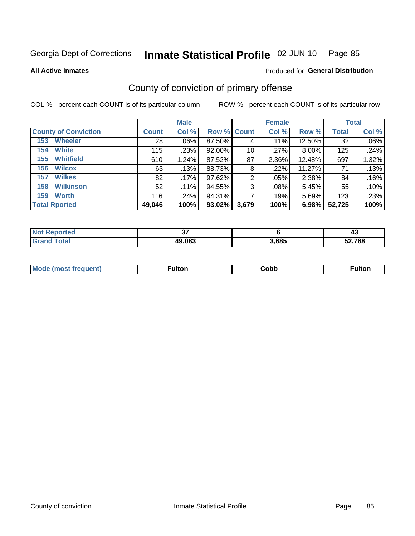#### Inmate Statistical Profile 02-JUN-10 Page 85

**All Active Inmates** 

### Produced for General Distribution

## County of conviction of primary offense

COL % - percent each COUNT is of its particular column

|                             |              | <b>Male</b> |             |       | <b>Female</b> |        |              | <b>Total</b> |
|-----------------------------|--------------|-------------|-------------|-------|---------------|--------|--------------|--------------|
| <b>County of Conviction</b> | <b>Count</b> | Col %       | Row % Count |       | Col %         | Row %  | <b>Total</b> | Col %        |
| <b>Wheeler</b><br>153       | 28           | $.06\%$     | 87.50%      | 4     | $.11\%$       | 12.50% | 32           | .06%         |
| <b>White</b><br>154         | 115          | .23%        | 92.00%      | 10    | .27%          | 8.00%  | 125          | .24%         |
| <b>Whitfield</b><br>155     | 610          | 1.24%       | 87.52%      | 87    | 2.36%         | 12.48% | 697          | 1.32%        |
| <b>Wilcox</b><br>156        | 63           | .13%        | 88.73%      | 8     | .22%          | 11.27% | 71           | .13%         |
| <b>Wilkes</b><br>157        | 82           | .17%        | 97.62%      | 2     | .05%          | 2.38%  | 84           | .16%         |
| <b>Wilkinson</b><br>158     | 52           | .11%        | 94.55%      | 3     | .08%          | 5.45%  | 55           | .10%         |
| <b>Worth</b><br>159         | 116          | .24%        | 94.31%      |       | .19%          | 5.69%  | 123          | .23%         |
| <b>Total Rported</b>        | 49,046       | 100%        | 93.02%      | 3,679 | 100%          | 6.98%  | 52,725       | 100%         |

| тео  | $\sim$<br><u>J</u> |       | —⊷                          |
|------|--------------------|-------|-----------------------------|
| ota. | 49,083             | 3.685 | 7 <sub>C</sub><br>'oo<br>JZ |

| <b>Mode</b><br>---<br>luent)<br>nost tren | ™ulton | copp; | Fulto |
|-------------------------------------------|--------|-------|-------|
|                                           |        |       |       |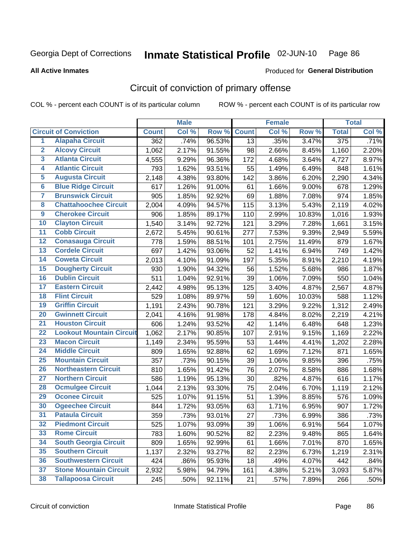#### Inmate Statistical Profile 02-JUN-10 Page 86

**All Active Inmates** 

### **Produced for General Distribution**

## Circuit of conviction of primary offense

COL % - percent each COUNT is of its particular column

|                         |                                 |              | <b>Male</b> |        |              | <b>Female</b> |        |              | <b>Total</b> |
|-------------------------|---------------------------------|--------------|-------------|--------|--------------|---------------|--------|--------------|--------------|
|                         | <b>Circuit of Conviction</b>    | <b>Count</b> | Col %       | Row %  | <b>Count</b> | Col %         | Row %  | <b>Total</b> | Col %        |
| $\overline{1}$          | <b>Alapaha Circuit</b>          | 362          | .74%        | 96.53% | 13           | .35%          | 3.47%  | 375          | .71%         |
| $\overline{2}$          | <b>Alcovy Circuit</b>           | 1,062        | 2.17%       | 91.55% | 98           | 2.66%         | 8.45%  | 1,160        | 2.20%        |
| $\overline{\mathbf{3}}$ | <b>Atlanta Circuit</b>          | 4,555        | 9.29%       | 96.36% | 172          | 4.68%         | 3.64%  | 4,727        | 8.97%        |
| 4                       | <b>Atlantic Circuit</b>         | 793          | 1.62%       | 93.51% | 55           | 1.49%         | 6.49%  | 848          | 1.61%        |
| 5                       | <b>Augusta Circuit</b>          | 2,148        | 4.38%       | 93.80% | 142          | 3.86%         | 6.20%  | 2,290        | 4.34%        |
| $\overline{\mathbf{6}}$ | <b>Blue Ridge Circuit</b>       | 617          | 1.26%       | 91.00% | 61           | 1.66%         | 9.00%  | 678          | 1.29%        |
| $\overline{\mathbf{7}}$ | <b>Brunswick Circuit</b>        | 905          | 1.85%       | 92.92% | 69           | 1.88%         | 7.08%  | 974          | 1.85%        |
| 8                       | <b>Chattahoochee Circuit</b>    | 2,004        | 4.09%       | 94.57% | 115          | 3.13%         | 5.43%  | 2,119        | 4.02%        |
| $\overline{9}$          | <b>Cherokee Circuit</b>         | 906          | 1.85%       | 89.17% | 110          | 2.99%         | 10.83% | 1,016        | 1.93%        |
| 10                      | <b>Clayton Circuit</b>          | 1,540        | 3.14%       | 92.72% | 121          | 3.29%         | 7.28%  | 1,661        | 3.15%        |
| 11                      | <b>Cobb Circuit</b>             | 2,672        | 5.45%       | 90.61% | 277          | 7.53%         | 9.39%  | 2,949        | 5.59%        |
| 12                      | <b>Conasauga Circuit</b>        | 778          | 1.59%       | 88.51% | 101          | 2.75%         | 11.49% | 879          | 1.67%        |
| 13                      | <b>Cordele Circuit</b>          | 697          | 1.42%       | 93.06% | 52           | 1.41%         | 6.94%  | 749          | 1.42%        |
| 14                      | <b>Coweta Circuit</b>           | 2,013        | 4.10%       | 91.09% | 197          | 5.35%         | 8.91%  | 2,210        | 4.19%        |
| 15                      | <b>Dougherty Circuit</b>        | 930          | 1.90%       | 94.32% | 56           | 1.52%         | 5.68%  | 986          | 1.87%        |
| 16                      | <b>Dublin Circuit</b>           | 511          | 1.04%       | 92.91% | 39           | 1.06%         | 7.09%  | 550          | 1.04%        |
| 17                      | <b>Eastern Circuit</b>          | 2,442        | 4.98%       | 95.13% | 125          | 3.40%         | 4.87%  | 2,567        | 4.87%        |
| 18                      | <b>Flint Circuit</b>            | 529          | 1.08%       | 89.97% | 59           | 1.60%         | 10.03% | 588          | 1.12%        |
| 19                      | <b>Griffin Circuit</b>          | 1,191        | 2.43%       | 90.78% | 121          | 3.29%         | 9.22%  | 1,312        | 2.49%        |
| 20                      | <b>Gwinnett Circuit</b>         | 2,041        | 4.16%       | 91.98% | 178          | 4.84%         | 8.02%  | 2,219        | 4.21%        |
| $\overline{21}$         | <b>Houston Circuit</b>          | 606          | 1.24%       | 93.52% | 42           | 1.14%         | 6.48%  | 648          | 1.23%        |
| $\overline{22}$         | <b>Lookout Mountain Circuit</b> | 1,062        | 2.17%       | 90.85% | 107          | 2.91%         | 9.15%  | 1,169        | 2.22%        |
| 23                      | <b>Macon Circuit</b>            | 1,149        | 2.34%       | 95.59% | 53           | 1.44%         | 4.41%  | 1,202        | 2.28%        |
| 24                      | <b>Middle Circuit</b>           | 809          | 1.65%       | 92.88% | 62           | 1.69%         | 7.12%  | 871          | 1.65%        |
| 25                      | <b>Mountain Circuit</b>         | 357          | .73%        | 90.15% | 39           | 1.06%         | 9.85%  | 396          | .75%         |
| 26                      | <b>Northeastern Circuit</b>     | 810          | 1.65%       | 91.42% | 76           | 2.07%         | 8.58%  | 886          | 1.68%        |
| $\overline{27}$         | <b>Northern Circuit</b>         | 586          | 1.19%       | 95.13% | 30           | .82%          | 4.87%  | 616          | 1.17%        |
| 28                      | <b>Ocmulgee Circuit</b>         | 1,044        | 2.13%       | 93.30% | 75           | 2.04%         | 6.70%  | 1,119        | 2.12%        |
| 29                      | <b>Oconee Circuit</b>           | 525          | 1.07%       | 91.15% | 51           | 1.39%         | 8.85%  | 576          | 1.09%        |
| 30                      | <b>Ogeechee Circuit</b>         | 844          | 1.72%       | 93.05% | 63           | 1.71%         | 6.95%  | 907          | 1.72%        |
| $\overline{31}$         | <b>Pataula Circuit</b>          | 359          | .73%        | 93.01% | 27           | .73%          | 6.99%  | 386          | .73%         |
| 32                      | <b>Piedmont Circuit</b>         | 525          | 1.07%       | 93.09% | 39           | 1.06%         | 6.91%  | 564          | 1.07%        |
| 33                      | <b>Rome Circuit</b>             | 783          | 1.60%       | 90.52% | 82           | 2.23%         | 9.48%  | 865          | 1.64%        |
| 34                      | <b>South Georgia Circuit</b>    | 809          | 1.65%       | 92.99% | 61           | 1.66%         | 7.01%  | 870          | 1.65%        |
| 35                      | <b>Southern Circuit</b>         | 1,137        | 2.32%       | 93.27% | 82           | 2.23%         | 6.73%  | 1,219        | 2.31%        |
| 36                      | <b>Southwestern Circuit</b>     | 424          | .86%        | 95.93% | 18           | .49%          | 4.07%  | 442          | .84%         |
| 37                      | <b>Stone Mountain Circuit</b>   | 2,932        | 5.98%       | 94.79% | 161          | 4.38%         | 5.21%  | 3,093        | 5.87%        |
| 38                      | <b>Tallapoosa Circuit</b>       | 245          | .50%        | 92.11% | 21           | .57%          | 7.89%  | 266          | .50%         |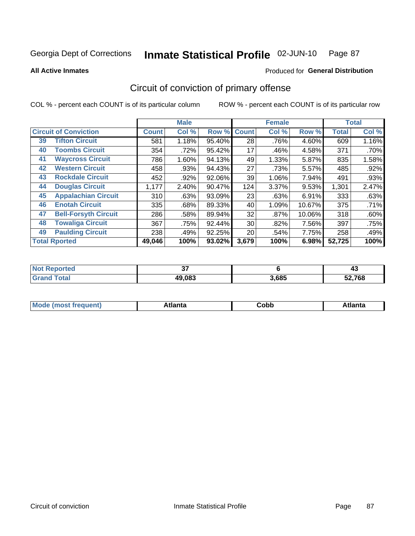#### Inmate Statistical Profile 02-JUN-10 Page 87

**All Active Inmates** 

### Produced for General Distribution

## Circuit of conviction of primary offense

COL % - percent each COUNT is of its particular column

|                      |                                           |              | <b>Male</b> |        |              | <b>Female</b> |        |              | <b>Total</b> |
|----------------------|-------------------------------------------|--------------|-------------|--------|--------------|---------------|--------|--------------|--------------|
|                      | <b>Circuit of Conviction</b>              | <b>Count</b> | Col %       | Row %  | <b>Count</b> | Col %         | Row %  | <b>Total</b> | Col %        |
| 39                   | <b>Tifton Circuit</b>                     | 581          | 1.18%       | 95.40% | 28           | .76%          | 4.60%  | 609          | 1.16%        |
| 40                   | <b>Toombs Circuit</b>                     | 354          | .72%        | 95.42% | 17           | .46%          | 4.58%  | 371          | .70%         |
| 41                   | <b>Waycross Circuit</b>                   | 786          | 1.60%       | 94.13% | 49           | 1.33%         | 5.87%  | 835          | 1.58%        |
| 42                   | <b>Western Circuit</b>                    | 458          | .93%        | 94.43% | 27           | .73%          | 5.57%  | 485          | .92%         |
| 43                   | <b>Rockdale Circuit</b>                   | 452          | $.92\%$     | 92.06% | 39           | 1.06%         | 7.94%  | 491          | .93%         |
| 44                   | <b>Douglas Circuit</b>                    | 1,177        | 2.40%       | 90.47% | 124          | 3.37%         | 9.53%  | 1,301        | 2.47%        |
| 45                   | <b>Appalachian Circuit</b>                | 310          | .63%        | 93.09% | 23           | .63%          | 6.91%  | 333          | .63%         |
| 46                   | <b>Enotah Circuit</b>                     | 335          | .68%        | 89.33% | 40           | 1.09%         | 10.67% | 375          | .71%         |
| 47                   | <b>Bell-Forsyth Circuit</b>               | 286          | .58%        | 89.94% | 32           | .87%          | 10.06% | 318          | .60%         |
| 48                   | <b>Towaliga Circuit</b>                   | 367          | .75%        | 92.44% | 30           | .82%          | 7.56%  | 397          | .75%         |
| 49                   | <b>Paulding Circuit</b>                   | 238          | .49%        | 92.25% | 20           | .54%          | 7.75%  | 258          | .49%         |
| <b>Total Rported</b> | 100%<br>93.02%<br>3,679<br>100%<br>49.046 |              | 6.98%       | 52,725 | 100%         |               |        |              |              |

| 'teo | --<br><br>v, |       | ≖∾     |
|------|--------------|-------|--------|
|      | 49.083       | 3,685 | 52,768 |

| M | . | -----<br>oг | ----<br>пLс |
|---|---|-------------|-------------|
|   |   | <b>OUNN</b> |             |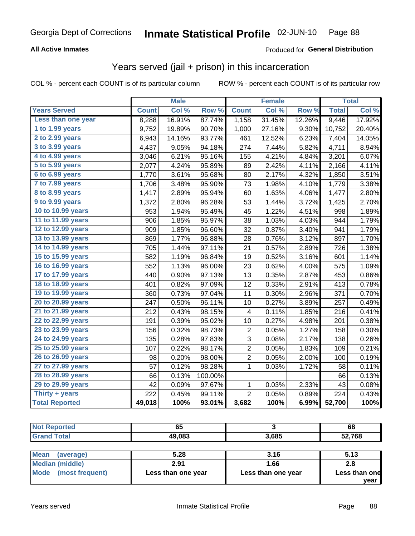#### Inmate Statistical Profile 02-JUN-10 Page 88

### **All Active Inmates**

### **Produced for General Distribution**

## Years served (jail + prison) in this incarceration

COL % - percent each COUNT is of its particular column

|                        |              | <b>Male</b> |         |                         | <b>Female</b> |                  |              | <b>Total</b> |
|------------------------|--------------|-------------|---------|-------------------------|---------------|------------------|--------------|--------------|
| <b>Years Served</b>    | <b>Count</b> | Col %       | Row %   | <b>Count</b>            | Col %         | Row <sup>%</sup> | <b>Total</b> | Col %        |
| Less than one year     | 8,288        | 16.91%      | 87.74%  | 1,158                   | 31.45%        | 12.26%           | 9,446        | 17.92%       |
| 1 to 1.99 years        | 9,752        | 19.89%      | 90.70%  | 1,000                   | 27.16%        | 9.30%            | 10,752       | 20.40%       |
| 2 to 2.99 years        | 6,943        | 14.16%      | 93.77%  | 461                     | 12.52%        | 6.23%            | 7,404        | 14.05%       |
| 3 to 3.99 years        | 4,437        | 9.05%       | 94.18%  | 274                     | 7.44%         | 5.82%            | 4,711        | 8.94%        |
| 4 to 4.99 years        | 3,046        | 6.21%       | 95.16%  | 155                     | 4.21%         | 4.84%            | 3,201        | 6.07%        |
| 5 to 5.99 years        | 2,077        | 4.24%       | 95.89%  | 89                      | 2.42%         | 4.11%            | 2,166        | 4.11%        |
| 6 to 6.99 years        | 1,770        | 3.61%       | 95.68%  | 80                      | 2.17%         | 4.32%            | 1,850        | 3.51%        |
| 7 to 7.99 years        | 1,706        | 3.48%       | 95.90%  | 73                      | 1.98%         | 4.10%            | 1,779        | 3.38%        |
| <b>8 to 8.99 years</b> | 1,417        | 2.89%       | 95.94%  | 60                      | 1.63%         | 4.06%            | 1,477        | 2.80%        |
| 9 to 9.99 years        | 1,372        | 2.80%       | 96.28%  | 53                      | 1.44%         | 3.72%            | 1,425        | 2.70%        |
| 10 to 10.99 years      | 953          | 1.94%       | 95.49%  | 45                      | 1.22%         | 4.51%            | 998          | 1.89%        |
| 11 to 11.99 years      | 906          | 1.85%       | 95.97%  | 38                      | 1.03%         | 4.03%            | 944          | 1.79%        |
| 12 to 12.99 years      | 909          | 1.85%       | 96.60%  | 32                      | 0.87%         | 3.40%            | 941          | 1.79%        |
| 13 to 13.99 years      | 869          | 1.77%       | 96.88%  | 28                      | 0.76%         | 3.12%            | 897          | 1.70%        |
| 14 to 14.99 years      | 705          | 1.44%       | 97.11%  | 21                      | 0.57%         | 2.89%            | 726          | 1.38%        |
| 15 to 15.99 years      | 582          | 1.19%       | 96.84%  | 19                      | 0.52%         | 3.16%            | 601          | 1.14%        |
| 16 to 16.99 years      | 552          | 1.13%       | 96.00%  | 23                      | 0.62%         | 4.00%            | 575          | 1.09%        |
| 17 to 17.99 years      | 440          | 0.90%       | 97.13%  | 13                      | 0.35%         | 2.87%            | 453          | 0.86%        |
| 18 to 18.99 years      | 401          | 0.82%       | 97.09%  | 12                      | 0.33%         | 2.91%            | 413          | 0.78%        |
| 19 to 19.99 years      | 360          | 0.73%       | 97.04%  | 11                      | 0.30%         | 2.96%            | 371          | 0.70%        |
| 20 to 20.99 years      | 247          | 0.50%       | 96.11%  | 10                      | 0.27%         | 3.89%            | 257          | 0.49%        |
| 21 to 21.99 years      | 212          | 0.43%       | 98.15%  | 4                       | 0.11%         | 1.85%            | 216          | 0.41%        |
| 22 to 22.99 years      | 191          | 0.39%       | 95.02%  | 10                      | 0.27%         | 4.98%            | 201          | 0.38%        |
| 23 to 23.99 years      | 156          | 0.32%       | 98.73%  | 2                       | 0.05%         | 1.27%            | 158          | 0.30%        |
| 24 to 24.99 years      | 135          | 0.28%       | 97.83%  | 3                       | 0.08%         | 2.17%            | 138          | 0.26%        |
| 25 to 25.99 years      | 107          | 0.22%       | 98.17%  | $\overline{2}$          | 0.05%         | 1.83%            | 109          | 0.21%        |
| 26 to 26.99 years      | 98           | 0.20%       | 98.00%  | $\overline{\mathbf{c}}$ | 0.05%         | 2.00%            | 100          | 0.19%        |
| 27 to 27.99 years      | 57           | 0.12%       | 98.28%  | $\mathbf 1$             | 0.03%         | 1.72%            | 58           | 0.11%        |
| 28 to 28.99 years      | 66           | 0.13%       | 100.00% |                         |               |                  | 66           | 0.13%        |
| 29 to 29.99 years      | 42           | 0.09%       | 97.67%  | 1                       | 0.03%         | 2.33%            | 43           | 0.08%        |
| Thirty + years         | 222          | 0.45%       | 99.11%  | $\overline{2}$          | 0.05%         | 0.89%            | 224          | 0.43%        |
| <b>Total Reported</b>  | 49,018       | 100%        | 93.01%  | 3,682                   | 100%          | 6.99%            | 52,700       | 100%         |

| orted<br>NO  | $\sim$ $\sim$<br>ບວ |       | 68         |
|--------------|---------------------|-------|------------|
| <b>Total</b> | 49,083              | 3,685 | ,768<br>97 |
|              |                     |       |            |

| Mean<br>(average)    | 5.28               | 3.16               | 5.13          |
|----------------------|--------------------|--------------------|---------------|
| Median (middle)      | 2.91               | 1.66               | 2.8           |
| Mode (most frequent) | Less than one year | Less than one year | Less than one |
|                      |                    |                    | vear          |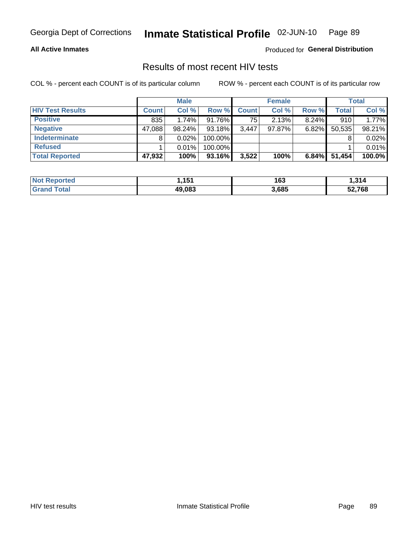## Inmate Statistical Profile 02-JUN-10 Page 89

### **All Active Inmates**

Produced for General Distribution

## Results of most recent HIV tests

COL % - percent each COUNT is of its particular column

|                         |              | <b>Male</b> |           |              | <b>Female</b> |          |              | <b>Total</b> |
|-------------------------|--------------|-------------|-----------|--------------|---------------|----------|--------------|--------------|
| <b>HIV Test Results</b> | <b>Count</b> | Col %       | Row %I    | <b>Count</b> | Col %         | Row %    | <b>Total</b> | Col %        |
| <b>Positive</b>         | 835          | 1.74%       | 91.76%    | 75           | 2.13%         | $8.24\%$ | 910          | 1.77%        |
| <b>Negative</b>         | 47,088       | $98.24\%$   | $93.18\%$ | 3.447        | $97.87\%$     | $6.82\%$ | 50,535       | 98.21%       |
| Indeterminate           | 8            | 0.02%       | 100.00%   |              |               |          |              | 0.02%        |
| <b>Refused</b>          |              | 0.01%       | 100.00%   |              |               |          |              | 0.01%        |
| <b>Total Reported</b>   | 47,932       | 100%        | 93.16%    | 3,522        | 100%          | 6.84%    | 51,454       | 100.0%       |

| <b>Not</b><br>Reported  | <b>454</b> | 163   | .314   |
|-------------------------|------------|-------|--------|
| <b>Total</b><br>l Grand | 49.083     | 3,685 | 52,768 |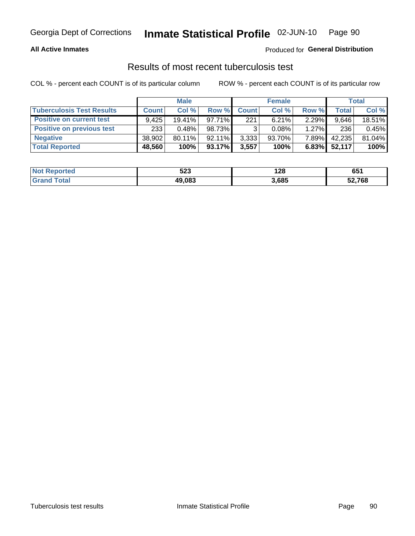#### Inmate Statistical Profile 02-JUN-10 Page 90

### **All Active Inmates**

### Produced for General Distribution

## Results of most recent tuberculosis test

COL % - percent each COUNT is of its particular column

|                                  |              | <b>Male</b> |           |              | <b>Female</b> |          |              | Total  |
|----------------------------------|--------------|-------------|-----------|--------------|---------------|----------|--------------|--------|
| <b>Tuberculosis Test Results</b> | <b>Count</b> | Col %       | Row %     | <b>Count</b> | Col %         | Row %    | <b>Total</b> | Col %  |
| <b>Positive on current test</b>  | 9.425        | 19.41%      | 97.71%    | 221          | 6.21%         | 2.29%    | 9.646        | 18.51% |
| <b>Positive on previous test</b> | 233          | 0.48%       | 98.73%    | ີ            | 0.08%         | $1.27\%$ | 236          | 0.45%  |
| <b>Negative</b>                  | 38,902       | 80.11%      | $92.11\%$ | 3,333        | $93.70\%$     | $7.89\%$ | 42,235       | 81.04% |
| <b>Total Reported</b>            | 48,560       | 100%        | $93.17\%$ | 3,557        | 100%          | 6.83%    | 52,117       | 100%   |

| <b>Not Reported</b>    | r n n<br>ວ∠ວ | 128   | 651    |
|------------------------|--------------|-------|--------|
| <b>Total</b><br>. Grar | 49,083       | 3,685 | 52,768 |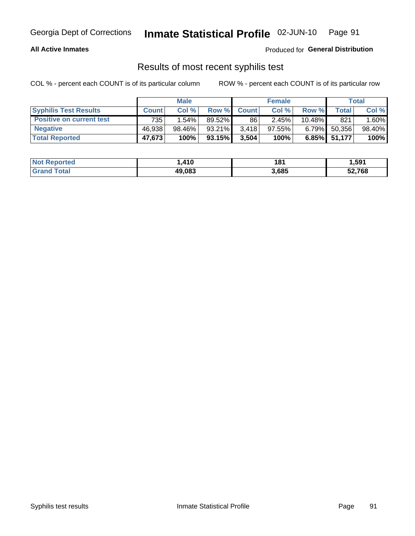## Georgia Dept of Corrections **Inmate Statistical Profile** 02-JUN-10 Page 91

### **All Active Inmates**

Produced for **General Distribution**

## Results of most recent syphilis test

COL % - percent each COUNT is of its particular column ROW % - percent each COUNT is of its particular row

|                                 |              | <b>Male</b> |           |              | <b>Female</b> |           |        | Total  |
|---------------------------------|--------------|-------------|-----------|--------------|---------------|-----------|--------|--------|
| <b>Syphilis Test Results</b>    | <b>Count</b> | Col%        | Row %     | <b>Count</b> | Col %         | Row %     | Total  | Col %  |
| <b>Positive on current test</b> | 735          | 1.54%       | $89.52\%$ | 86           | 2.45%         | $10.48\%$ | 821    | 1.60%  |
| <b>Negative</b>                 | 46.938       | 98.46%      | 93.21%    | 3.418        | $97.55\%$     | $6.79\%$  | 50,356 | 98.40% |
| <b>Total Reported</b>           | 47,673       | 100%        | 93.15%    | 3,504        | 100%          | 6.85%     | 51,177 | 100%   |

| <b>Not Reported</b> | .410،  | 181   | 1,591  |
|---------------------|--------|-------|--------|
| <b>Grand Total</b>  | 49,083 | 3,685 | 52,768 |